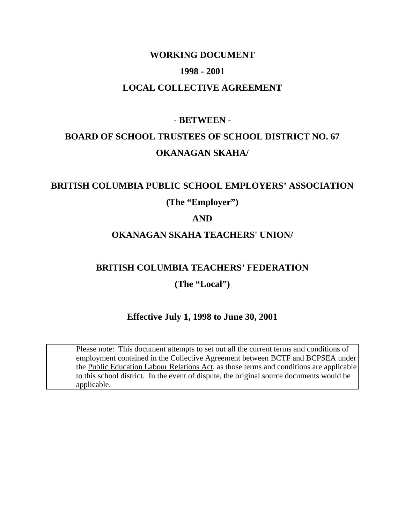## **WORKING DOCUMENT 1998 - 2001 LOCAL COLLECTIVE AGREEMENT**

# **- BETWEEN -**

## **BOARD OF SCHOOL TRUSTEES OF SCHOOL DISTRICT NO. 67 OKANAGAN SKAHA/**

## **BRITISH COLUMBIA PUBLIC SCHOOL EMPLOYERS' ASSOCIATION**

## **(The "Employer")**

## **AND**

## **OKANAGAN SKAHA TEACHERS' UNION/**

## **BRITISH COLUMBIA TEACHERS' FEDERATION**

## **(The "Local")**

## **Effective July 1, 1998 to June 30, 2001**

 Please note: This document attempts to set out all the current terms and conditions of employment contained in the Collective Agreement between BCTF and BCPSEA under the Public Education Labour Relations Act, as those terms and conditions are applicable to this school district. In the event of dispute, the original source documents would be applicable.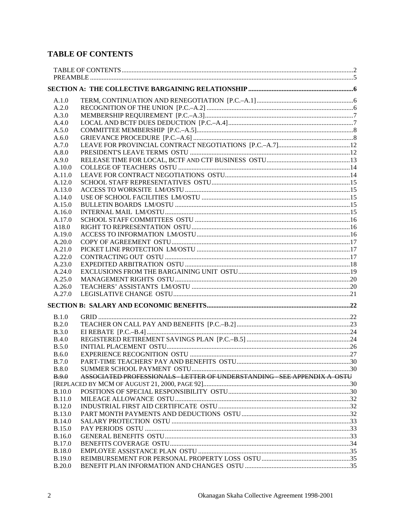## **TABLE OF CONTENTS**

| A.1.0                   |                                                                          |  |
|-------------------------|--------------------------------------------------------------------------|--|
| A.2.0                   |                                                                          |  |
| A.3.0                   |                                                                          |  |
| A.4.0                   |                                                                          |  |
| A.5.0                   |                                                                          |  |
| A.6.0                   |                                                                          |  |
| A.7.0                   |                                                                          |  |
| A.8.0                   |                                                                          |  |
| A.9.0                   |                                                                          |  |
| A.10.0                  |                                                                          |  |
| A.11.0                  |                                                                          |  |
| A.12.0                  |                                                                          |  |
| A.13.0                  |                                                                          |  |
| A.14.0                  |                                                                          |  |
| A.15.0                  |                                                                          |  |
| A.16.0                  |                                                                          |  |
| A.17.0                  |                                                                          |  |
| A18.0                   |                                                                          |  |
| A.19.0                  |                                                                          |  |
| A.20.0                  |                                                                          |  |
| A.21.0                  |                                                                          |  |
| A.22.0                  |                                                                          |  |
| A.23.0                  |                                                                          |  |
| A.24.0                  |                                                                          |  |
| A.25.0                  |                                                                          |  |
| A.26.0                  |                                                                          |  |
| A.27.0                  |                                                                          |  |
|                         |                                                                          |  |
| B.1.0                   |                                                                          |  |
| B.2.0                   |                                                                          |  |
| B.3.0                   |                                                                          |  |
| <b>B.4.0</b>            |                                                                          |  |
| B.5.0                   |                                                                          |  |
| B.6.0                   |                                                                          |  |
| <b>B.7.0</b>            |                                                                          |  |
| <b>B.8.0</b>            |                                                                          |  |
| B.9.0                   | ASSOCIATED PROFESSIONALS - LETTER OF UNDERSTANDING - SEE APPENDIX A OSTU |  |
|                         |                                                                          |  |
| <b>B.10.0</b>           |                                                                          |  |
| <b>B.11.0</b>           |                                                                          |  |
| <b>B.12.0</b>           |                                                                          |  |
| <b>B.13.0</b>           |                                                                          |  |
| <b>B.14.0</b>           |                                                                          |  |
| <b>B.15.0</b><br>B.16.0 |                                                                          |  |
| <b>B.17.0</b>           |                                                                          |  |
| <b>B.18.0</b>           |                                                                          |  |
| <b>B.19.0</b>           |                                                                          |  |
| <b>B.20.0</b>           |                                                                          |  |
|                         |                                                                          |  |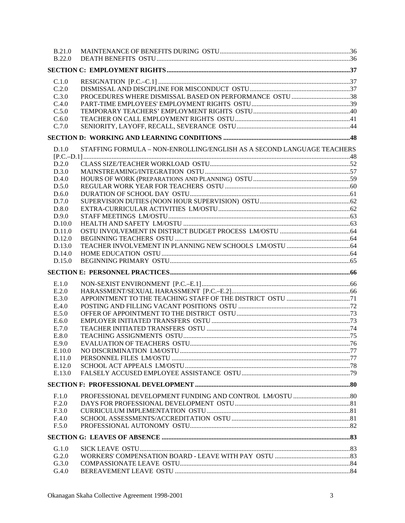| <b>B.21.0</b><br><b>B.22.0</b> |                                                                        |  |
|--------------------------------|------------------------------------------------------------------------|--|
|                                |                                                                        |  |
|                                |                                                                        |  |
| C.1.0                          |                                                                        |  |
| C.2.0                          |                                                                        |  |
| C.3.0                          | PROCEDURES WHERE DISMISSAL BASED ON PERFORMANCE OSTU 38                |  |
| C.4.0                          |                                                                        |  |
| C.5.0                          |                                                                        |  |
| C.6.0                          |                                                                        |  |
| C.7.0                          |                                                                        |  |
|                                |                                                                        |  |
| D.1.0                          | STAFFING FORMULA - NON-ENROLLING/ENGLISH AS A SECOND LANGUAGE TEACHERS |  |
|                                |                                                                        |  |
| D.2.0                          |                                                                        |  |
| D.3.0                          |                                                                        |  |
| D.4.0                          |                                                                        |  |
| D.5.0                          |                                                                        |  |
| D.6.0                          |                                                                        |  |
| D.7.0                          |                                                                        |  |
| D.8.0                          |                                                                        |  |
| D.9.0                          |                                                                        |  |
| D.10.0                         |                                                                        |  |
| D.11.0                         |                                                                        |  |
| D.12.0                         |                                                                        |  |
| D.13.0                         |                                                                        |  |
| D.14.0                         |                                                                        |  |
| D.15.0                         |                                                                        |  |
|                                |                                                                        |  |
| E.1.0                          |                                                                        |  |
| E.2.0                          |                                                                        |  |
| E.3.0                          |                                                                        |  |
| E.4.0                          |                                                                        |  |
| E.5.0                          |                                                                        |  |
| E.6.0                          |                                                                        |  |
| E.7.0                          |                                                                        |  |
| E.8.0                          |                                                                        |  |
| E.9.0                          |                                                                        |  |
| E.10.0                         |                                                                        |  |
| E.11.0                         |                                                                        |  |
| E.12.0                         |                                                                        |  |
| E.13.0                         |                                                                        |  |
|                                |                                                                        |  |
| F.1.0                          |                                                                        |  |
| F.2.0                          |                                                                        |  |
| F.3.0                          |                                                                        |  |
| F.4.0                          |                                                                        |  |
| F.5.0                          |                                                                        |  |
|                                |                                                                        |  |
| G.1.0                          |                                                                        |  |
| G.2.0                          |                                                                        |  |
| G.3.0                          |                                                                        |  |
| G.4.0                          |                                                                        |  |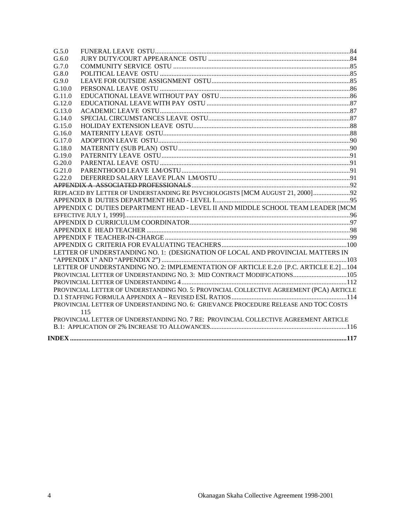| G.5.0  |                                                                                         |  |
|--------|-----------------------------------------------------------------------------------------|--|
| G.6.0  |                                                                                         |  |
| G.7.0  |                                                                                         |  |
| G.8.0  |                                                                                         |  |
| G.9.0  |                                                                                         |  |
| G.10.0 |                                                                                         |  |
| G.11.0 |                                                                                         |  |
| G.12.0 |                                                                                         |  |
| G.13.0 |                                                                                         |  |
| G.14.0 |                                                                                         |  |
| G.15.0 |                                                                                         |  |
| G.16.0 |                                                                                         |  |
| G.17.0 |                                                                                         |  |
| G.18.0 |                                                                                         |  |
| G.19.0 |                                                                                         |  |
| G.20.0 |                                                                                         |  |
| G.21.0 |                                                                                         |  |
| G.22.0 |                                                                                         |  |
|        |                                                                                         |  |
|        | REPLACED BY LETTER OF UNDERSTANDING RE PSYCHOLOGISTS [MCM AUGUST 21, 2000] 92           |  |
|        |                                                                                         |  |
|        | APPENDIX C DUTIES DEPARTMENT HEAD - LEVEL II AND MIDDLE SCHOOL TEAM LEADER [MCM         |  |
|        |                                                                                         |  |
|        |                                                                                         |  |
|        |                                                                                         |  |
|        |                                                                                         |  |
|        |                                                                                         |  |
|        | LETTER OF UNDERSTANDING NO. 1: (DESIGNATION OF LOCAL AND PROVINCIAL MATTERS IN          |  |
|        |                                                                                         |  |
|        | LETTER OF UNDERSTANDING NO. 2: IMPLEMENTATION OF ARTICLE E.2.0 [P.C. ARTICLE E.2]104    |  |
|        | PROVINCIAL LETTER OF UNDERSTANDING NO. 3: MID CONTRACT MODIFICATIONS 105                |  |
|        |                                                                                         |  |
|        | PROVINCIAL LETTER OF UNDERSTANDING NO. 5: PROVINCIAL COLLECTIVE AGREEMENT (PCA) ARTICLE |  |
|        |                                                                                         |  |
|        | PROVINCIAL LETTER OF UNDERSTANDING NO. 6: GRIEVANCE PROCEDURE RELEASE AND TOC COSTS     |  |
|        | 115                                                                                     |  |
|        | PROVINCIAL LETTER OF UNDERSTANDING NO. 7 RE: PROVINCIAL COLLECTIVE AGREEMENT ARTICLE    |  |
|        |                                                                                         |  |
|        |                                                                                         |  |
|        |                                                                                         |  |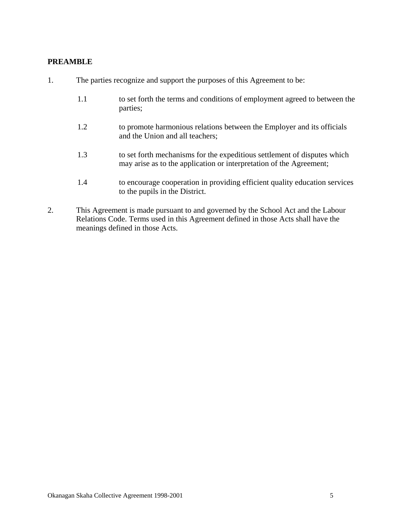#### **PREAMBLE**

| 1. |     | The parties recognize and support the purposes of this Agreement to be:                                                                         |  |  |
|----|-----|-------------------------------------------------------------------------------------------------------------------------------------------------|--|--|
|    | 1.1 | to set forth the terms and conditions of employment agreed to between the<br>parties;                                                           |  |  |
|    | 1.2 | to promote harmonious relations between the Employer and its officials<br>and the Union and all teachers;                                       |  |  |
|    | 1.3 | to set forth mechanisms for the expeditious settlement of disputes which<br>may arise as to the application or interpretation of the Agreement; |  |  |
|    | 1.4 | to encourage cooperation in providing efficient quality education services<br>to the pupils in the District.                                    |  |  |

2. This Agreement is made pursuant to and governed by the School Act and the Labour Relations Code. Terms used in this Agreement defined in those Acts shall have the meanings defined in those Acts.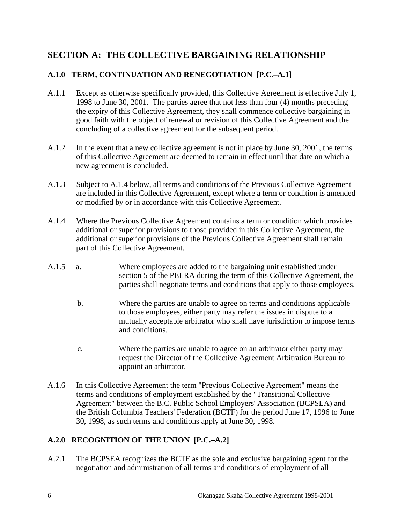## **SECTION A: THE COLLECTIVE BARGAINING RELATIONSHIP**

## **A.1.0 TERM, CONTINUATION AND RENEGOTIATION [P.C.–A.1]**

- A.1.1 Except as otherwise specifically provided, this Collective Agreement is effective July 1, 1998 to June 30, 2001. The parties agree that not less than four (4) months preceding the expiry of this Collective Agreement, they shall commence collective bargaining in good faith with the object of renewal or revision of this Collective Agreement and the concluding of a collective agreement for the subsequent period.
- A.1.2 In the event that a new collective agreement is not in place by June 30, 2001, the terms of this Collective Agreement are deemed to remain in effect until that date on which a new agreement is concluded.
- A.1.3 Subject to A.1.4 below, all terms and conditions of the Previous Collective Agreement are included in this Collective Agreement, except where a term or condition is amended or modified by or in accordance with this Collective Agreement.
- A.1.4 Where the Previous Collective Agreement contains a term or condition which provides additional or superior provisions to those provided in this Collective Agreement, the additional or superior provisions of the Previous Collective Agreement shall remain part of this Collective Agreement.
- A.1.5 a. Where employees are added to the bargaining unit established under section 5 of the PELRA during the term of this Collective Agreement, the parties shall negotiate terms and conditions that apply to those employees.
	- b. Where the parties are unable to agree on terms and conditions applicable to those employees, either party may refer the issues in dispute to a mutually acceptable arbitrator who shall have jurisdiction to impose terms and conditions.
	- c. Where the parties are unable to agree on an arbitrator either party may request the Director of the Collective Agreement Arbitration Bureau to appoint an arbitrator.
- A.1.6 In this Collective Agreement the term "Previous Collective Agreement" means the terms and conditions of employment established by the "Transitional Collective Agreement" between the B.C. Public School Employers' Association (BCPSEA) and the British Columbia Teachers' Federation (BCTF) for the period June 17, 1996 to June 30, 1998, as such terms and conditions apply at June 30, 1998.

#### **A.2.0 RECOGNITION OF THE UNION [P.C.–A.2]**

A.2.1 The BCPSEA recognizes the BCTF as the sole and exclusive bargaining agent for the negotiation and administration of all terms and conditions of employment of all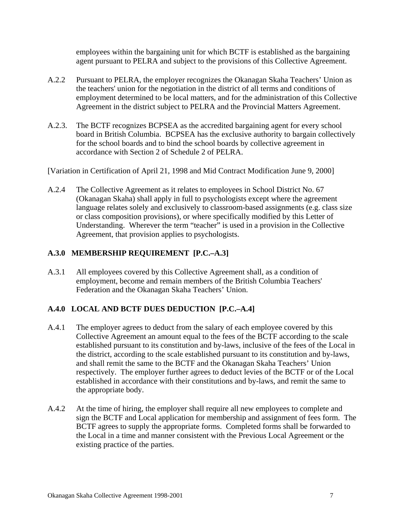employees within the bargaining unit for which BCTF is established as the bargaining agent pursuant to PELRA and subject to the provisions of this Collective Agreement.

- A.2.2 Pursuant to PELRA, the employer recognizes the Okanagan Skaha Teachers' Union as the teachers' union for the negotiation in the district of all terms and conditions of employment determined to be local matters, and for the administration of this Collective Agreement in the district subject to PELRA and the Provincial Matters Agreement.
- A.2.3. The BCTF recognizes BCPSEA as the accredited bargaining agent for every school board in British Columbia. BCPSEA has the exclusive authority to bargain collectively for the school boards and to bind the school boards by collective agreement in accordance with Section 2 of Schedule 2 of PELRA.

[Variation in Certification of April 21, 1998 and Mid Contract Modification June 9, 2000]

A.2.4 The Collective Agreement as it relates to employees in School District No. 67 (Okanagan Skaha) shall apply in full to psychologists except where the agreement language relates solely and exclusively to classroom-based assignments (e.g. class size or class composition provisions), or where specifically modified by this Letter of Understanding. Wherever the term "teacher" is used in a provision in the Collective Agreement, that provision applies to psychologists.

#### **A.3.0 MEMBERSHIP REQUIREMENT [P.C.–A.3]**

A.3.1 All employees covered by this Collective Agreement shall, as a condition of employment, become and remain members of the British Columbia Teachers' Federation and the Okanagan Skaha Teachers' Union.

## **A.4.0 LOCAL AND BCTF DUES DEDUCTION [P.C.–A.4]**

- A.4.1 The employer agrees to deduct from the salary of each employee covered by this Collective Agreement an amount equal to the fees of the BCTF according to the scale established pursuant to its constitution and by-laws, inclusive of the fees of the Local in the district, according to the scale established pursuant to its constitution and by-laws, and shall remit the same to the BCTF and the Okanagan Skaha Teachers' Union respectively. The employer further agrees to deduct levies of the BCTF or of the Local established in accordance with their constitutions and by-laws, and remit the same to the appropriate body.
- A.4.2 At the time of hiring, the employer shall require all new employees to complete and sign the BCTF and Local application for membership and assignment of fees form. The BCTF agrees to supply the appropriate forms. Completed forms shall be forwarded to the Local in a time and manner consistent with the Previous Local Agreement or the existing practice of the parties.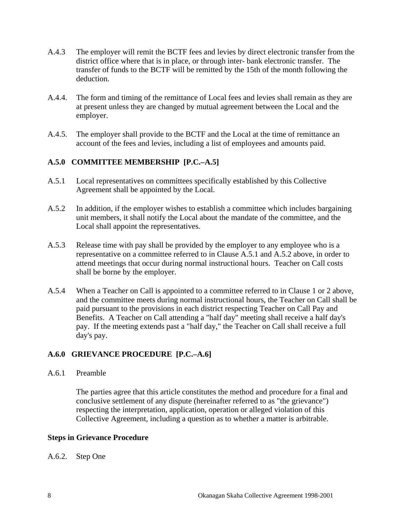- A.4.3 The employer will remit the BCTF fees and levies by direct electronic transfer from the district office where that is in place, or through inter- bank electronic transfer. The transfer of funds to the BCTF will be remitted by the 15th of the month following the deduction.
- A.4.4. The form and timing of the remittance of Local fees and levies shall remain as they are at present unless they are changed by mutual agreement between the Local and the employer.
- A.4.5. The employer shall provide to the BCTF and the Local at the time of remittance an account of the fees and levies, including a list of employees and amounts paid.

#### **A.5.0 COMMITTEE MEMBERSHIP [P.C.–A.5]**

- A.5.1 Local representatives on committees specifically established by this Collective Agreement shall be appointed by the Local.
- A.5.2 In addition, if the employer wishes to establish a committee which includes bargaining unit members, it shall notify the Local about the mandate of the committee, and the Local shall appoint the representatives.
- A.5.3 Release time with pay shall be provided by the employer to any employee who is a representative on a committee referred to in Clause A.5.1 and A.5.2 above, in order to attend meetings that occur during normal instructional hours. Teacher on Call costs shall be borne by the employer.
- A.5.4 When a Teacher on Call is appointed to a committee referred to in Clause 1 or 2 above, and the committee meets during normal instructional hours, the Teacher on Call shall be paid pursuant to the provisions in each district respecting Teacher on Call Pay and Benefits. A Teacher on Call attending a "half day" meeting shall receive a half day's pay. If the meeting extends past a "half day," the Teacher on Call shall receive a full day's pay.

## **A.6.0 GRIEVANCE PROCEDURE [P.C.–A.6]**

#### A.6.1 Preamble

 The parties agree that this article constitutes the method and procedure for a final and conclusive settlement of any dispute (hereinafter referred to as "the grievance") respecting the interpretation, application, operation or alleged violation of this Collective Agreement, including a question as to whether a matter is arbitrable.

#### **Steps in Grievance Procedure**

#### A.6.2. Step One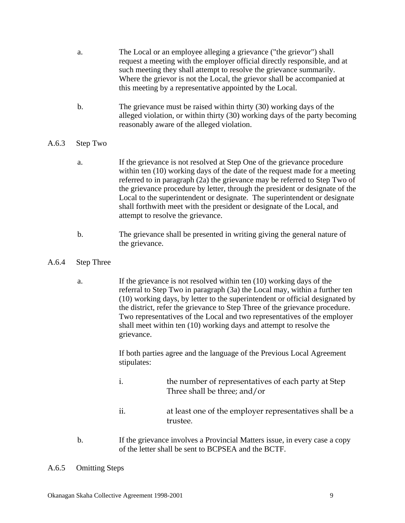- a. The Local or an employee alleging a grievance ("the grievor") shall request a meeting with the employer official directly responsible, and at such meeting they shall attempt to resolve the grievance summarily. Where the grievor is not the Local, the grievor shall be accompanied at this meeting by a representative appointed by the Local.
- b. The grievance must be raised within thirty (30) working days of the alleged violation, or within thirty (30) working days of the party becoming reasonably aware of the alleged violation.

#### A.6.3 Step Two

- a. If the grievance is not resolved at Step One of the grievance procedure within ten (10) working days of the date of the request made for a meeting referred to in paragraph (2a) the grievance may be referred to Step Two of the grievance procedure by letter, through the president or designate of the Local to the superintendent or designate. The superintendent or designate shall forthwith meet with the president or designate of the Local, and attempt to resolve the grievance.
- b. The grievance shall be presented in writing giving the general nature of the grievance.
- A.6.4 Step Three
	- a. If the grievance is not resolved within ten (10) working days of the referral to Step Two in paragraph (3a) the Local may, within a further ten (10) working days, by letter to the superintendent or official designated by the district, refer the grievance to Step Three of the grievance procedure. Two representatives of the Local and two representatives of the employer shall meet within ten (10) working days and attempt to resolve the grievance.

 If both parties agree and the language of the Previous Local Agreement stipulates:

- i. the number of representatives of each party at Step Three shall be three; and/or
- ii. at least one of the employer representatives shall be a trustee.
- b. If the grievance involves a Provincial Matters issue, in every case a copy of the letter shall be sent to BCPSEA and the BCTF.
- A.6.5 Omitting Steps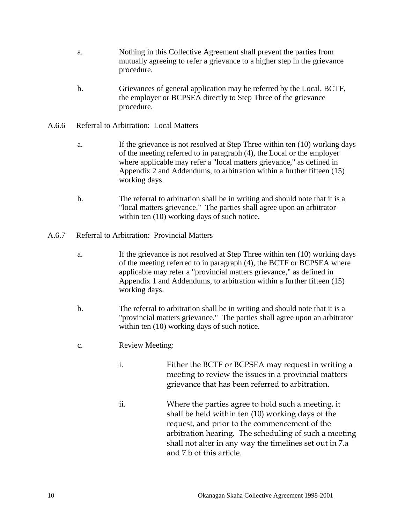- a. Nothing in this Collective Agreement shall prevent the parties from mutually agreeing to refer a grievance to a higher step in the grievance procedure.
- b. Grievances of general application may be referred by the Local, BCTF, the employer or BCPSEA directly to Step Three of the grievance procedure.
- A.6.6 Referral to Arbitration: Local Matters
	- a. If the grievance is not resolved at Step Three within ten (10) working days of the meeting referred to in paragraph (4), the Local or the employer where applicable may refer a "local matters grievance," as defined in Appendix 2 and Addendums, to arbitration within a further fifteen (15) working days.
	- b. The referral to arbitration shall be in writing and should note that it is a "local matters grievance." The parties shall agree upon an arbitrator within ten  $(10)$  working days of such notice.
- A.6.7 Referral to Arbitration: Provincial Matters
	- a. If the grievance is not resolved at Step Three within ten (10) working days of the meeting referred to in paragraph (4), the BCTF or BCPSEA where applicable may refer a "provincial matters grievance," as defined in Appendix 1 and Addendums, to arbitration within a further fifteen (15) working days.
	- b. The referral to arbitration shall be in writing and should note that it is a "provincial matters grievance." The parties shall agree upon an arbitrator within ten  $(10)$  working days of such notice.
	- c. Review Meeting:
		- i. Either the BCTF or BCPSEA may request in writing a meeting to review the issues in a provincial matters grievance that has been referred to arbitration.
		- ii. Where the parties agree to hold such a meeting, it shall be held within ten (10) working days of the request, and prior to the commencement of the arbitration hearing. The scheduling of such a meeting shall not alter in any way the timelines set out in 7.a and 7.b of this article.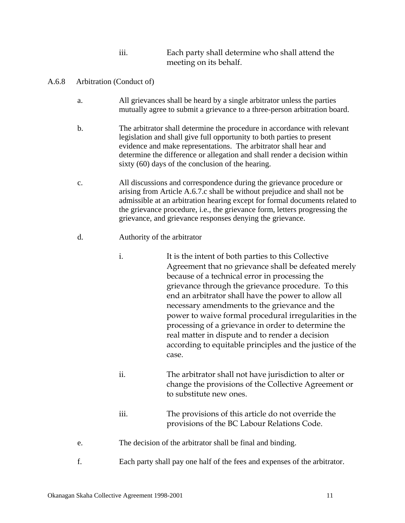| $\cdots$<br>111. | Each party shall determine who shall attend the |
|------------------|-------------------------------------------------|
|                  | meeting on its behalf.                          |

- A.6.8 Arbitration (Conduct of)
	- a. All grievances shall be heard by a single arbitrator unless the parties mutually agree to submit a grievance to a three-person arbitration board.
	- b. The arbitrator shall determine the procedure in accordance with relevant legislation and shall give full opportunity to both parties to present evidence and make representations. The arbitrator shall hear and determine the difference or allegation and shall render a decision within sixty (60) days of the conclusion of the hearing.
	- c. All discussions and correspondence during the grievance procedure or arising from Article A.6.7.c shall be without prejudice and shall not be admissible at an arbitration hearing except for formal documents related to the grievance procedure, i.e., the grievance form, letters progressing the grievance, and grievance responses denying the grievance.
	- d. Authority of the arbitrator
		- i. It is the intent of both parties to this Collective Agreement that no grievance shall be defeated merely because of a technical error in processing the grievance through the grievance procedure. To this end an arbitrator shall have the power to allow all necessary amendments to the grievance and the power to waive formal procedural irregularities in the processing of a grievance in order to determine the real matter in dispute and to render a decision according to equitable principles and the justice of the case.
		- ii. The arbitrator shall not have jurisdiction to alter or change the provisions of the Collective Agreement or to substitute new ones.
		- iii. The provisions of this article do not override the provisions of the BC Labour Relations Code.
	- e. The decision of the arbitrator shall be final and binding.
	- f. Each party shall pay one half of the fees and expenses of the arbitrator.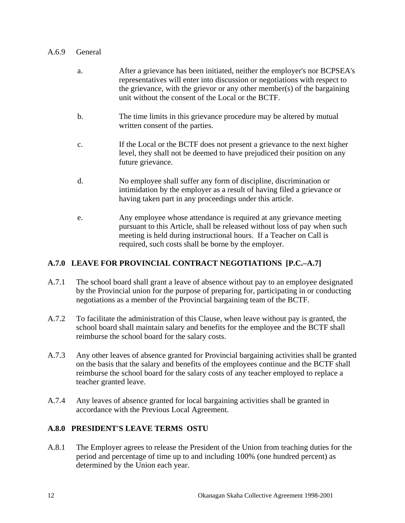#### A.6.9 General

- a. After a grievance has been initiated, neither the employer's nor BCPSEA's representatives will enter into discussion or negotiations with respect to the grievance, with the grievor or any other member(s) of the bargaining unit without the consent of the Local or the BCTF.
- b. The time limits in this grievance procedure may be altered by mutual written consent of the parties.
- c. If the Local or the BCTF does not present a grievance to the next higher level, they shall not be deemed to have prejudiced their position on any future grievance.
- d. No employee shall suffer any form of discipline, discrimination or intimidation by the employer as a result of having filed a grievance or having taken part in any proceedings under this article.
- e. Any employee whose attendance is required at any grievance meeting pursuant to this Article, shall be released without loss of pay when such meeting is held during instructional hours. If a Teacher on Call is required, such costs shall be borne by the employer.

## **A.7.0 LEAVE FOR PROVINCIAL CONTRACT NEGOTIATIONS [P.C.–A.7]**

- A.7.1 The school board shall grant a leave of absence without pay to an employee designated by the Provincial union for the purpose of preparing for, participating in or conducting negotiations as a member of the Provincial bargaining team of the BCTF.
- A.7.2 To facilitate the administration of this Clause, when leave without pay is granted, the school board shall maintain salary and benefits for the employee and the BCTF shall reimburse the school board for the salary costs.
- A.7.3 Any other leaves of absence granted for Provincial bargaining activities shall be granted on the basis that the salary and benefits of the employees continue and the BCTF shall reimburse the school board for the salary costs of any teacher employed to replace a teacher granted leave.
- A.7.4 Any leaves of absence granted for local bargaining activities shall be granted in accordance with the Previous Local Agreement.

#### **A.8.0 PRESIDENT'S LEAVE TERMS OSTU**

A.8.1 The Employer agrees to release the President of the Union from teaching duties for the period and percentage of time up to and including 100% (one hundred percent) as determined by the Union each year.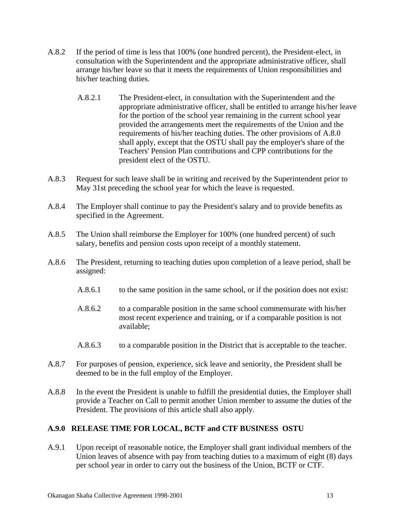- A.8.2 If the period of time is less that 100% (one hundred percent), the President-elect, in consultation with the Superintendent and the appropriate administrative officer, shall arrange his/her leave so that it meets the requirements of Union responsibilities and his/her teaching duties.
	- A.8.2.1 The President-elect, in consultation with the Superintendent and the appropriate administrative officer, shall be entitled to arrange his/her leave for the portion of the school year remaining in the current school year provided the arrangements meet the requirements of the Union and the requirements of his/her teaching duties. The other provisions of A.8.0 shall apply, except that the OSTU shall pay the employer's share of the Teachers' Pension Plan contributions and CPP contributions for the president elect of the OSTU.
- A.8.3 Request for such leave shall be in writing and received by the Superintendent prior to May 31st preceding the school year for which the leave is requested.
- A.8.4 The Employer shall continue to pay the President's salary and to provide benefits as specified in the Agreement.
- A.8.5 The Union shall reimburse the Employer for 100% (one hundred percent) of such salary, benefits and pension costs upon receipt of a monthly statement.
- A.8.6 The President, returning to teaching duties upon completion of a leave period, shall be assigned:
	- A.8.6.1 to the same position in the same school, or if the position does not exist:
	- A.8.6.2 to a comparable position in the same school commensurate with his/her most recent experience and training, or if a comparable position is not available;
	- A.8.6.3 to a comparable position in the District that is acceptable to the teacher.
- A.8.7 For purposes of pension, experience, sick leave and seniority, the President shall be deemed to be in the full employ of the Employer.
- A.8.8 In the event the President is unable to fulfill the presidential duties, the Employer shall provide a Teacher on Call to permit another Union member to assume the duties of the President. The provisions of this article shall also apply.

#### **A.9.0 RELEASE TIME FOR LOCAL, BCTF and CTF BUSINESS OSTU**

A.9.1 Upon receipt of reasonable notice, the Employer shall grant individual members of the Union leaves of absence with pay from teaching duties to a maximum of eight (8) days per school year in order to carry out the business of the Union, BCTF or CTF.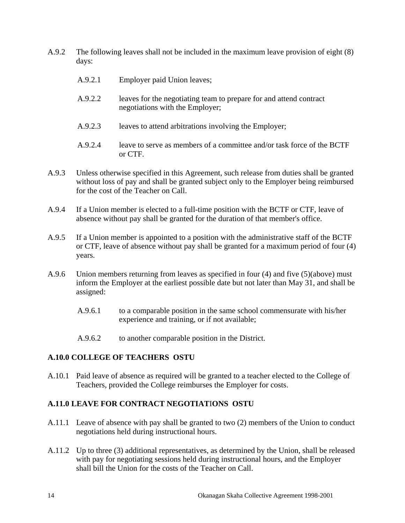- A.9.2 The following leaves shall not be included in the maximum leave provision of eight (8) days:
	- A.9.2.1 Employer paid Union leaves;
	- A.9.2.2 leaves for the negotiating team to prepare for and attend contract negotiations with the Employer;
	- A.9.2.3 leaves to attend arbitrations involving the Employer;
	- A.9.2.4 leave to serve as members of a committee and/or task force of the BCTF or CTF.
- A.9.3 Unless otherwise specified in this Agreement, such release from duties shall be granted without loss of pay and shall be granted subject only to the Employer being reimbursed for the cost of the Teacher on Call.
- A.9.4 If a Union member is elected to a full-time position with the BCTF or CTF, leave of absence without pay shall be granted for the duration of that member's office.
- A.9.5 If a Union member is appointed to a position with the administrative staff of the BCTF or CTF, leave of absence without pay shall be granted for a maximum period of four (4) years.
- A.9.6 Union members returning from leaves as specified in four (4) and five (5)(above) must inform the Employer at the earliest possible date but not later than May 31, and shall be assigned:
	- A.9.6.1 to a comparable position in the same school commensurate with his/her experience and training, or if not available;
	- A.9.6.2 to another comparable position in the District.

#### **A.10.0 COLLEGE OF TEACHERS OSTU**

A.10.1 Paid leave of absence as required will be granted to a teacher elected to the College of Teachers, provided the College reimburses the Employer for costs.

#### **A.11.0 LEAVE FOR CONTRACT NEGOTIAT**I**ONS OSTU**

- A.11.1 Leave of absence with pay shall be granted to two (2) members of the Union to conduct negotiations held during instructional hours.
- A.11.2 Up to three (3) additional representatives, as determined by the Union, shall be released with pay for negotiating sessions held during instructional hours, and the Employer shall bill the Union for the costs of the Teacher on Call.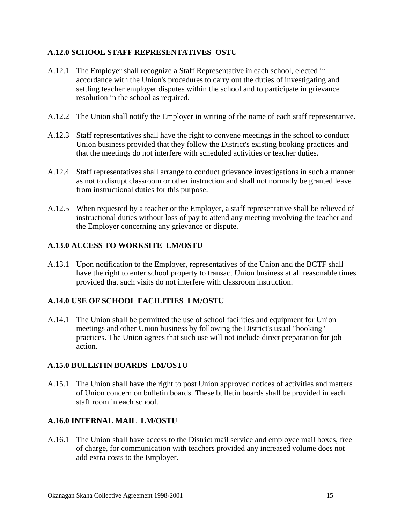#### **A.12.0 SCHOOL STAFF REPRESENTATIVES OSTU**

- A.12.1 The Employer shall recognize a Staff Representative in each school, elected in accordance with the Union's procedures to carry out the duties of investigating and settling teacher employer disputes within the school and to participate in grievance resolution in the school as required.
- A.12.2 The Union shall notify the Employer in writing of the name of each staff representative.
- A.12.3 Staff representatives shall have the right to convene meetings in the school to conduct Union business provided that they follow the District's existing booking practices and that the meetings do not interfere with scheduled activities or teacher duties.
- A.12.4 Staff representatives shall arrange to conduct grievance investigations in such a manner as not to disrupt classroom or other instruction and shall not normally be granted leave from instructional duties for this purpose.
- A.12.5 When requested by a teacher or the Employer, a staff representative shall be relieved of instructional duties without loss of pay to attend any meeting involving the teacher and the Employer concerning any grievance or dispute.

#### **A.13.0 ACCESS TO WORKSITE LM/OSTU**

A.13.1 Upon notification to the Employer, representatives of the Union and the BCTF shall have the right to enter school property to transact Union business at all reasonable times provided that such visits do not interfere with classroom instruction.

#### **A.14.0 USE OF SCHOOL FACILITIES LM/OSTU**

A.14.1 The Union shall be permitted the use of school facilities and equipment for Union meetings and other Union business by following the District's usual "booking" practices. The Union agrees that such use will not include direct preparation for job action.

#### **A.15.0 BULLETIN BOARDS LM/OSTU**

A.15.1 The Union shall have the right to post Union approved notices of activities and matters of Union concern on bulletin boards. These bulletin boards shall be provided in each staff room in each school.

#### **A.16.0 INTERNAL MAIL LM/OSTU**

A.16.1 The Union shall have access to the District mail service and employee mail boxes, free of charge, for communication with teachers provided any increased volume does not add extra costs to the Employer.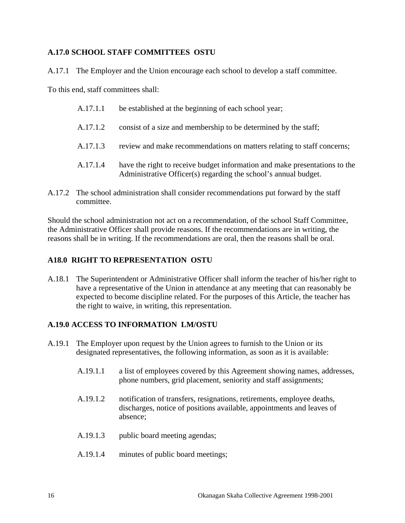#### **A.17.0 SCHOOL STAFF COMMITTEES OSTU**

A.17.1 The Employer and the Union encourage each school to develop a staff committee.

To this end, staff committees shall:

| A.17.1.1 | be established at the beginning of each school year;                                                                                          |
|----------|-----------------------------------------------------------------------------------------------------------------------------------------------|
| A.17.1.2 | consist of a size and membership to be determined by the staff;                                                                               |
| A.17.1.3 | review and make recommendations on matters relating to staff concerns;                                                                        |
| A.17.1.4 | have the right to receive budget information and make presentations to the<br>Administrative Officer(s) regarding the school's annual budget. |

A.17.2 The school administration shall consider recommendations put forward by the staff committee.

Should the school administration not act on a recommendation, of the school Staff Committee, the Administrative Officer shall provide reasons. If the recommendations are in writing, the reasons shall be in writing. If the recommendations are oral, then the reasons shall be oral.

#### **A18.0 RIGHT TO REPRESENTATION OSTU**

A.18.1 The Superintendent or Administrative Officer shall inform the teacher of his/her right to have a representative of the Union in attendance at any meeting that can reasonably be expected to become discipline related. For the purposes of this Article, the teacher has the right to waive, in writing, this representation.

## **A.19.0 ACCESS TO INFORMATION LM/OSTU**

- A.19.1 The Employer upon request by the Union agrees to furnish to the Union or its designated representatives, the following information, as soon as it is available:
	- A.19.1.1 a list of employees covered by this Agreement showing names, addresses, phone numbers, grid placement, seniority and staff assignments;
	- A.19.1.2 notification of transfers, resignations, retirements, employee deaths, discharges, notice of positions available, appointments and leaves of absence;
	- A.19.1.3 public board meeting agendas;
	- A.19.1.4 minutes of public board meetings;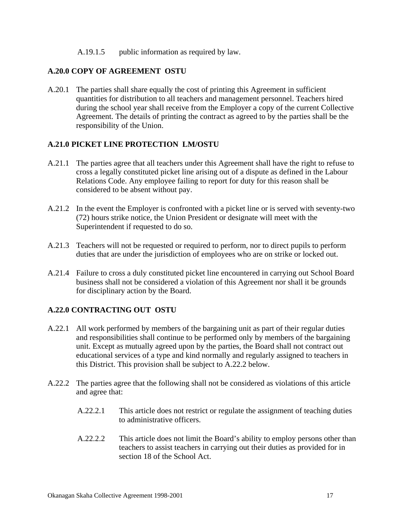#### A.19.1.5 public information as required by law.

#### **A.20.0 COPY OF AGREEMENT OSTU**

A.20.1 The parties shall share equally the cost of printing this Agreement in sufficient quantities for distribution to all teachers and management personnel. Teachers hired during the school year shall receive from the Employer a copy of the current Collective Agreement. The details of printing the contract as agreed to by the parties shall be the responsibility of the Union.

#### **A.21.0 PICKET LINE PROTECTION LM/OSTU**

- A.21.1 The parties agree that all teachers under this Agreement shall have the right to refuse to cross a legally constituted picket line arising out of a dispute as defined in the Labour Relations Code. Any employee failing to report for duty for this reason shall be considered to be absent without pay.
- A.21.2 In the event the Employer is confronted with a picket line or is served with seventy-two (72) hours strike notice, the Union President or designate will meet with the Superintendent if requested to do so.
- A.21.3 Teachers will not be requested or required to perform, nor to direct pupils to perform duties that are under the jurisdiction of employees who are on strike or locked out.
- A.21.4 Failure to cross a duly constituted picket line encountered in carrying out School Board business shall not be considered a violation of this Agreement nor shall it be grounds for disciplinary action by the Board.

#### **A.22.0 CONTRACTING OUT OSTU**

- A.22.1 All work performed by members of the bargaining unit as part of their regular duties and responsibilities shall continue to be performed only by members of the bargaining unit. Except as mutually agreed upon by the parties, the Board shall not contract out educational services of a type and kind normally and regularly assigned to teachers in this District. This provision shall be subject to A.22.2 below.
- A.22.2 The parties agree that the following shall not be considered as violations of this article and agree that:
	- A.22.2.1 This article does not restrict or regulate the assignment of teaching duties to administrative officers.
	- A.22.2.2 This article does not limit the Board's ability to employ persons other than teachers to assist teachers in carrying out their duties as provided for in section 18 of the School Act.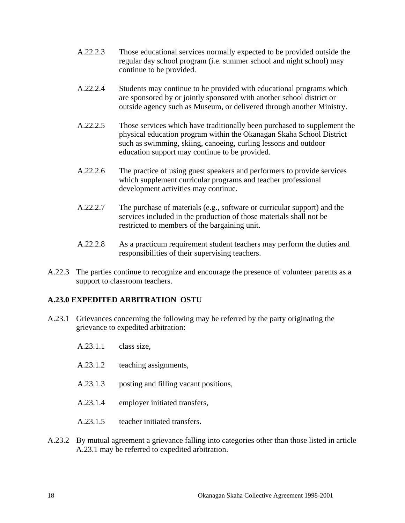- A.22.2.3 Those educational services normally expected to be provided outside the regular day school program (i.e. summer school and night school) may continue to be provided.
- A.22.2.4 Students may continue to be provided with educational programs which are sponsored by or jointly sponsored with another school district or outside agency such as Museum, or delivered through another Ministry.
- A.22.2.5 Those services which have traditionally been purchased to supplement the physical education program within the Okanagan Skaha School District such as swimming, skiing, canoeing, curling lessons and outdoor education support may continue to be provided.
- A.22.2.6 The practice of using guest speakers and performers to provide services which supplement curricular programs and teacher professional development activities may continue.
- A.22.2.7 The purchase of materials (e.g., software or curricular support) and the services included in the production of those materials shall not be restricted to members of the bargaining unit.
- A.22.2.8 As a practicum requirement student teachers may perform the duties and responsibilities of their supervising teachers.
- A.22.3 The parties continue to recognize and encourage the presence of volunteer parents as a support to classroom teachers.

#### **A.23.0 EXPEDITED ARBITRATION OSTU**

- A.23.1 Grievances concerning the following may be referred by the party originating the grievance to expedited arbitration:
	- A.23.1.1 class size,
	- A.23.1.2 teaching assignments,
	- A.23.1.3 posting and filling vacant positions,
	- A.23.1.4 employer initiated transfers,
	- A.23.1.5 teacher initiated transfers.
- A.23.2 By mutual agreement a grievance falling into categories other than those listed in article A.23.1 may be referred to expedited arbitration.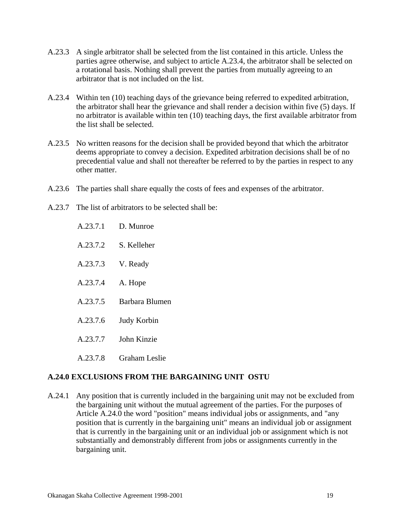- A.23.3 A single arbitrator shall be selected from the list contained in this article. Unless the parties agree otherwise, and subject to article A.23.4, the arbitrator shall be selected on a rotational basis. Nothing shall prevent the parties from mutually agreeing to an arbitrator that is not included on the list.
- A.23.4 Within ten (10) teaching days of the grievance being referred to expedited arbitration, the arbitrator shall hear the grievance and shall render a decision within five (5) days. If no arbitrator is available within ten (10) teaching days, the first available arbitrator from the list shall be selected.
- A.23.5 No written reasons for the decision shall be provided beyond that which the arbitrator deems appropriate to convey a decision. Expedited arbitration decisions shall be of no precedential value and shall not thereafter be referred to by the parties in respect to any other matter.
- A.23.6 The parties shall share equally the costs of fees and expenses of the arbitrator.
- A.23.7 The list of arbitrators to be selected shall be:
	- A.23.7.1 D. Munroe
	- A.23.7.2 S. Kelleher
	- A.23.7.3 V. Ready
	- A.23.7.4 A. Hope
	- A.23.7.5 Barbara Blumen
	- A.23.7.6 Judy Korbin
	- A.23.7.7 John Kinzie
	- A.23.7.8 Graham Leslie

#### **A.24.0 EXCLUSIONS FROM THE BARGAINING UNIT OSTU**

A.24.1 Any position that is currently included in the bargaining unit may not be excluded from the bargaining unit without the mutual agreement of the parties. For the purposes of Article A.24.0 the word "position" means individual jobs or assignments, and "any position that is currently in the bargaining unit" means an individual job or assignment that is currently in the bargaining unit or an individual job or assignment which is not substantially and demonstrably different from jobs or assignments currently in the bargaining unit.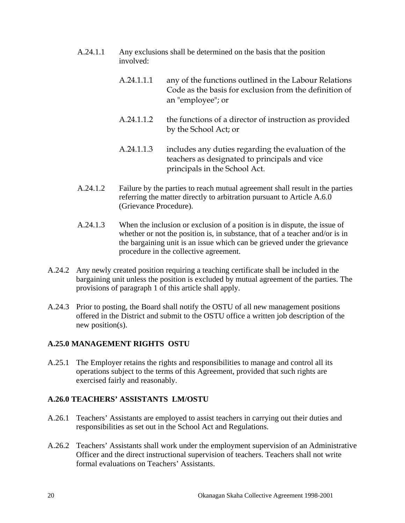- A.24.1.1 Any exclusions shall be determined on the basis that the position involved:
	- A.24.1.1.1 any of the functions outlined in the Labour Relations Code as the basis for exclusion from the definition of an "employee"; or
	- A.24.1.1.2 the functions of a director of instruction as provided by the School Act; or
	- A.24.1.1.3 includes any duties regarding the evaluation of the teachers as designated to principals and vice principals in the School Act.
- A.24.1.2 Failure by the parties to reach mutual agreement shall result in the parties referring the matter directly to arbitration pursuant to Article A.6.0 (Grievance Procedure).
- A.24.1.3 When the inclusion or exclusion of a position is in dispute, the issue of whether or not the position is, in substance, that of a teacher and/or is in the bargaining unit is an issue which can be grieved under the grievance procedure in the collective agreement.
- A.24.2 Any newly created position requiring a teaching certificate shall be included in the bargaining unit unless the position is excluded by mutual agreement of the parties. The provisions of paragraph 1 of this article shall apply.
- A.24.3 Prior to posting, the Board shall notify the OSTU of all new management positions offered in the District and submit to the OSTU office a written job description of the new position(s).

## **A.25.0 MANAGEMENT RIGHTS OSTU**

A.25.1 The Employer retains the rights and responsibilities to manage and control all its operations subject to the terms of this Agreement, provided that such rights are exercised fairly and reasonably.

## **A.26.0 TEACHERS' ASSISTANTS LM/OSTU**

- A.26.1 Teachers' Assistants are employed to assist teachers in carrying out their duties and responsibilities as set out in the School Act and Regulations.
- A.26.2 Teachers' Assistants shall work under the employment supervision of an Administrative Officer and the direct instructional supervision of teachers. Teachers shall not write formal evaluations on Teachers' Assistants.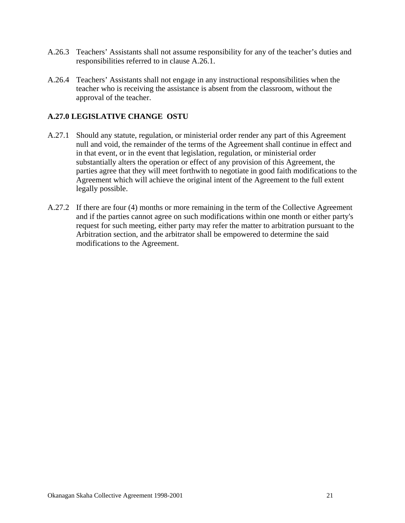- A.26.3 Teachers' Assistants shall not assume responsibility for any of the teacher's duties and responsibilities referred to in clause A.26.1.
- A.26.4 Teachers' Assistants shall not engage in any instructional responsibilities when the teacher who is receiving the assistance is absent from the classroom, without the approval of the teacher.

#### **A.27.0 LEGISLATIVE CHANGE OSTU**

- A.27.1 Should any statute, regulation, or ministerial order render any part of this Agreement null and void, the remainder of the terms of the Agreement shall continue in effect and in that event, or in the event that legislation, regulation, or ministerial order substantially alters the operation or effect of any provision of this Agreement, the parties agree that they will meet forthwith to negotiate in good faith modifications to the Agreement which will achieve the original intent of the Agreement to the full extent legally possible.
- A.27.2 If there are four (4) months or more remaining in the term of the Collective Agreement and if the parties cannot agree on such modifications within one month or either party's request for such meeting, either party may refer the matter to arbitration pursuant to the Arbitration section, and the arbitrator shall be empowered to determine the said modifications to the Agreement.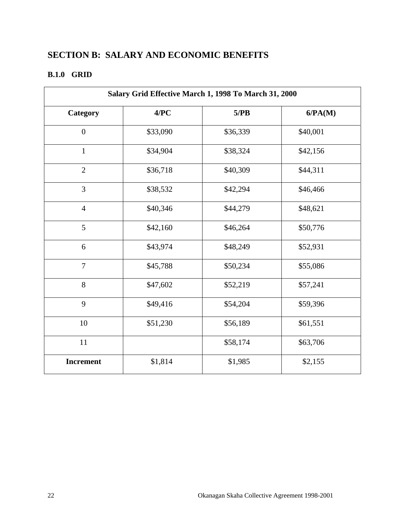## **SECTION B: SALARY AND ECONOMIC BENEFITS**

## **B.1.0 GRID**

| Salary Grid Effective March 1, 1998 To March 31, 2000 |          |          |          |
|-------------------------------------------------------|----------|----------|----------|
| Category                                              | 4/PC     | 5/PB     | 6/PA(M)  |
| $\boldsymbol{0}$                                      | \$33,090 | \$36,339 | \$40,001 |
| $\mathbf{1}$                                          | \$34,904 | \$38,324 | \$42,156 |
| $\overline{2}$                                        | \$36,718 | \$40,309 | \$44,311 |
| $\overline{3}$                                        | \$38,532 | \$42,294 | \$46,466 |
| $\overline{4}$                                        | \$40,346 | \$44,279 | \$48,621 |
| 5                                                     | \$42,160 | \$46,264 | \$50,776 |
| 6                                                     | \$43,974 | \$48,249 | \$52,931 |
| $\overline{7}$                                        | \$45,788 | \$50,234 | \$55,086 |
| 8                                                     | \$47,602 | \$52,219 | \$57,241 |
| 9                                                     | \$49,416 | \$54,204 | \$59,396 |
| $10\,$                                                | \$51,230 | \$56,189 | \$61,551 |
| $11\,$                                                |          | \$58,174 | \$63,706 |
| Increment                                             | \$1,814  | \$1,985  | \$2,155  |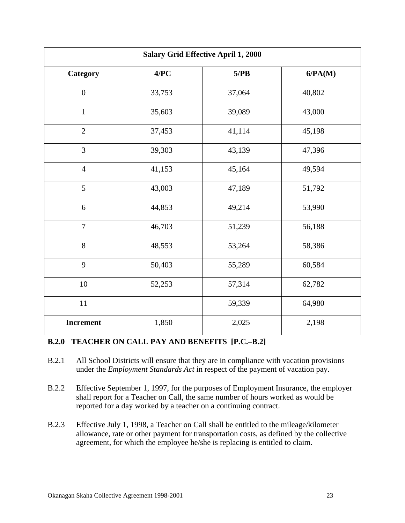| <b>Salary Grid Effective April 1, 2000</b> |        |        |         |
|--------------------------------------------|--------|--------|---------|
| Category                                   | 4/PC   | 5/PB   | 6/PA(M) |
| $\boldsymbol{0}$                           | 33,753 | 37,064 | 40,802  |
| $\mathbf{1}$                               | 35,603 | 39,089 | 43,000  |
| $\overline{2}$                             | 37,453 | 41,114 | 45,198  |
| $\overline{3}$                             | 39,303 | 43,139 | 47,396  |
| $\overline{4}$                             | 41,153 | 45,164 | 49,594  |
| 5                                          | 43,003 | 47,189 | 51,792  |
| 6                                          | 44,853 | 49,214 | 53,990  |
| $\overline{7}$                             | 46,703 | 51,239 | 56,188  |
| 8                                          | 48,553 | 53,264 | 58,386  |
| 9                                          | 50,403 | 55,289 | 60,584  |
| $10\,$                                     | 52,253 | 57,314 | 62,782  |
| $11\,$                                     |        | 59,339 | 64,980  |
| <b>Increment</b>                           | 1,850  | 2,025  | 2,198   |

#### **B.2.0 TEACHER ON CALL PAY AND BENEFITS [P.C.–B.2]**

- B.2.1 All School Districts will ensure that they are in compliance with vacation provisions under the *Employment Standards Act* in respect of the payment of vacation pay.
- B.2.2 Effective September 1, 1997, for the purposes of Employment Insurance, the employer shall report for a Teacher on Call, the same number of hours worked as would be reported for a day worked by a teacher on a continuing contract.
- B.2.3 Effective July 1, 1998, a Teacher on Call shall be entitled to the mileage/kilometer allowance, rate or other payment for transportation costs, as defined by the collective agreement, for which the employee he/she is replacing is entitled to claim.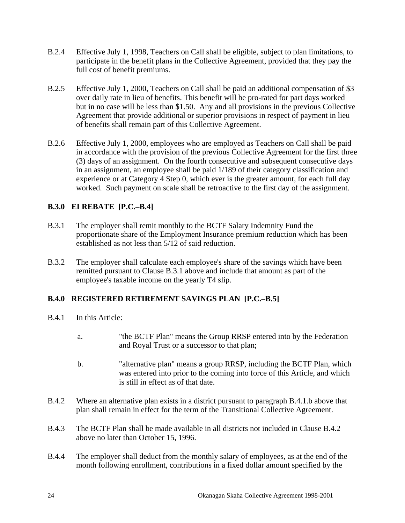- B.2.4 Effective July 1, 1998, Teachers on Call shall be eligible, subject to plan limitations, to participate in the benefit plans in the Collective Agreement, provided that they pay the full cost of benefit premiums.
- B.2.5 Effective July 1, 2000, Teachers on Call shall be paid an additional compensation of \$3 over daily rate in lieu of benefits. This benefit will be pro-rated for part days worked but in no case will be less than \$1.50. Any and all provisions in the previous Collective Agreement that provide additional or superior provisions in respect of payment in lieu of benefits shall remain part of this Collective Agreement.
- B.2.6 Effective July 1, 2000, employees who are employed as Teachers on Call shall be paid in accordance with the provision of the previous Collective Agreement for the first three (3) days of an assignment. On the fourth consecutive and subsequent consecutive days in an assignment, an employee shall be paid 1/189 of their category classification and experience or at Category 4 Step 0, which ever is the greater amount, for each full day worked. Such payment on scale shall be retroactive to the first day of the assignment.

#### **B.3.0 EI REBATE [P.C.–B.4]**

- B.3.1 The employer shall remit monthly to the BCTF Salary Indemnity Fund the proportionate share of the Employment Insurance premium reduction which has been established as not less than  $5/12$  of said reduction.
- B.3.2 The employer shall calculate each employee's share of the savings which have been remitted pursuant to Clause B.3.1 above and include that amount as part of the employee's taxable income on the yearly T4 slip.

#### **B.4.0 REGISTERED RETIREMENT SAVINGS PLAN [P.C.–B.5]**

- B.4.1 In this Article:
	- a. "the BCTF Plan" means the Group RRSP entered into by the Federation and Royal Trust or a successor to that plan;
	- b. "alternative plan" means a group RRSP, including the BCTF Plan, which was entered into prior to the coming into force of this Article, and which is still in effect as of that date.
- B.4.2 Where an alternative plan exists in a district pursuant to paragraph B.4.1.b above that plan shall remain in effect for the term of the Transitional Collective Agreement.
- B.4.3 The BCTF Plan shall be made available in all districts not included in Clause B.4.2 above no later than October 15, 1996.
- B.4.4 The employer shall deduct from the monthly salary of employees, as at the end of the month following enrollment, contributions in a fixed dollar amount specified by the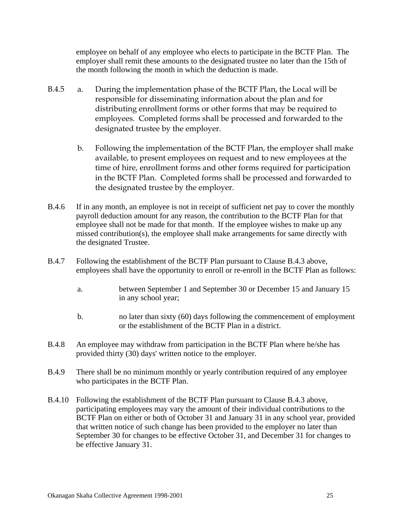employee on behalf of any employee who elects to participate in the BCTF Plan. The employer shall remit these amounts to the designated trustee no later than the 15th of the month following the month in which the deduction is made.

- B.4.5 a. During the implementation phase of the BCTF Plan, the Local will be responsible for disseminating information about the plan and for distributing enrollment forms or other forms that may be required to employees. Completed forms shall be processed and forwarded to the designated trustee by the employer.
	- b. Following the implementation of the BCTF Plan, the employer shall make available, to present employees on request and to new employees at the time of hire, enrollment forms and other forms required for participation in the BCTF Plan. Completed forms shall be processed and forwarded to the designated trustee by the employer.
- B.4.6 If in any month, an employee is not in receipt of sufficient net pay to cover the monthly payroll deduction amount for any reason, the contribution to the BCTF Plan for that employee shall not be made for that month. If the employee wishes to make up any missed contribution(s), the employee shall make arrangements for same directly with the designated Trustee.
- B.4.7 Following the establishment of the BCTF Plan pursuant to Clause B.4.3 above, employees shall have the opportunity to enroll or re-enroll in the BCTF Plan as follows:
	- a. between September 1 and September 30 or December 15 and January 15 in any school year;
	- b. no later than sixty (60) days following the commencement of employment or the establishment of the BCTF Plan in a district.
- B.4.8 An employee may withdraw from participation in the BCTF Plan where he/she has provided thirty (30) days' written notice to the employer.
- B.4.9 There shall be no minimum monthly or yearly contribution required of any employee who participates in the BCTF Plan.
- B.4.10 Following the establishment of the BCTF Plan pursuant to Clause B.4.3 above, participating employees may vary the amount of their individual contributions to the BCTF Plan on either or both of October 31 and January 31 in any school year, provided that written notice of such change has been provided to the employer no later than September 30 for changes to be effective October 31, and December 31 for changes to be effective January 31.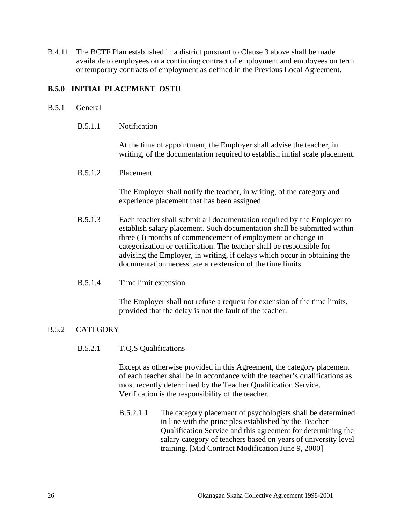B.4.11 The BCTF Plan established in a district pursuant to Clause 3 above shall be made available to employees on a continuing contract of employment and employees on term or temporary contracts of employment as defined in the Previous Local Agreement.

#### **B.5.0 INITIAL PLACEMENT OSTU**

#### B.5.1 General

B.5.1.1 Notification

 At the time of appointment, the Employer shall advise the teacher, in writing, of the documentation required to establish initial scale placement.

B.5.1.2 Placement

 The Employer shall notify the teacher, in writing, of the category and experience placement that has been assigned.

- B.5.1.3 Each teacher shall submit all documentation required by the Employer to establish salary placement. Such documentation shall be submitted within three (3) months of commencement of employment or change in categorization or certification. The teacher shall be responsible for advising the Employer, in writing, if delays which occur in obtaining the documentation necessitate an extension of the time limits.
- B.5.1.4 Time limit extension

 The Employer shall not refuse a request for extension of the time limits, provided that the delay is not the fault of the teacher.

#### B.5.2 CATEGORY

B.5.2.1 T.Q.S Qualifications

 Except as otherwise provided in this Agreement, the category placement of each teacher shall be in accordance with the teacher's qualifications as most recently determined by the Teacher Qualification Service. Verification is the responsibility of the teacher.

B.5.2.1.1. The category placement of psychologists shall be determined in line with the principles established by the Teacher Qualification Service and this agreement for determining the salary category of teachers based on years of university level training. [Mid Contract Modification June 9, 2000]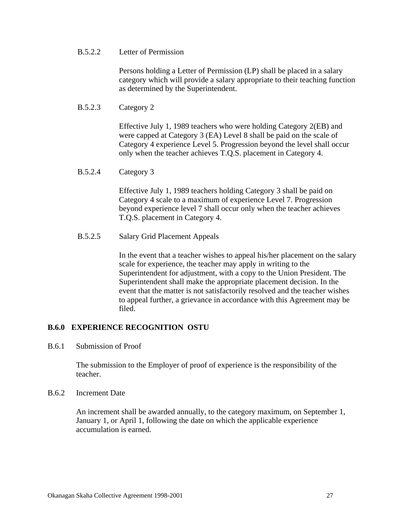#### B.5.2.2 Letter of Permission

 Persons holding a Letter of Permission (LP) shall be placed in a salary category which will provide a salary appropriate to their teaching function as determined by the Superintendent.

#### B.5.2.3 Category 2

 Effective July 1, 1989 teachers who were holding Category 2(EB) and were capped at Category 3 (EA) Level 8 shall be paid on the scale of Category 4 experience Level 5. Progression beyond the level shall occur only when the teacher achieves T.Q.S. placement in Category 4.

#### B.5.2.4 Category 3

 Effective July 1, 1989 teachers holding Category 3 shall be paid on Category 4 scale to a maximum of experience Level 7. Progression beyond experience level 7 shall occur only when the teacher achieves T.Q.S. placement in Category 4.

#### B.5.2.5 Salary Grid Placement Appeals

 In the event that a teacher wishes to appeal his/her placement on the salary scale for experience, the teacher may apply in writing to the Superintendent for adjustment, with a copy to the Union President. The Superintendent shall make the appropriate placement decision. In the event that the matter is not satisfactorily resolved and the teacher wishes to appeal further, a grievance in accordance with this Agreement may be filed.

#### **B.6.0 EXPERIENCE RECOGNITION OSTU**

B.6.1 Submission of Proof

 The submission to the Employer of proof of experience is the responsibility of the teacher.

#### B.6.2 Increment Date

 An increment shall be awarded annually, to the category maximum, on September 1, January 1, or April 1, following the date on which the applicable experience accumulation is earned.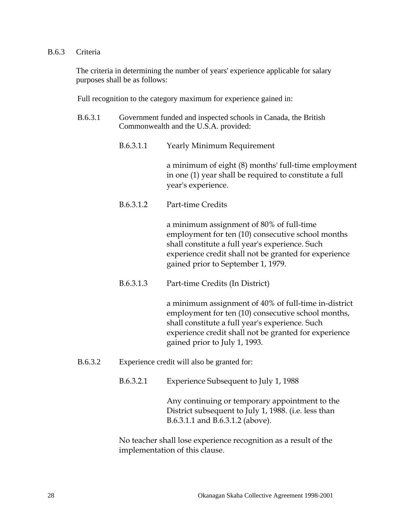#### B.6.3 Criteria

 The criteria in determining the number of years' experience applicable for salary purposes shall be as follows:

Full recognition to the category maximum for experience gained in:

- B.6.3.1 Government funded and inspected schools in Canada, the British Commonwealth and the U.S.A. provided:
	- B.6.3.1.1 Yearly Minimum Requirement

a minimum of eight (8) months' full-time employment in one (1) year shall be required to constitute a full year's experience.

B.6.3.1.2 Part-time Credits

a minimum assignment of 80% of full-time employment for ten (10) consecutive school months shall constitute a full year's experience. Such experience credit shall not be granted for experience gained prior to September 1, 1979.

B.6.3.1.3 Part-time Credits (In District)

a minimum assignment of 40% of full-time in-district employment for ten (10) consecutive school months, shall constitute a full year's experience. Such experience credit shall not be granted for experience gained prior to July 1, 1993.

- B.6.3.2 Experience credit will also be granted for:
	- B.6.3.2.1 Experience Subsequent to July 1, 1988

Any continuing or temporary appointment to the District subsequent to July 1, 1988. (i.e. less than B.6.3.1.1 and B.6.3.1.2 (above).

No teacher shall lose experience recognition as a result of the implementation of this clause.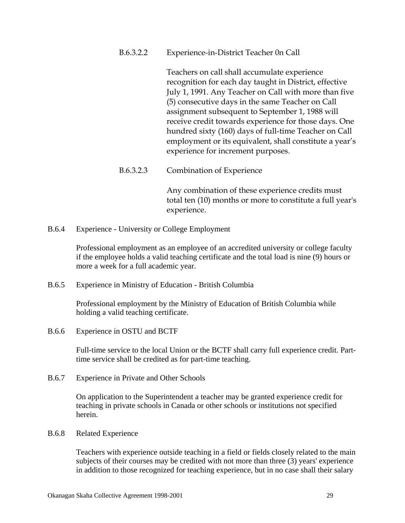B.6.3.2.2 Experience-in-District Teacher 0n Call

Teachers on call shall accumulate experience recognition for each day taught in District, effective July 1, 1991. Any Teacher on Call with more than five (5) consecutive days in the same Teacher on Call assignment subsequent to September 1, 1988 will receive credit towards experience for those days. One hundred sixty (160) days of full-time Teacher on Call employment or its equivalent, shall constitute a year's experience for increment purposes.

B.6.3.2.3 Combination of Experience

Any combination of these experience credits must total ten (10) months or more to constitute a full year's experience.

B.6.4 Experience - University or College Employment

 Professional employment as an employee of an accredited university or college faculty if the employee holds a valid teaching certificate and the total load is nine (9) hours or more a week for a full academic year.

B.6.5 Experience in Ministry of Education - British Columbia

 Professional employment by the Ministry of Education of British Columbia while holding a valid teaching certificate.

B.6.6 Experience in OSTU and BCTF

 Full-time service to the local Union or the BCTF shall carry full experience credit. Parttime service shall be credited as for part-time teaching.

B.6.7 Experience in Private and Other Schools

 On application to the Superintendent a teacher may be granted experience credit for teaching in private schools in Canada or other schools or institutions not specified herein.

B.6.8 Related Experience

 Teachers with experience outside teaching in a field or fields closely related to the main subjects of their courses may be credited with not more than three (3) years' experience in addition to those recognized for teaching experience, but in no case shall their salary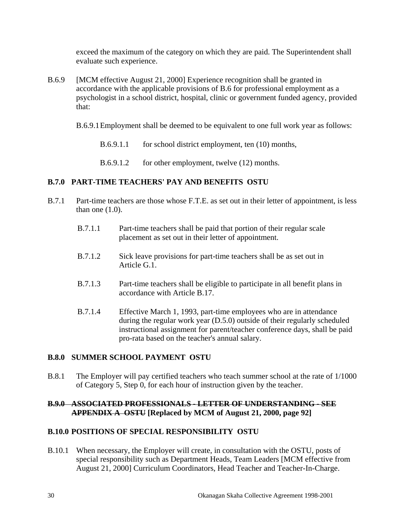exceed the maximum of the category on which they are paid. The Superintendent shall evaluate such experience.

- B.6.9 [MCM effective August 21, 2000] Experience recognition shall be granted in accordance with the applicable provisions of B.6 for professional employment as a psychologist in a school district, hospital, clinic or government funded agency, provided that:
	- B.6.9.1 Employment shall be deemed to be equivalent to one full work year as follows:
		- B.6.9.1.1 for school district employment, ten (10) months,
		- B.6.9.1.2 for other employment, twelve (12) months.

#### **B.7.0 PART-TIME TEACHERS' PAY AND BENEFITS OSTU**

- B.7.1 Part-time teachers are those whose F.T.E. as set out in their letter of appointment, is less than one  $(1.0)$ .
	- B.7.1.1 Part-time teachers shall be paid that portion of their regular scale placement as set out in their letter of appointment.
	- B.7.1.2 Sick leave provisions for part-time teachers shall be as set out in Article G.1.
	- B.7.1.3 Part-time teachers shall be eligible to participate in all benefit plans in accordance with Article B.17.
	- B.7.1.4 Effective March 1, 1993, part-time employees who are in attendance during the regular work year (D.5.0) outside of their regularly scheduled instructional assignment for parent/teacher conference days, shall be paid pro-rata based on the teacher's annual salary.

#### **B.8.0 SUMMER SCHOOL PAYMENT OSTU**

B.8.1 The Employer will pay certified teachers who teach summer school at the rate of 1/1000 of Category 5, Step 0, for each hour of instruction given by the teacher.

#### **B.9.0 ASSOCIATED PROFESSIONALS - LETTER OF UNDERSTANDING - SEE APPENDIX A OSTU [Replaced by MCM of August 21, 2000, page 92]**

#### **B.10.0 POSITIONS OF SPECIAL RESPONSIBILITY OSTU**

B.10.1 When necessary, the Employer will create, in consultation with the OSTU, posts of special responsibility such as Department Heads, Team Leaders [MCM effective from August 21, 2000] Curriculum Coordinators, Head Teacher and Teacher-In-Charge.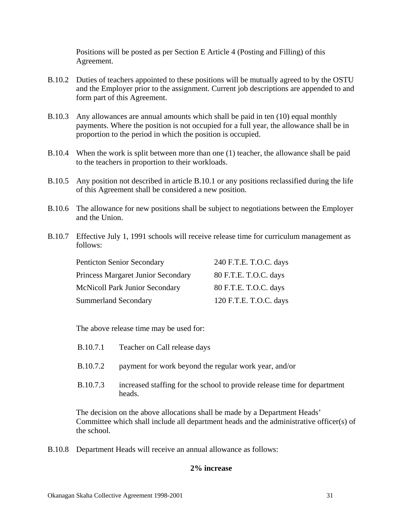Positions will be posted as per Section E Article 4 (Posting and Filling) of this Agreement.

- B.10.2 Duties of teachers appointed to these positions will be mutually agreed to by the OSTU and the Employer prior to the assignment. Current job descriptions are appended to and form part of this Agreement.
- B.10.3 Any allowances are annual amounts which shall be paid in ten (10) equal monthly payments. Where the position is not occupied for a full year, the allowance shall be in proportion to the period in which the position is occupied.
- B.10.4 When the work is split between more than one (1) teacher, the allowance shall be paid to the teachers in proportion to their workloads.
- B.10.5 Any position not described in article B.10.1 or any positions reclassified during the life of this Agreement shall be considered a new position.
- B.10.6 The allowance for new positions shall be subject to negotiations between the Employer and the Union.
- B.10.7 Effective July 1, 1991 schools will receive release time for curriculum management as follows:

| <b>Penticton Senior Secondary</b>     | 240 F.T.E. T.O.C. days |
|---------------------------------------|------------------------|
| Princess Margaret Junior Secondary    | 80 F.T.E. T.O.C. days  |
| <b>McNicoll Park Junior Secondary</b> | 80 F.T.E. T.O.C. days  |
| <b>Summerland Secondary</b>           | 120 F.T.E. T.O.C. days |

The above release time may be used for:

- B.10.7.1 Teacher on Call release days
- B.10.7.2 payment for work beyond the regular work year, and/or
- B.10.7.3 increased staffing for the school to provide release time for department heads.

 The decision on the above allocations shall be made by a Department Heads' Committee which shall include all department heads and the administrative officer(s) of the school.

B.10.8 Department Heads will receive an annual allowance as follows:

#### **2% increase**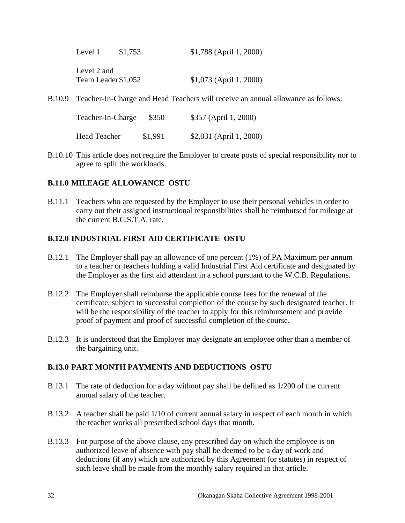| Level 1 | \$1,753             | \$1,788 (April 1, 2000)  |
|---------|---------------------|--------------------------|
|         | Level 2 and         |                          |
|         | Team Leader \$1,052 | $$1,073$ (April 1, 2000) |

B.10.9 Teacher-In-Charge and Head Teachers will receive an annual allowance as follows:

| Teacher-In-Charge   | \$350   | \$357 (April 1, 2000)   |
|---------------------|---------|-------------------------|
| <b>Head Teacher</b> | \$1,991 | \$2,031 (April 1, 2000) |

B.10.10 This article does not require the Employer to create posts of special responsibility nor to agree to split the workloads.

#### **B.11.0 MILEAGE ALLOWANCE OSTU**

B.11.1 Teachers who are requested by the Employer to use their personal vehicles in order to carry out their assigned instructional responsibilities shall be reimbursed for mileage at the current B.C.S.T.A. rate.

#### **B.12.0 INDUSTRIAL FIRST AID CERTIFICATE OSTU**

- B.12.1 The Employer shall pay an allowance of one percent (1%) of PA Maximum per annum to a teacher or teachers holding a valid Industrial First Aid certificate and designated by the Employer as the first aid attendant in a school pursuant to the W.C.B. Regulations.
- B.12.2 The Employer shall reimburse the applicable course fees for the renewal of the certificate, subject to successful completion of the course by such designated teacher. It will be the responsibility of the teacher to apply for this reimbursement and provide proof of payment and proof of successful completion of the course.
- B.12.3 It is understood that the Employer may designate an employee other than a member of the bargaining unit.

#### **B.13.0 PART MONTH PAYMENTS AND DEDUCTIONS OSTU**

- B.13.1 The rate of deduction for a day without pay shall be defined as 1/200 of the current annual salary of the teacher.
- B.13.2 A teacher shall be paid 1/10 of current annual salary in respect of each month in which the teacher works all prescribed school days that month.
- B.13.3 For purpose of the above clause, any prescribed day on which the employee is on authorized leave of absence with pay shall be deemed to be a day of work and deductions (if any) which are authorized by this Agreement (or statutes) in respect of such leave shall be made from the monthly salary required in that article.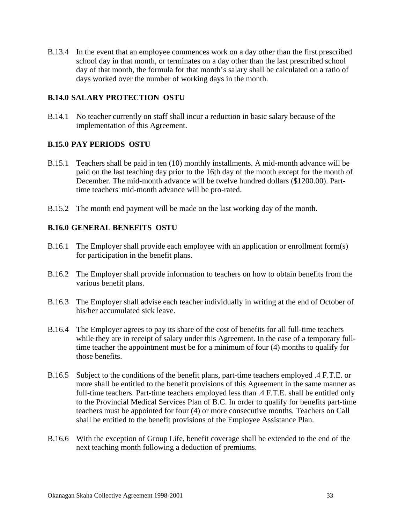B.13.4 In the event that an employee commences work on a day other than the first prescribed school day in that month, or terminates on a day other than the last prescribed school day of that month, the formula for that month's salary shall be calculated on a ratio of days worked over the number of working days in the month.

#### **B.14.0 SALARY PROTECTION OSTU**

B.14.1 No teacher currently on staff shall incur a reduction in basic salary because of the implementation of this Agreement.

#### **B.15.0 PAY PERIODS OSTU**

- B.15.1 Teachers shall be paid in ten (10) monthly installments. A mid-month advance will be paid on the last teaching day prior to the 16th day of the month except for the month of December. The mid-month advance will be twelve hundred dollars (\$1200.00). Parttime teachers' mid-month advance will be pro-rated.
- B.15.2 The month end payment will be made on the last working day of the month.

#### **B.16.0 GENERAL BENEFITS OSTU**

- B.16.1 The Employer shall provide each employee with an application or enrollment form(s) for participation in the benefit plans.
- B.16.2 The Employer shall provide information to teachers on how to obtain benefits from the various benefit plans.
- B.16.3 The Employer shall advise each teacher individually in writing at the end of October of his/her accumulated sick leave.
- B.16.4 The Employer agrees to pay its share of the cost of benefits for all full-time teachers while they are in receipt of salary under this Agreement. In the case of a temporary fulltime teacher the appointment must be for a minimum of four (4) months to qualify for those benefits.
- B.16.5 Subject to the conditions of the benefit plans, part-time teachers employed .4 F.T.E. or more shall be entitled to the benefit provisions of this Agreement in the same manner as full-time teachers. Part-time teachers employed less than .4 F.T.E. shall be entitled only to the Provincial Medical Services Plan of B.C. In order to qualify for benefits part-time teachers must be appointed for four (4) or more consecutive months. Teachers on Call shall be entitled to the benefit provisions of the Employee Assistance Plan.
- B.16.6 With the exception of Group Life, benefit coverage shall be extended to the end of the next teaching month following a deduction of premiums.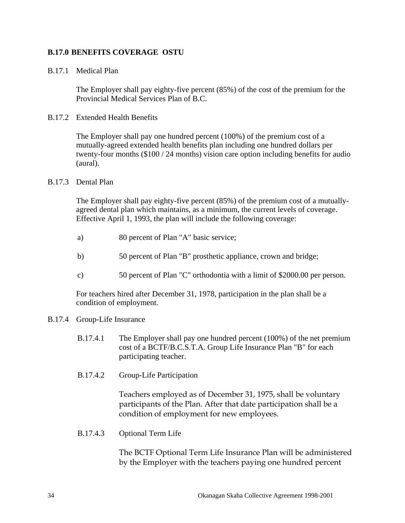#### **B.17.0 BENEFITS COVERAGE OSTU**

#### B.17.1 Medical Plan

 The Employer shall pay eighty-five percent (85%) of the cost of the premium for the Provincial Medical Services Plan of B.C.

#### B.17.2 Extended Health Benefits

 The Employer shall pay one hundred percent (100%) of the premium cost of a mutually-agreed extended health benefits plan including one hundred dollars per twenty-four months (\$100 / 24 months) vision care option including benefits for audio (aural).

#### B.17.3 Dental Plan

 The Employer shall pay eighty-five percent (85%) of the premium cost of a mutuallyagreed dental plan which maintains, as a minimum, the current levels of coverage. Effective April 1, 1993, the plan will include the following coverage:

- a) 80 percent of Plan "A" basic service;
- b) 50 percent of Plan "B" prosthetic appliance, crown and bridge;
- c) 50 percent of Plan "C" orthodontia with a limit of \$2000.00 per person.

 For teachers hired after December 31, 1978, participation in the plan shall be a condition of employment.

#### B.17.4 Group-Life Insurance

- B.17.4.1 The Employer shall pay one hundred percent (100%) of the net premium cost of a BCTF/B.C.S.T.A. Group Life Insurance Plan "B" for each participating teacher.
- B.17.4.2 Group-Life Participation

Teachers employed as of December 31, 1975, shall be voluntary participants of the Plan. After that date participation shall be a condition of employment for new employees.

B.17.4.3 Optional Term Life

The BCTF Optional Term Life Insurance Plan will be administered by the Employer with the teachers paying one hundred percent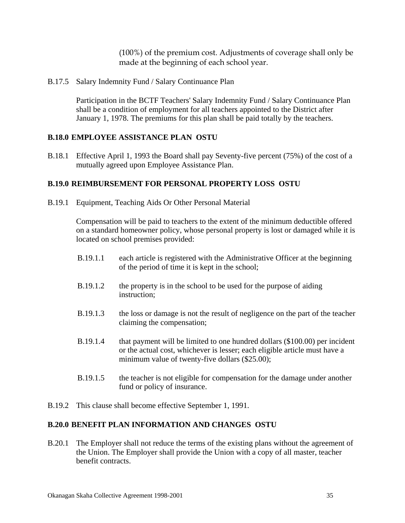(100%) of the premium cost. Adjustments of coverage shall only be made at the beginning of each school year.

B.17.5 Salary Indemnity Fund / Salary Continuance Plan

 Participation in the BCTF Teachers' Salary Indemnity Fund / Salary Continuance Plan shall be a condition of employment for all teachers appointed to the District after January 1, 1978. The premiums for this plan shall be paid totally by the teachers.

#### **B.18.0 EMPLOYEE ASSISTANCE PLAN OSTU**

B.18.1 Effective April 1, 1993 the Board shall pay Seventy-five percent (75%) of the cost of a mutually agreed upon Employee Assistance Plan.

#### **B.19.0 REIMBURSEMENT FOR PERSONAL PROPERTY LOSS OSTU**

B.19.1 Equipment, Teaching Aids Or Other Personal Material

 Compensation will be paid to teachers to the extent of the minimum deductible offered on a standard homeowner policy, whose personal property is lost or damaged while it is located on school premises provided:

- B.19.1.1 each article is registered with the Administrative Officer at the beginning of the period of time it is kept in the school;
- B.19.1.2 the property is in the school to be used for the purpose of aiding instruction;
- B.19.1.3 the loss or damage is not the result of negligence on the part of the teacher claiming the compensation;
- B.19.1.4 that payment will be limited to one hundred dollars (\$100.00) per incident or the actual cost, whichever is lesser; each eligible article must have a minimum value of twenty-five dollars (\$25.00);
- B.19.1.5 the teacher is not eligible for compensation for the damage under another fund or policy of insurance.
- B.19.2 This clause shall become effective September 1, 1991.

#### **B.20.0 BENEFIT PLAN INFORMATION AND CHANGES OSTU**

B.20.1 The Employer shall not reduce the terms of the existing plans without the agreement of the Union. The Employer shall provide the Union with a copy of all master, teacher benefit contracts.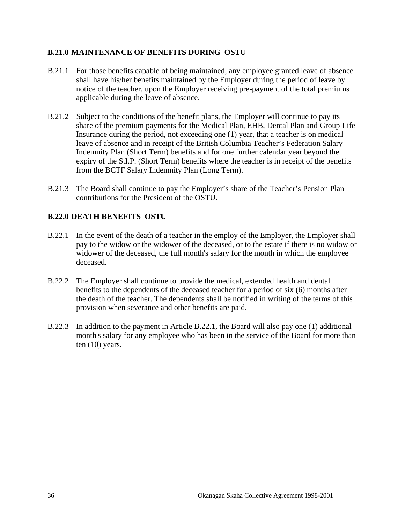#### **B.21.0 MAINTENANCE OF BENEFITS DURING OSTU**

- B.21.1 For those benefits capable of being maintained, any employee granted leave of absence shall have his/her benefits maintained by the Employer during the period of leave by notice of the teacher, upon the Employer receiving pre-payment of the total premiums applicable during the leave of absence.
- B.21.2 Subject to the conditions of the benefit plans, the Employer will continue to pay its share of the premium payments for the Medical Plan, EHB, Dental Plan and Group Life Insurance during the period, not exceeding one (1) year, that a teacher is on medical leave of absence and in receipt of the British Columbia Teacher's Federation Salary Indemnity Plan (Short Term) benefits and for one further calendar year beyond the expiry of the S.I.P. (Short Term) benefits where the teacher is in receipt of the benefits from the BCTF Salary Indemnity Plan (Long Term).
- B.21.3 The Board shall continue to pay the Employer's share of the Teacher's Pension Plan contributions for the President of the OSTU.

#### **B.22.0 DEATH BENEFITS OSTU**

- B.22.1 In the event of the death of a teacher in the employ of the Employer, the Employer shall pay to the widow or the widower of the deceased, or to the estate if there is no widow or widower of the deceased, the full month's salary for the month in which the employee deceased.
- B.22.2 The Employer shall continue to provide the medical, extended health and dental benefits to the dependents of the deceased teacher for a period of six (6) months after the death of the teacher. The dependents shall be notified in writing of the terms of this provision when severance and other benefits are paid.
- B.22.3 In addition to the payment in Article B.22.1, the Board will also pay one (1) additional month's salary for any employee who has been in the service of the Board for more than ten (10) years.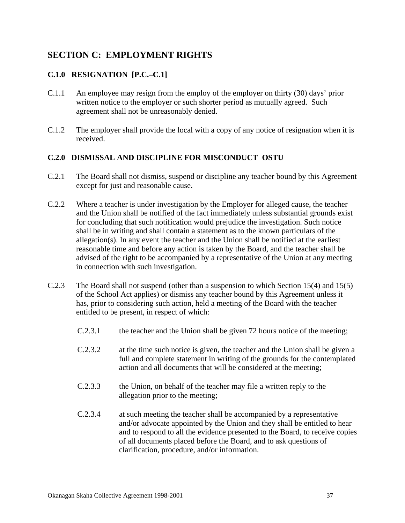# **SECTION C: EMPLOYMENT RIGHTS**

## **C.1.0 RESIGNATION [P.C.–C.1]**

- C.1.1 An employee may resign from the employ of the employer on thirty (30) days' prior written notice to the employer or such shorter period as mutually agreed. Such agreement shall not be unreasonably denied.
- C.1.2 The employer shall provide the local with a copy of any notice of resignation when it is received.

### **C.2.0 DISMISSAL AND DISCIPLINE FOR MISCONDUCT OSTU**

- C.2.1 The Board shall not dismiss, suspend or discipline any teacher bound by this Agreement except for just and reasonable cause.
- C.2.2 Where a teacher is under investigation by the Employer for alleged cause, the teacher and the Union shall be notified of the fact immediately unless substantial grounds exist for concluding that such notification would prejudice the investigation. Such notice shall be in writing and shall contain a statement as to the known particulars of the allegation(s). In any event the teacher and the Union shall be notified at the earliest reasonable time and before any action is taken by the Board, and the teacher shall be advised of the right to be accompanied by a representative of the Union at any meeting in connection with such investigation.
- C.2.3 The Board shall not suspend (other than a suspension to which Section 15(4) and 15(5) of the School Act applies) or dismiss any teacher bound by this Agreement unless it has, prior to considering such action, held a meeting of the Board with the teacher entitled to be present, in respect of which:
	- C.2.3.1 the teacher and the Union shall be given 72 hours notice of the meeting;
	- C.2.3.2 at the time such notice is given, the teacher and the Union shall be given a full and complete statement in writing of the grounds for the contemplated action and all documents that will be considered at the meeting;
	- C.2.3.3 the Union, on behalf of the teacher may file a written reply to the allegation prior to the meeting;
	- C.2.3.4 at such meeting the teacher shall be accompanied by a representative and/or advocate appointed by the Union and they shall be entitled to hear and to respond to all the evidence presented to the Board, to receive copies of all documents placed before the Board, and to ask questions of clarification, procedure, and/or information.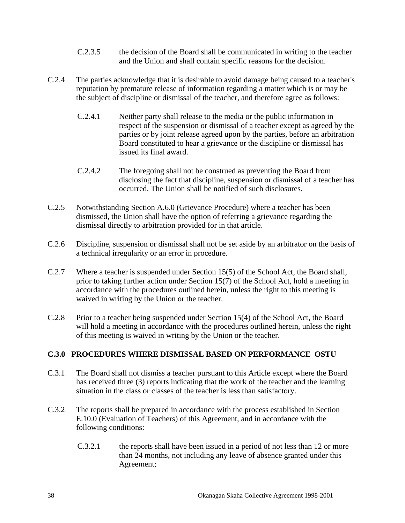- C.2.3.5 the decision of the Board shall be communicated in writing to the teacher and the Union and shall contain specific reasons for the decision.
- C.2.4 The parties acknowledge that it is desirable to avoid damage being caused to a teacher's reputation by premature release of information regarding a matter which is or may be the subject of discipline or dismissal of the teacher, and therefore agree as follows:
	- C.2.4.1 Neither party shall release to the media or the public information in respect of the suspension or dismissal of a teacher except as agreed by the parties or by joint release agreed upon by the parties, before an arbitration Board constituted to hear a grievance or the discipline or dismissal has issued its final award.
	- C.2.4.2 The foregoing shall not be construed as preventing the Board from disclosing the fact that discipline, suspension or dismissal of a teacher has occurred. The Union shall be notified of such disclosures.
- C.2.5 Notwithstanding Section A.6.0 (Grievance Procedure) where a teacher has been dismissed, the Union shall have the option of referring a grievance regarding the dismissal directly to arbitration provided for in that article.
- C.2.6 Discipline, suspension or dismissal shall not be set aside by an arbitrator on the basis of a technical irregularity or an error in procedure.
- C.2.7 Where a teacher is suspended under Section 15(5) of the School Act, the Board shall, prior to taking further action under Section 15(7) of the School Act, hold a meeting in accordance with the procedures outlined herein, unless the right to this meeting is waived in writing by the Union or the teacher.
- C.2.8 Prior to a teacher being suspended under Section 15(4) of the School Act, the Board will hold a meeting in accordance with the procedures outlined herein, unless the right of this meeting is waived in writing by the Union or the teacher.

### **C.3.0 PROCEDURES WHERE DISMISSAL BASED ON PERFORMANCE OSTU**

- C.3.1 The Board shall not dismiss a teacher pursuant to this Article except where the Board has received three (3) reports indicating that the work of the teacher and the learning situation in the class or classes of the teacher is less than satisfactory.
- C.3.2 The reports shall be prepared in accordance with the process established in Section E.10.0 (Evaluation of Teachers) of this Agreement, and in accordance with the following conditions:
	- C.3.2.1 the reports shall have been issued in a period of not less than 12 or more than 24 months, not including any leave of absence granted under this Agreement;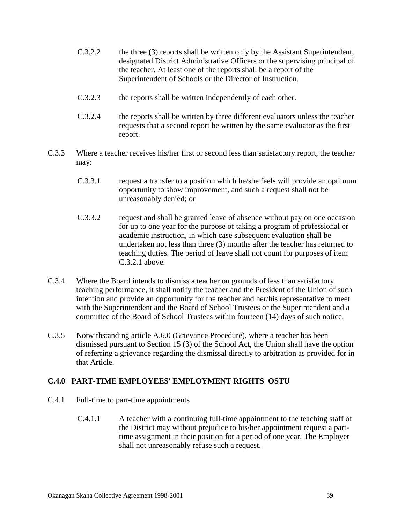- C.3.2.2 the three (3) reports shall be written only by the Assistant Superintendent, designated District Administrative Officers or the supervising principal of the teacher. At least one of the reports shall be a report of the Superintendent of Schools or the Director of Instruction.
- C.3.2.3 the reports shall be written independently of each other.
- C.3.2.4 the reports shall be written by three different evaluators unless the teacher requests that a second report be written by the same evaluator as the first report.
- C.3.3 Where a teacher receives his/her first or second less than satisfactory report, the teacher may:
	- C.3.3.1 request a transfer to a position which he/she feels will provide an optimum opportunity to show improvement, and such a request shall not be unreasonably denied; or
	- C.3.3.2 request and shall be granted leave of absence without pay on one occasion for up to one year for the purpose of taking a program of professional or academic instruction, in which case subsequent evaluation shall be undertaken not less than three (3) months after the teacher has returned to teaching duties. The period of leave shall not count for purposes of item C.3.2.1 above.
- C.3.4 Where the Board intends to dismiss a teacher on grounds of less than satisfactory teaching performance, it shall notify the teacher and the President of the Union of such intention and provide an opportunity for the teacher and her/his representative to meet with the Superintendent and the Board of School Trustees or the Superintendent and a committee of the Board of School Trustees within fourteen (14) days of such notice.
- C.3.5 Notwithstanding article A.6.0 (Grievance Procedure), where a teacher has been dismissed pursuant to Section 15 (3) of the School Act, the Union shall have the option of referring a grievance regarding the dismissal directly to arbitration as provided for in that Article.

#### **C.4.0 PART-TIME EMPLOYEES' EMPLOYMENT RIGHTS OSTU**

- C.4.1 Full-time to part-time appointments
	- C.4.1.1 A teacher with a continuing full-time appointment to the teaching staff of the District may without prejudice to his/her appointment request a parttime assignment in their position for a period of one year. The Employer shall not unreasonably refuse such a request.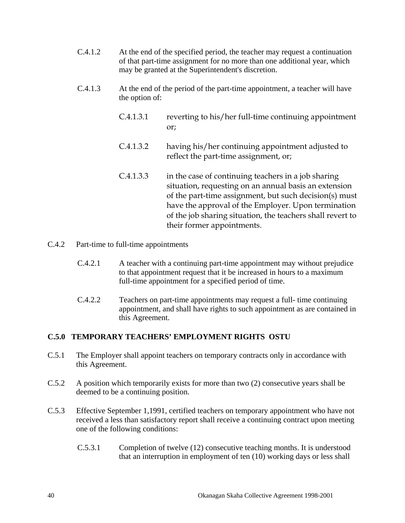- C.4.1.2 At the end of the specified period, the teacher may request a continuation of that part-time assignment for no more than one additional year, which may be granted at the Superintendent's discretion.
- C.4.1.3 At the end of the period of the part-time appointment, a teacher will have the option of:
	- C.4.1.3.1 reverting to his/her full-time continuing appointment or;
	- C.4.1.3.2 having his/her continuing appointment adjusted to reflect the part-time assignment, or;
	- C.4.1.3.3 in the case of continuing teachers in a job sharing situation, requesting on an annual basis an extension of the part-time assignment, but such decision(s) must have the approval of the Employer. Upon termination of the job sharing situation, the teachers shall revert to their former appointments.
- C.4.2 Part-time to full-time appointments
	- C.4.2.1 A teacher with a continuing part-time appointment may without prejudice to that appointment request that it be increased in hours to a maximum full-time appointment for a specified period of time.
	- C.4.2.2 Teachers on part-time appointments may request a full- time continuing appointment, and shall have rights to such appointment as are contained in this Agreement.

### **C.5.0 TEMPORARY TEACHERS' EMPLOYMENT RIGHTS OSTU**

- C.5.1 The Employer shall appoint teachers on temporary contracts only in accordance with this Agreement.
- C.5.2 A position which temporarily exists for more than two (2) consecutive years shall be deemed to be a continuing position.
- C.5.3 Effective September 1,1991, certified teachers on temporary appointment who have not received a less than satisfactory report shall receive a continuing contract upon meeting one of the following conditions:
	- C.5.3.1 Completion of twelve (12) consecutive teaching months. It is understood that an interruption in employment of ten (10) working days or less shall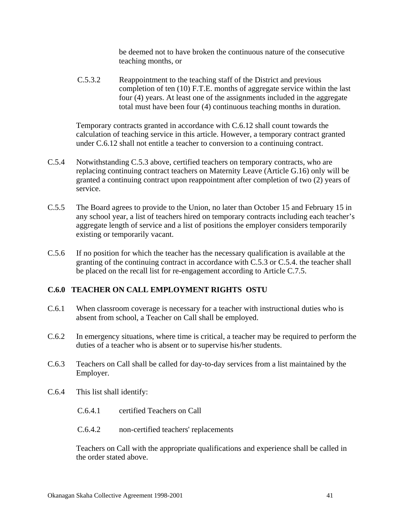be deemed not to have broken the continuous nature of the consecutive teaching months, or

C.5.3.2 Reappointment to the teaching staff of the District and previous completion of ten (10) F.T.E. months of aggregate service within the last four (4) years. At least one of the assignments included in the aggregate total must have been four (4) continuous teaching months in duration.

 Temporary contracts granted in accordance with C.6.12 shall count towards the calculation of teaching service in this article. However, a temporary contract granted under C.6.12 shall not entitle a teacher to conversion to a continuing contract.

- C.5.4 Notwithstanding C.5.3 above, certified teachers on temporary contracts, who are replacing continuing contract teachers on Maternity Leave (Article G.16) only will be granted a continuing contract upon reappointment after completion of two (2) years of service.
- C.5.5 The Board agrees to provide to the Union, no later than October 15 and February 15 in any school year, a list of teachers hired on temporary contracts including each teacher's aggregate length of service and a list of positions the employer considers temporarily existing or temporarily vacant.
- C.5.6 If no position for which the teacher has the necessary qualification is available at the granting of the continuing contract in accordance with C.5.3 or C.5.4. the teacher shall be placed on the recall list for re-engagement according to Article C.7.5.

#### **C.6.0 TEACHER ON CALL EMPLOYMENT RIGHTS OSTU**

- C.6.1 When classroom coverage is necessary for a teacher with instructional duties who is absent from school, a Teacher on Call shall be employed.
- C.6.2 In emergency situations, where time is critical, a teacher may be required to perform the duties of a teacher who is absent or to supervise his/her students.
- C.6.3 Teachers on Call shall be called for day-to-day services from a list maintained by the Employer.
- C.6.4 This list shall identify:
	- C.6.4.1 certified Teachers on Call
	- C.6.4.2 non-certified teachers' replacements

 Teachers on Call with the appropriate qualifications and experience shall be called in the order stated above.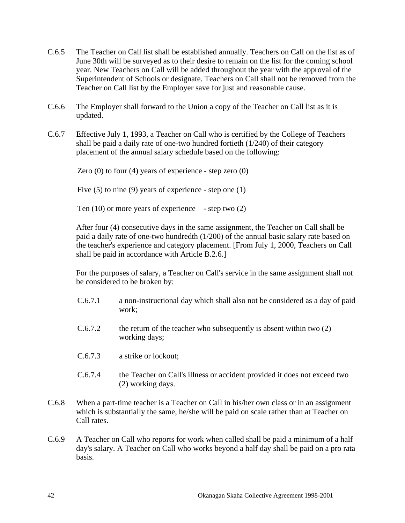- C.6.5 The Teacher on Call list shall be established annually. Teachers on Call on the list as of June 30th will be surveyed as to their desire to remain on the list for the coming school year. New Teachers on Call will be added throughout the year with the approval of the Superintendent of Schools or designate. Teachers on Call shall not be removed from the Teacher on Call list by the Employer save for just and reasonable cause.
- C.6.6 The Employer shall forward to the Union a copy of the Teacher on Call list as it is updated.
- C.6.7 Effective July 1, 1993, a Teacher on Call who is certified by the College of Teachers shall be paid a daily rate of one-two hundred fortieth (1/240) of their category placement of the annual salary schedule based on the following:

Zero  $(0)$  to four  $(4)$  years of experience - step zero  $(0)$ 

Five (5) to nine (9) years of experience - step one (1)

Ten  $(10)$  or more years of experience - step two  $(2)$ 

 After four (4) consecutive days in the same assignment, the Teacher on Call shall be paid a daily rate of one-two hundredth (1/200) of the annual basic salary rate based on the teacher's experience and category placement. [From July 1, 2000, Teachers on Call shall be paid in accordance with Article B.2.6.]

 For the purposes of salary, a Teacher on Call's service in the same assignment shall not be considered to be broken by:

- C.6.7.1 a non-instructional day which shall also not be considered as a day of paid work;
- $C.6.7.2$  the return of the teacher who subsequently is absent within two  $(2)$ working days;
- C.6.7.3 a strike or lockout;
- C.6.7.4 the Teacher on Call's illness or accident provided it does not exceed two (2) working days.
- C.6.8 When a part-time teacher is a Teacher on Call in his/her own class or in an assignment which is substantially the same, he/she will be paid on scale rather than at Teacher on Call rates.
- C.6.9 A Teacher on Call who reports for work when called shall be paid a minimum of a half day's salary. A Teacher on Call who works beyond a half day shall be paid on a pro rata basis.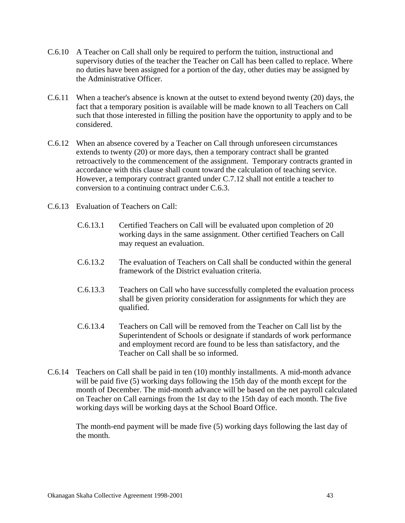- C.6.10 A Teacher on Call shall only be required to perform the tuition, instructional and supervisory duties of the teacher the Teacher on Call has been called to replace. Where no duties have been assigned for a portion of the day, other duties may be assigned by the Administrative Officer.
- C.6.11 When a teacher's absence is known at the outset to extend beyond twenty (20) days, the fact that a temporary position is available will be made known to all Teachers on Call such that those interested in filling the position have the opportunity to apply and to be considered.
- C.6.12 When an absence covered by a Teacher on Call through unforeseen circumstances extends to twenty (20) or more days, then a temporary contract shall be granted retroactively to the commencement of the assignment. Temporary contracts granted in accordance with this clause shall count toward the calculation of teaching service. However, a temporary contract granted under C.7.12 shall not entitle a teacher to conversion to a continuing contract under C.6.3.
- C.6.13 Evaluation of Teachers on Call:
	- C.6.13.1 Certified Teachers on Call will be evaluated upon completion of 20 working days in the same assignment. Other certified Teachers on Call may request an evaluation.
	- C.6.13.2 The evaluation of Teachers on Call shall be conducted within the general framework of the District evaluation criteria.
	- C.6.13.3 Teachers on Call who have successfully completed the evaluation process shall be given priority consideration for assignments for which they are qualified.
	- C.6.13.4 Teachers on Call will be removed from the Teacher on Call list by the Superintendent of Schools or designate if standards of work performance and employment record are found to be less than satisfactory, and the Teacher on Call shall be so informed.
- C.6.14 Teachers on Call shall be paid in ten (10) monthly installments. A mid-month advance will be paid five (5) working days following the 15th day of the month except for the month of December. The mid-month advance will be based on the net payroll calculated on Teacher on Call earnings from the 1st day to the 15th day of each month. The five working days will be working days at the School Board Office.

 The month-end payment will be made five (5) working days following the last day of the month.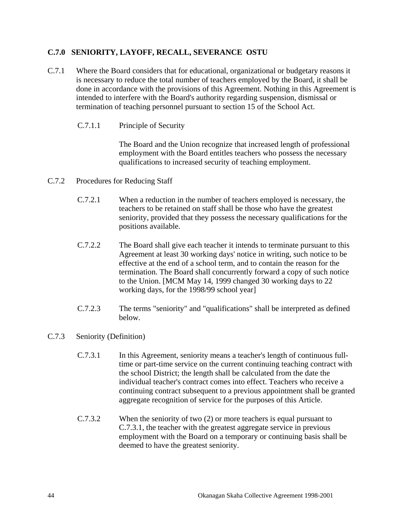### **C.7.0 SENIORITY, LAYOFF, RECALL, SEVERANCE OSTU**

- C.7.1 Where the Board considers that for educational, organizational or budgetary reasons it is necessary to reduce the total number of teachers employed by the Board, it shall be done in accordance with the provisions of this Agreement. Nothing in this Agreement is intended to interfere with the Board's authority regarding suspension, dismissal or termination of teaching personnel pursuant to section 15 of the School Act.
	- C.7.1.1 Principle of Security

 The Board and the Union recognize that increased length of professional employment with the Board entitles teachers who possess the necessary qualifications to increased security of teaching employment.

- C.7.2 Procedures for Reducing Staff
	- C.7.2.1 When a reduction in the number of teachers employed is necessary, the teachers to be retained on staff shall be those who have the greatest seniority, provided that they possess the necessary qualifications for the positions available.
	- C.7.2.2 The Board shall give each teacher it intends to terminate pursuant to this Agreement at least 30 working days' notice in writing, such notice to be effective at the end of a school term, and to contain the reason for the termination. The Board shall concurrently forward a copy of such notice to the Union. [MCM May 14, 1999 changed 30 working days to 22 working days, for the 1998/99 school year]
	- C.7.2.3 The terms "seniority" and "qualifications" shall be interpreted as defined below.
- C.7.3 Seniority (Definition)
	- C.7.3.1 In this Agreement, seniority means a teacher's length of continuous fulltime or part-time service on the current continuing teaching contract with the school District; the length shall be calculated from the date the individual teacher's contract comes into effect. Teachers who receive a continuing contract subsequent to a previous appointment shall be granted aggregate recognition of service for the purposes of this Article.
	- C.7.3.2 When the seniority of two (2) or more teachers is equal pursuant to C.7.3.1, the teacher with the greatest aggregate service in previous employment with the Board on a temporary or continuing basis shall be deemed to have the greatest seniority.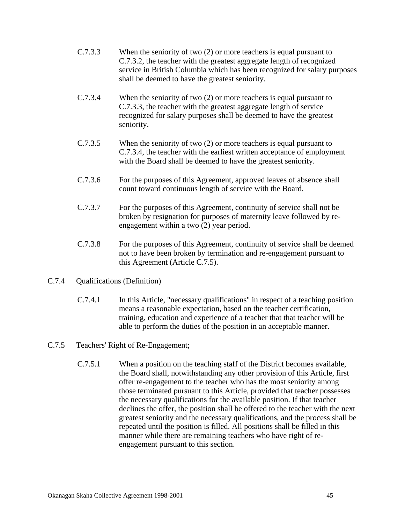- C.7.3.3 When the seniority of two (2) or more teachers is equal pursuant to C.7.3.2, the teacher with the greatest aggregate length of recognized service in British Columbia which has been recognized for salary purposes shall be deemed to have the greatest seniority.
- C.7.3.4 When the seniority of two (2) or more teachers is equal pursuant to C.7.3.3, the teacher with the greatest aggregate length of service recognized for salary purposes shall be deemed to have the greatest seniority.
- C.7.3.5 When the seniority of two (2) or more teachers is equal pursuant to C.7.3.4, the teacher with the earliest written acceptance of employment with the Board shall be deemed to have the greatest seniority.
- C.7.3.6 For the purposes of this Agreement, approved leaves of absence shall count toward continuous length of service with the Board.
- C.7.3.7 For the purposes of this Agreement, continuity of service shall not be broken by resignation for purposes of maternity leave followed by reengagement within a two (2) year period.
- C.7.3.8 For the purposes of this Agreement, continuity of service shall be deemed not to have been broken by termination and re-engagement pursuant to this Agreement (Article C.7.5).
- C.7.4 Qualifications (Definition)
	- C.7.4.1 In this Article, "necessary qualifications" in respect of a teaching position means a reasonable expectation, based on the teacher certification, training, education and experience of a teacher that that teacher will be able to perform the duties of the position in an acceptable manner.
- C.7.5 Teachers' Right of Re-Engagement;
	- C.7.5.1 When a position on the teaching staff of the District becomes available, the Board shall, notwithstanding any other provision of this Article, first offer re-engagement to the teacher who has the most seniority among those terminated pursuant to this Article, provided that teacher possesses the necessary qualifications for the available position. If that teacher declines the offer, the position shall be offered to the teacher with the next greatest seniority and the necessary qualifications, and the process shall be repeated until the position is filled. All positions shall be filled in this manner while there are remaining teachers who have right of reengagement pursuant to this section.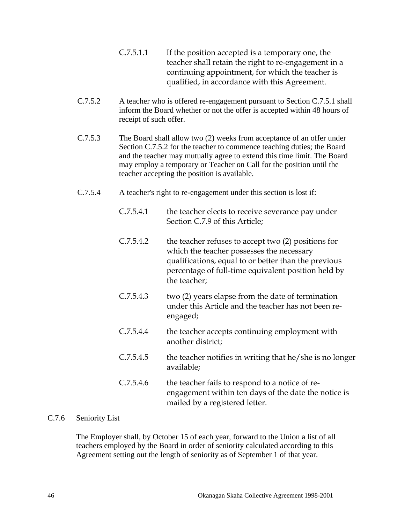- C.7.5.1.1 If the position accepted is a temporary one, the teacher shall retain the right to re-engagement in a continuing appointment, for which the teacher is qualified, in accordance with this Agreement.
- C.7.5.2 A teacher who is offered re-engagement pursuant to Section C.7.5.1 shall inform the Board whether or not the offer is accepted within 48 hours of receipt of such offer.
- C.7.5.3 The Board shall allow two (2) weeks from acceptance of an offer under Section C.7.5.2 for the teacher to commence teaching duties; the Board and the teacher may mutually agree to extend this time limit. The Board may employ a temporary or Teacher on Call for the position until the teacher accepting the position is available.
- C.7.5.4 A teacher's right to re-engagement under this section is lost if:
	- C.7.5.4.1 the teacher elects to receive severance pay under Section C.7.9 of this Article;
	- C.7.5.4.2 the teacher refuses to accept two (2) positions for which the teacher possesses the necessary qualifications, equal to or better than the previous percentage of full-time equivalent position held by the teacher;
	- C.7.5.4.3 two (2) years elapse from the date of termination under this Article and the teacher has not been reengaged;
	- C.7.5.4.4 the teacher accepts continuing employment with another district;
	- $C.7.5.4.5$  the teacher notifies in writing that he/she is no longer available;
	- C.7.5.4.6 the teacher fails to respond to a notice of reengagement within ten days of the date the notice is mailed by a registered letter.

### C.7.6 Seniority List

 The Employer shall, by October 15 of each year, forward to the Union a list of all teachers employed by the Board in order of seniority calculated according to this Agreement setting out the length of seniority as of September 1 of that year.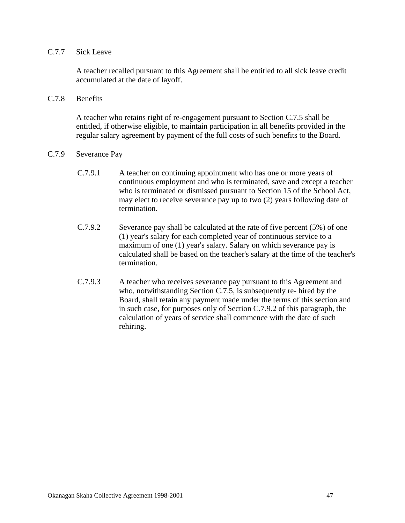### C.7.7 Sick Leave

 A teacher recalled pursuant to this Agreement shall be entitled to all sick leave credit accumulated at the date of layoff.

C.7.8 Benefits

 A teacher who retains right of re-engagement pursuant to Section C.7.5 shall be entitled, if otherwise eligible, to maintain participation in all benefits provided in the regular salary agreement by payment of the full costs of such benefits to the Board.

- C.7.9 Severance Pay
	- C.7.9.1 A teacher on continuing appointment who has one or more years of continuous employment and who is terminated, save and except a teacher who is terminated or dismissed pursuant to Section 15 of the School Act, may elect to receive severance pay up to two (2) years following date of termination.
	- C.7.9.2 Severance pay shall be calculated at the rate of five percent (5%) of one (1) year's salary for each completed year of continuous service to a maximum of one (1) year's salary. Salary on which severance pay is calculated shall be based on the teacher's salary at the time of the teacher's termination.
	- C.7.9.3 A teacher who receives severance pay pursuant to this Agreement and who, notwithstanding Section C.7.5, is subsequently re- hired by the Board, shall retain any payment made under the terms of this section and in such case, for purposes only of Section C.7.9.2 of this paragraph, the calculation of years of service shall commence with the date of such rehiring.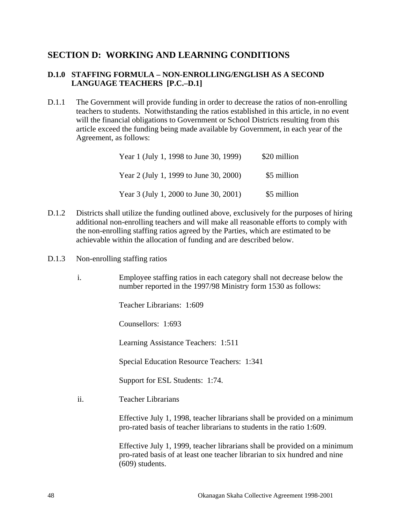## **SECTION D: WORKING AND LEARNING CONDITIONS**

### **D.1.0 STAFFING FORMULA – NON-ENROLLING/ENGLISH AS A SECOND LANGUAGE TEACHERS [P.C.–D.1]**

D.1.1 The Government will provide funding in order to decrease the ratios of non-enrolling teachers to students. Notwithstanding the ratios established in this article, in no event will the financial obligations to Government or School Districts resulting from this article exceed the funding being made available by Government, in each year of the Agreement, as follows:

| Year 1 (July 1, 1998 to June 30, 1999) | \$20 million |
|----------------------------------------|--------------|
| Year 2 (July 1, 1999 to June 30, 2000) | \$5 million  |
| Year 3 (July 1, 2000 to June 30, 2001) | \$5 million  |

- D.1.2 Districts shall utilize the funding outlined above, exclusively for the purposes of hiring additional non-enrolling teachers and will make all reasonable efforts to comply with the non-enrolling staffing ratios agreed by the Parties, which are estimated to be achievable within the allocation of funding and are described below.
- D.1.3 Non-enrolling staffing ratios
	- i. Employee staffing ratios in each category shall not decrease below the number reported in the 1997/98 Ministry form 1530 as follows:

Teacher Librarians: 1:609

Counsellors: 1:693

Learning Assistance Teachers: 1:511

Special Education Resource Teachers: 1:341

Support for ESL Students: 1:74.

ii. Teacher Librarians

 Effective July 1, 1998, teacher librarians shall be provided on a minimum pro-rated basis of teacher librarians to students in the ratio 1:609.

 Effective July 1, 1999, teacher librarians shall be provided on a minimum pro-rated basis of at least one teacher librarian to six hundred and nine (609) students.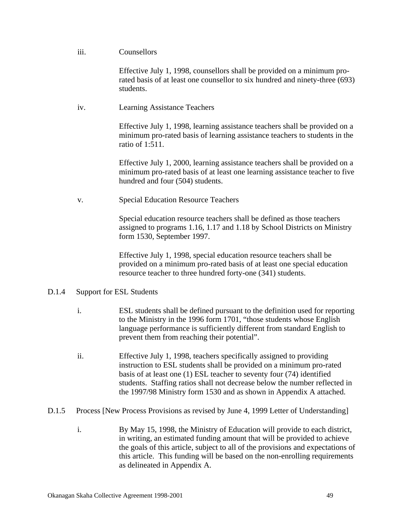#### iii. Counsellors

 Effective July 1, 1998, counsellors shall be provided on a minimum prorated basis of at least one counsellor to six hundred and ninety-three (693) students.

iv. Learning Assistance Teachers

 Effective July 1, 1998, learning assistance teachers shall be provided on a minimum pro-rated basis of learning assistance teachers to students in the ratio of 1:511.

 Effective July 1, 2000, learning assistance teachers shall be provided on a minimum pro-rated basis of at least one learning assistance teacher to five hundred and four (504) students.

v. Special Education Resource Teachers

 Special education resource teachers shall be defined as those teachers assigned to programs 1.16, 1.17 and 1.18 by School Districts on Ministry form 1530, September 1997.

 Effective July 1, 1998, special education resource teachers shall be provided on a minimum pro-rated basis of at least one special education resource teacher to three hundred forty-one (341) students.

- D.1.4 Support for ESL Students
	- i. ESL students shall be defined pursuant to the definition used for reporting to the Ministry in the 1996 form 1701, "those students whose English language performance is sufficiently different from standard English to prevent them from reaching their potential".
	- ii. Effective July 1, 1998, teachers specifically assigned to providing instruction to ESL students shall be provided on a minimum pro-rated basis of at least one (1) ESL teacher to seventy four (74) identified students. Staffing ratios shall not decrease below the number reflected in the 1997/98 Ministry form 1530 and as shown in Appendix A attached.
- D.1.5 Process [New Process Provisions as revised by June 4, 1999 Letter of Understanding]
	- i. By May 15, 1998, the Ministry of Education will provide to each district, in writing, an estimated funding amount that will be provided to achieve the goals of this article, subject to all of the provisions and expectations of this article. This funding will be based on the non-enrolling requirements as delineated in Appendix A.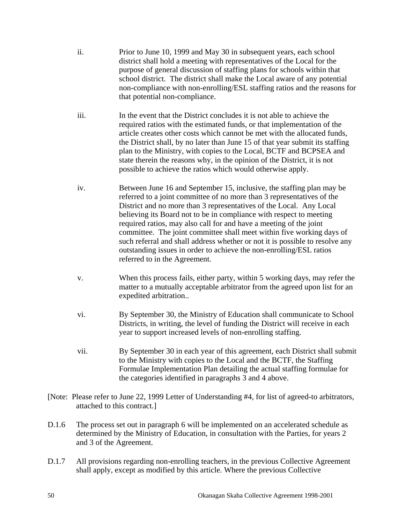- ii. Prior to June 10, 1999 and May 30 in subsequent years, each school district shall hold a meeting with representatives of the Local for the purpose of general discussion of staffing plans for schools within that school district. The district shall make the Local aware of any potential non-compliance with non-enrolling/ESL staffing ratios and the reasons for that potential non-compliance.
- iii. In the event that the District concludes it is not able to achieve the required ratios with the estimated funds, or that implementation of the article creates other costs which cannot be met with the allocated funds, the District shall, by no later than June 15 of that year submit its staffing plan to the Ministry, with copies to the Local, BCTF and BCPSEA and state therein the reasons why, in the opinion of the District, it is not possible to achieve the ratios which would otherwise apply.
- iv. Between June 16 and September 15, inclusive, the staffing plan may be referred to a joint committee of no more than 3 representatives of the District and no more than 3 representatives of the Local. Any Local believing its Board not to be in compliance with respect to meeting required ratios, may also call for and have a meeting of the joint committee. The joint committee shall meet within five working days of such referral and shall address whether or not it is possible to resolve any outstanding issues in order to achieve the non-enrolling/ESL ratios referred to in the Agreement.
- v. When this process fails, either party, within 5 working days, may refer the matter to a mutually acceptable arbitrator from the agreed upon list for an expedited arbitration..
- vi. By September 30, the Ministry of Education shall communicate to School Districts, in writing, the level of funding the District will receive in each year to support increased levels of non-enrolling staffing.
- vii. By September 30 in each year of this agreement, each District shall submit to the Ministry with copies to the Local and the BCTF, the Staffing Formulae Implementation Plan detailing the actual staffing formulae for the categories identified in paragraphs 3 and 4 above.
- [Note: Please refer to June 22, 1999 Letter of Understanding #4, for list of agreed-to arbitrators, attached to this contract.]
- D.1.6 The process set out in paragraph 6 will be implemented on an accelerated schedule as determined by the Ministry of Education, in consultation with the Parties, for years 2 and 3 of the Agreement.
- D.1.7 All provisions regarding non-enrolling teachers, in the previous Collective Agreement shall apply, except as modified by this article. Where the previous Collective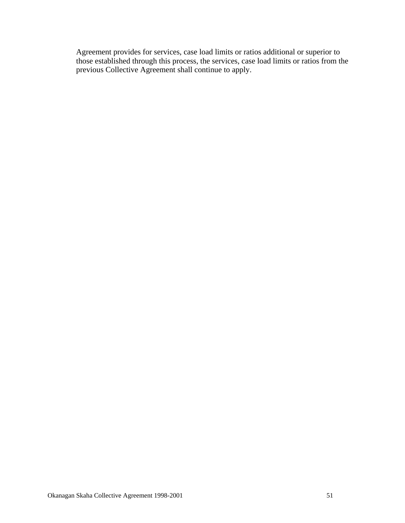Agreement provides for services, case load limits or ratios additional or superior to those established through this process, the services, case load limits or ratios from the previous Collective Agreement shall continue to apply.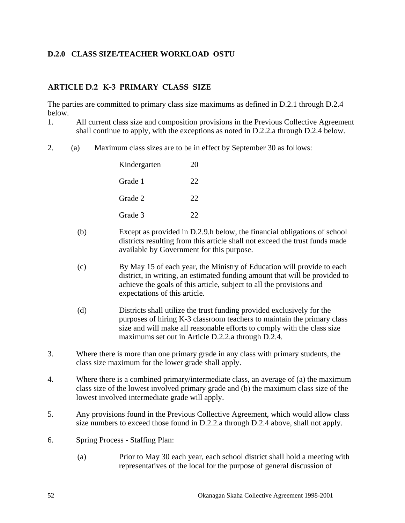## **D.2.0 CLASS SIZE/TEACHER WORKLOAD OSTU**

### **ARTICLE D.2 K-3 PRIMARY CLASS SIZE**

The parties are committed to primary class size maximums as defined in D.2.1 through D.2.4 below.

- 1. All current class size and composition provisions in the Previous Collective Agreement shall continue to apply, with the exceptions as noted in D.2.2.a through D.2.4 below.
- 2. (a) Maximum class sizes are to be in effect by September 30 as follows:

| Kindergarten | 20 |
|--------------|----|
| Grade 1      | 22 |
| Grade 2      | 22 |
| Grade 3      | 22 |

- (b) Except as provided in D.2.9.h below, the financial obligations of school districts resulting from this article shall not exceed the trust funds made available by Government for this purpose.
- (c) By May 15 of each year, the Ministry of Education will provide to each district, in writing, an estimated funding amount that will be provided to achieve the goals of this article, subject to all the provisions and expectations of this article.
- (d) Districts shall utilize the trust funding provided exclusively for the purposes of hiring K-3 classroom teachers to maintain the primary class size and will make all reasonable efforts to comply with the class size maximums set out in Article D.2.2.a through D.2.4.
- 3. Where there is more than one primary grade in any class with primary students, the class size maximum for the lower grade shall apply.
- 4. Where there is a combined primary/intermediate class, an average of (a) the maximum class size of the lowest involved primary grade and (b) the maximum class size of the lowest involved intermediate grade will apply.
- 5. Any provisions found in the Previous Collective Agreement, which would allow class size numbers to exceed those found in D.2.2.a through D.2.4 above, shall not apply.
- 6. Spring Process Staffing Plan:
	- (a) Prior to May 30 each year, each school district shall hold a meeting with representatives of the local for the purpose of general discussion of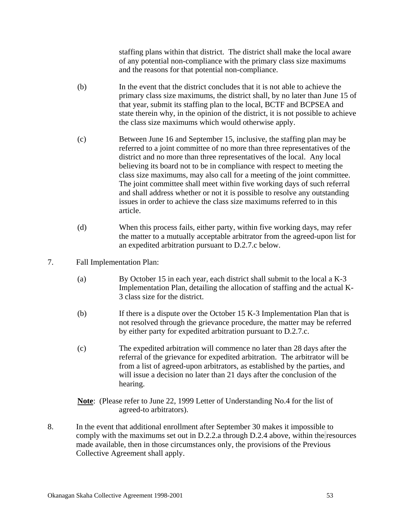staffing plans within that district. The district shall make the local aware of any potential non-compliance with the primary class size maximums and the reasons for that potential non-compliance.

- (b) In the event that the district concludes that it is not able to achieve the primary class size maximums, the district shall, by no later than June 15 of that year, submit its staffing plan to the local, BCTF and BCPSEA and state therein why, in the opinion of the district, it is not possible to achieve the class size maximums which would otherwise apply.
- (c) Between June 16 and September 15, inclusive, the staffing plan may be referred to a joint committee of no more than three representatives of the district and no more than three representatives of the local. Any local believing its board not to be in compliance with respect to meeting the class size maximums, may also call for a meeting of the joint committee. The joint committee shall meet within five working days of such referral and shall address whether or not it is possible to resolve any outstanding issues in order to achieve the class size maximums referred to in this article.
- (d) When this process fails, either party, within five working days, may refer the matter to a mutually acceptable arbitrator from the agreed-upon list for an expedited arbitration pursuant to D.2.7.c below.
- 7. Fall Implementation Plan:
	- (a) By October 15 in each year, each district shall submit to the local a K-3 Implementation Plan, detailing the allocation of staffing and the actual K-3 class size for the district.
	- (b) If there is a dispute over the October 15 K-3 Implementation Plan that is not resolved through the grievance procedure, the matter may be referred by either party for expedited arbitration pursuant to D.2.7.c.
	- (c) The expedited arbitration will commence no later than 28 days after the referral of the grievance for expedited arbitration. The arbitrator will be from a list of agreed-upon arbitrators, as established by the parties, and will issue a decision no later than 21 days after the conclusion of the hearing.
	- **Note**: (Please refer to June 22, 1999 Letter of Understanding No.4 for the list of agreed-to arbitrators).
- 8. In the event that additional enrollment after September 30 makes it impossible to comply with the maximums set out in D.2.2.a through D.2.4 above, within the resources made available, then in those circumstances only, the provisions of the Previous Collective Agreement shall apply.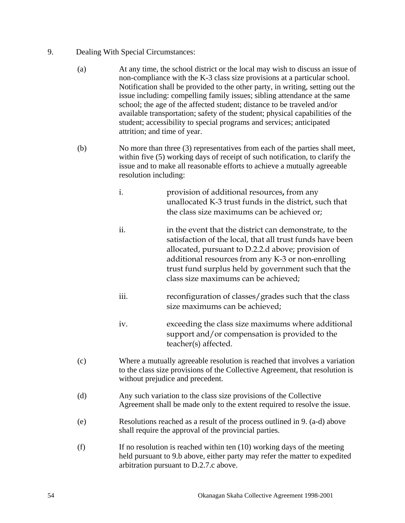### 9. Dealing With Special Circumstances:

- (a) At any time, the school district or the local may wish to discuss an issue of non-compliance with the K-3 class size provisions at a particular school. Notification shall be provided to the other party, in writing, setting out the issue including: compelling family issues; sibling attendance at the same school; the age of the affected student; distance to be traveled and/or available transportation; safety of the student; physical capabilities of the student; accessibility to special programs and services; anticipated attrition; and time of year.
- (b) No more than three (3) representatives from each of the parties shall meet, within five (5) working days of receipt of such notification, to clarify the issue and to make all reasonable efforts to achieve a mutually agreeable resolution including:
	- i. provision of additional resources**,** from any unallocated K-3 trust funds in the district, such that the class size maximums can be achieved or;
	- ii. in the event that the district can demonstrate, to the satisfaction of the local, that all trust funds have been allocated, pursuant to D.2.2.d above; provision of additional resources from any K-3 or non-enrolling trust fund surplus held by government such that the class size maximums can be achieved;
	- iii. reconfiguration of classes/grades such that the class size maximums can be achieved;
	- iv. exceeding the class size maximums where additional support and/or compensation is provided to the teacher(s) affected.
- (c) Where a mutually agreeable resolution is reached that involves a variation to the class size provisions of the Collective Agreement, that resolution is without prejudice and precedent.
- (d) Any such variation to the class size provisions of the Collective Agreement shall be made only to the extent required to resolve the issue.
- (e) Resolutions reached as a result of the process outlined in 9. (a-d) above shall require the approval of the provincial parties.
- $(f)$  If no resolution is reached within ten  $(10)$  working days of the meeting held pursuant to 9.b above, either party may refer the matter to expedited arbitration pursuant to D.2.7.c above.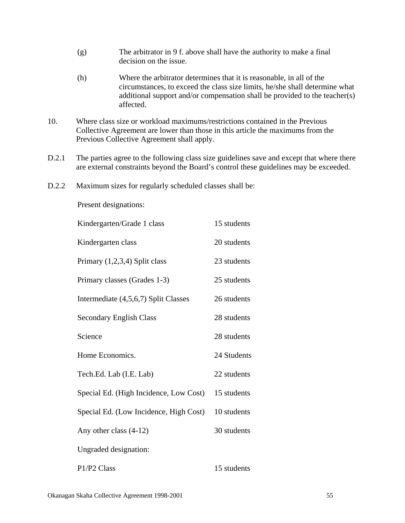- (g) The arbitrator in 9 f. above shall have the authority to make a final decision on the issue.
- (h) Where the arbitrator determines that it is reasonable, in all of the circumstances, to exceed the class size limits, he/she shall determine what additional support and/or compensation shall be provided to the teacher(s) affected.
- 10. Where class size or workload maximums/restrictions contained in the Previous Collective Agreement are lower than those in this article the maximums from the Previous Collective Agreement shall apply.
- D.2.1 The parties agree to the following class size guidelines save and except that where there are external constraints beyond the Board's control these guidelines may be exceeded.
- D.2.2 Maximum sizes for regularly scheduled classes shall be:

Present designations:

| Kindergarten/Grade 1 class             | 15 students |
|----------------------------------------|-------------|
| Kindergarten class                     | 20 students |
| Primary $(1,2,3,4)$ Split class        | 23 students |
| Primary classes (Grades 1-3)           | 25 students |
| Intermediate (4,5,6,7) Split Classes   | 26 students |
| <b>Secondary English Class</b>         | 28 students |
| Science                                | 28 students |
| Home Economics.                        | 24 Students |
| Tech.Ed. Lab (I.E. Lab)                | 22 students |
| Special Ed. (High Incidence, Low Cost) | 15 students |
| Special Ed. (Low Incidence, High Cost) | 10 students |
| Any other class $(4-12)$               | 30 students |
| Ungraded designation:                  |             |
| P1/P2 Class                            | 15 students |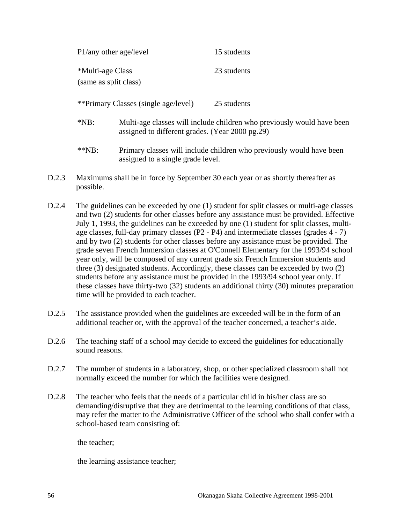| P1/any other age/level                    |                                                                                                                           | 15 students |
|-------------------------------------------|---------------------------------------------------------------------------------------------------------------------------|-------------|
| *Multi-age Class<br>(same as split class) |                                                                                                                           | 23 students |
| **Primary Classes (single age/level)      |                                                                                                                           | 25 students |
| $*NB:$                                    | Multi-age classes will include children who previously would have been<br>assigned to different grades. (Year 2000 pg.29) |             |
| $*$ $NP:$                                 | Primary classes will include children who previously would have been<br>assigned to a single grade level.                 |             |

- D.2.3 Maximums shall be in force by September 30 each year or as shortly thereafter as possible.
- D.2.4 The guidelines can be exceeded by one (1) student for split classes or multi-age classes and two (2) students for other classes before any assistance must be provided. Effective July 1, 1993, the guidelines can be exceeded by one (1) student for split classes, multiage classes, full-day primary classes (P2 - P4) and intermediate classes (grades 4 - 7) and by two (2) students for other classes before any assistance must be provided. The grade seven French Immersion classes at O'Connell Elementary for the 1993/94 school year only, will be composed of any current grade six French Immersion students and three (3) designated students. Accordingly, these classes can be exceeded by two (2) students before any assistance must be provided in the 1993/94 school year only. If these classes have thirty-two (32) students an additional thirty (30) minutes preparation time will be provided to each teacher.
- D.2.5 The assistance provided when the guidelines are exceeded will be in the form of an additional teacher or, with the approval of the teacher concerned, a teacher's aide.
- D.2.6 The teaching staff of a school may decide to exceed the guidelines for educationally sound reasons.
- D.2.7 The number of students in a laboratory, shop, or other specialized classroom shall not normally exceed the number for which the facilities were designed.
- D.2.8 The teacher who feels that the needs of a particular child in his/her class are so demanding/disruptive that they are detrimental to the learning conditions of that class, may refer the matter to the Administrative Officer of the school who shall confer with a school-based team consisting of:

the teacher;

the learning assistance teacher;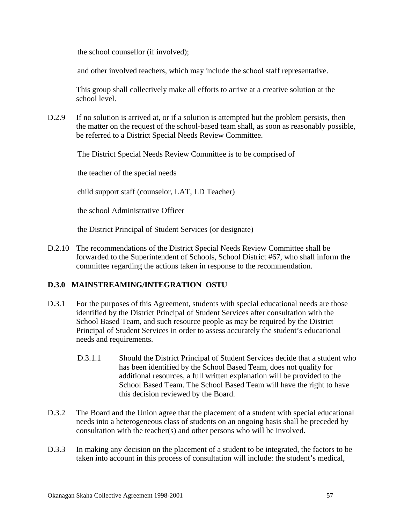the school counsellor (if involved);

and other involved teachers, which may include the school staff representative.

 This group shall collectively make all efforts to arrive at a creative solution at the school level.

D.2.9 If no solution is arrived at, or if a solution is attempted but the problem persists, then the matter on the request of the school-based team shall, as soon as reasonably possible, be referred to a District Special Needs Review Committee.

The District Special Needs Review Committee is to be comprised of

the teacher of the special needs

child support staff (counselor, LAT, LD Teacher)

the school Administrative Officer

the District Principal of Student Services (or designate)

D.2.10 The recommendations of the District Special Needs Review Committee shall be forwarded to the Superintendent of Schools, School District #67, who shall inform the committee regarding the actions taken in response to the recommendation.

### **D.3.0 MAINSTREAMING/INTEGRATION OSTU**

- D.3.1 For the purposes of this Agreement, students with special educational needs are those identified by the District Principal of Student Services after consultation with the School Based Team, and such resource people as may be required by the District Principal of Student Services in order to assess accurately the student's educational needs and requirements.
	- D.3.1.1 Should the District Principal of Student Services decide that a student who has been identified by the School Based Team, does not qualify for additional resources, a full written explanation will be provided to the School Based Team. The School Based Team will have the right to have this decision reviewed by the Board.
- D.3.2 The Board and the Union agree that the placement of a student with special educational needs into a heterogeneous class of students on an ongoing basis shall be preceded by consultation with the teacher(s) and other persons who will be involved.
- D.3.3 In making any decision on the placement of a student to be integrated, the factors to be taken into account in this process of consultation will include: the student's medical,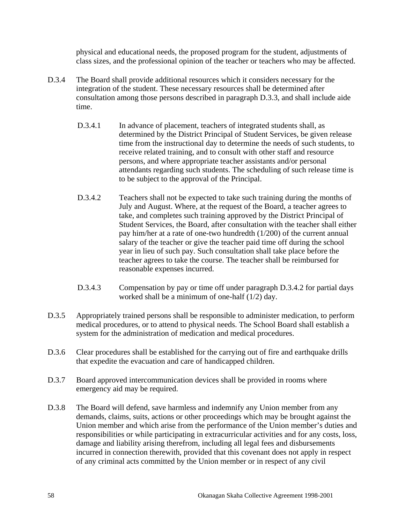physical and educational needs, the proposed program for the student, adjustments of class sizes, and the professional opinion of the teacher or teachers who may be affected.

- D.3.4 The Board shall provide additional resources which it considers necessary for the integration of the student. These necessary resources shall be determined after consultation among those persons described in paragraph D.3.3, and shall include aide time.
	- D.3.4.1 In advance of placement, teachers of integrated students shall, as determined by the District Principal of Student Services, be given release time from the instructional day to determine the needs of such students, to receive related training, and to consult with other staff and resource persons, and where appropriate teacher assistants and/or personal attendants regarding such students. The scheduling of such release time is to be subject to the approval of the Principal.
	- D.3.4.2 Teachers shall not be expected to take such training during the months of July and August. Where, at the request of the Board, a teacher agrees to take, and completes such training approved by the District Principal of Student Services, the Board, after consultation with the teacher shall either pay him/her at a rate of one-two hundredth (1/200) of the current annual salary of the teacher or give the teacher paid time off during the school year in lieu of such pay. Such consultation shall take place before the teacher agrees to take the course. The teacher shall be reimbursed for reasonable expenses incurred.
	- D.3.4.3 Compensation by pay or time off under paragraph D.3.4.2 for partial days worked shall be a minimum of one-half (1/2) day.
- D.3.5 Appropriately trained persons shall be responsible to administer medication, to perform medical procedures, or to attend to physical needs. The School Board shall establish a system for the administration of medication and medical procedures.
- D.3.6 Clear procedures shall be established for the carrying out of fire and earthquake drills that expedite the evacuation and care of handicapped children.
- D.3.7 Board approved intercommunication devices shall be provided in rooms where emergency aid may be required.
- D.3.8 The Board will defend, save harmless and indemnify any Union member from any demands, claims, suits, actions or other proceedings which may be brought against the Union member and which arise from the performance of the Union member's duties and responsibilities or while participating in extracurricular activities and for any costs, loss, damage and liability arising therefrom, including all legal fees and disbursements incurred in connection therewith, provided that this covenant does not apply in respect of any criminal acts committed by the Union member or in respect of any civil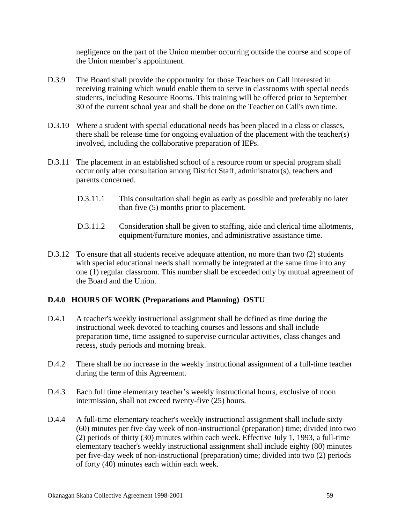negligence on the part of the Union member occurring outside the course and scope of the Union member's appointment.

- D.3.9 The Board shall provide the opportunity for those Teachers on Call interested in receiving training which would enable them to serve in classrooms with special needs students, including Resource Rooms. This training will be offered prior to September 30 of the current school year and shall be done on the Teacher on Call's own time.
- D.3.10 Where a student with special educational needs has been placed in a class or classes, there shall be release time for ongoing evaluation of the placement with the teacher(s) involved, including the collaborative preparation of IEPs.
- D.3.11 The placement in an established school of a resource room or special program shall occur only after consultation among District Staff, administrator(s), teachers and parents concerned.
	- D.3.11.1 This consultation shall begin as early as possible and preferably no later than five (5) months prior to placement.
	- D.3.11.2 Consideration shall be given to staffing, aide and clerical time allotments, equipment/furniture monies, and administrative assistance time.
- D.3.12 To ensure that all students receive adequate attention, no more than two (2) students with special educational needs shall normally be integrated at the same time into any one (1) regular classroom. This number shall be exceeded only by mutual agreement of the Board and the Union.

### **D.4.0 HOURS OF WORK (Preparations and Planning) OSTU**

- D.4.1 A teacher's weekly instructional assignment shall be defined as time during the instructional week devoted to teaching courses and lessons and shall include preparation time, time assigned to supervise curricular activities, class changes and recess, study periods and morning break.
- D.4.2 There shall be no increase in the weekly instructional assignment of a full-time teacher during the term of this Agreement.
- D.4.3 Each full time elementary teacher's weekly instructional hours, exclusive of noon intermission, shall not exceed twenty-five (25) hours.
- D.4.4 A full-time elementary teacher's weekly instructional assignment shall include sixty (60) minutes per five day week of non-instructional (preparation) time; divided into two (2) periods of thirty (30) minutes within each week. Effective July 1, 1993, a full-time elementary teacher's weekly instructional assignment shall include eighty (80) minutes per five-day week of non-instructional (preparation) time; divided into two (2) periods of forty (40) minutes each within each week.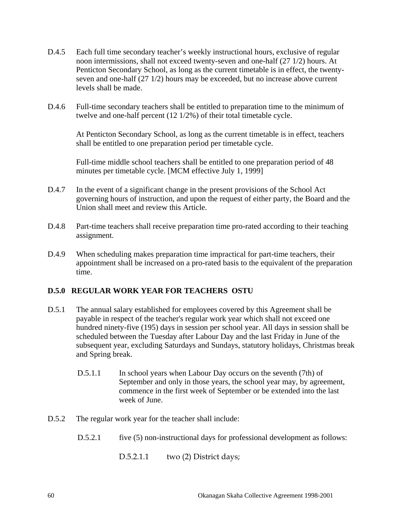- D.4.5 Each full time secondary teacher's weekly instructional hours, exclusive of regular noon intermissions, shall not exceed twenty-seven and one-half (27 1/2) hours. At Penticton Secondary School, as long as the current timetable is in effect, the twentyseven and one-half (27 1/2) hours may be exceeded, but no increase above current levels shall be made.
- D.4.6 Full-time secondary teachers shall be entitled to preparation time to the minimum of twelve and one-half percent (12 1/2%) of their total timetable cycle.

 At Penticton Secondary School, as long as the current timetable is in effect, teachers shall be entitled to one preparation period per timetable cycle.

 Full-time middle school teachers shall be entitled to one preparation period of 48 minutes per timetable cycle. [MCM effective July 1, 1999]

- D.4.7 In the event of a significant change in the present provisions of the School Act governing hours of instruction, and upon the request of either party, the Board and the Union shall meet and review this Article.
- D.4.8 Part-time teachers shall receive preparation time pro-rated according to their teaching assignment.
- D.4.9 When scheduling makes preparation time impractical for part-time teachers, their appointment shall be increased on a pro-rated basis to the equivalent of the preparation time.

### **D.5.0 REGULAR WORK YEAR FOR TEACHERS OSTU**

- D.5.1 The annual salary established for employees covered by this Agreement shall be payable in respect of the teacher's regular work year which shall not exceed one hundred ninety-five (195) days in session per school year. All days in session shall be scheduled between the Tuesday after Labour Day and the last Friday in June of the subsequent year, excluding Saturdays and Sundays, statutory holidays, Christmas break and Spring break.
	- D.5.1.1 In school years when Labour Day occurs on the seventh (7th) of September and only in those years, the school year may, by agreement, commence in the first week of September or be extended into the last week of June.
- D.5.2 The regular work year for the teacher shall include:
	- D.5.2.1 five (5) non-instructional days for professional development as follows:

D.5.2.1.1 two (2) District days;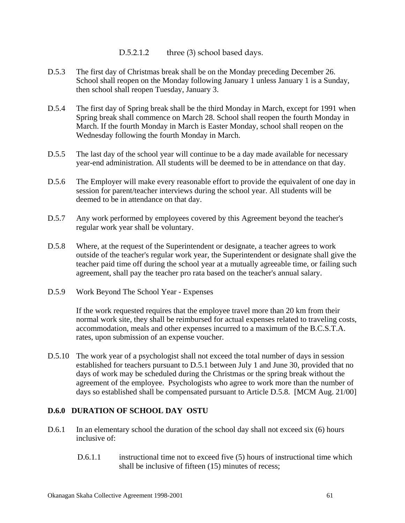D.5.2.1.2 three (3) school based days.

- D.5.3 The first day of Christmas break shall be on the Monday preceding December 26. School shall reopen on the Monday following January 1 unless January 1 is a Sunday, then school shall reopen Tuesday, January 3.
- D.5.4 The first day of Spring break shall be the third Monday in March, except for 1991 when Spring break shall commence on March 28. School shall reopen the fourth Monday in March. If the fourth Monday in March is Easter Monday, school shall reopen on the Wednesday following the fourth Monday in March.
- D.5.5 The last day of the school year will continue to be a day made available for necessary year-end administration. All students will be deemed to be in attendance on that day.
- D.5.6 The Employer will make every reasonable effort to provide the equivalent of one day in session for parent/teacher interviews during the school year. All students will be deemed to be in attendance on that day.
- D.5.7 Any work performed by employees covered by this Agreement beyond the teacher's regular work year shall be voluntary.
- D.5.8 Where, at the request of the Superintendent or designate, a teacher agrees to work outside of the teacher's regular work year, the Superintendent or designate shall give the teacher paid time off during the school year at a mutually agreeable time, or failing such agreement, shall pay the teacher pro rata based on the teacher's annual salary.
- D.5.9 Work Beyond The School Year Expenses

 If the work requested requires that the employee travel more than 20 km from their normal work site, they shall be reimbursed for actual expenses related to traveling costs, accommodation, meals and other expenses incurred to a maximum of the B.C.S.T.A. rates, upon submission of an expense voucher.

D.5.10 The work year of a psychologist shall not exceed the total number of days in session established for teachers pursuant to D.5.1 between July 1 and June 30, provided that no days of work may be scheduled during the Christmas or the spring break without the agreement of the employee. Psychologists who agree to work more than the number of days so established shall be compensated pursuant to Article D.5.8. [MCM Aug. 21/00]

### **D.6.0 DURATION OF SCHOOL DAY OSTU**

- D.6.1 In an elementary school the duration of the school day shall not exceed six (6) hours inclusive of:
	- D.6.1.1 instructional time not to exceed five (5) hours of instructional time which shall be inclusive of fifteen (15) minutes of recess;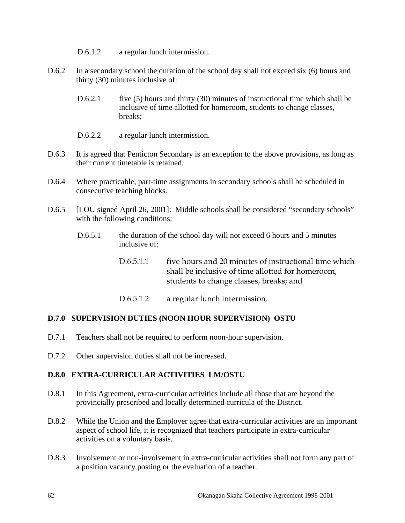- D.6.1.2 a regular lunch intermission.
- D.6.2 In a secondary school the duration of the school day shall not exceed six (6) hours and thirty (30) minutes inclusive of:
	- D.6.2.1 five (5) hours and thirty (30) minutes of instructional time which shall be inclusive of time allotted for homeroom, students to change classes, breaks;
	- D.6.2.2 a regular lunch intermission.
- D.6.3 It is agreed that Penticton Secondary is an exception to the above provisions, as long as their current timetable is retained.
- D.6.4 Where practicable, part-time assignments in secondary schools shall be scheduled in consecutive teaching blocks.
- D.6.5 [LOU signed April 26, 2001]: Middle schools shall be considered "secondary schools" with the following conditions:
	- D.6.5.1 the duration of the school day will not exceed 6 hours and 5 minutes inclusive of:
		- D.6.5.1.1 five hours and 20 minutes of instructional time which shall be inclusive of time allotted for homeroom, students to change classes, breaks; and
		- D.6.5.1.2 a regular lunch intermission.

#### **D.7.0 SUPERVISION DUTIES (NOON HOUR SUPERVISION) OSTU**

- D.7.1 Teachers shall not be required to perform noon-hour supervision.
- D.7.2 Other supervision duties shall not be increased.

#### **D.8.0 EXTRA-CURRICULAR ACTIVITIES LM/OSTU**

- D.8.1 In this Agreement, extra-curricular activities include all those that are beyond the provincially prescribed and locally determined curricula of the District.
- D.8.2 While the Union and the Employer agree that extra-curricular activities are an important aspect of school life, it is recognized that teachers participate in extra-curricular activities on a voluntary basis.
- D.8.3 Involvement or non-involvement in extra-curricular activities shall not form any part of a position vacancy posting or the evaluation of a teacher.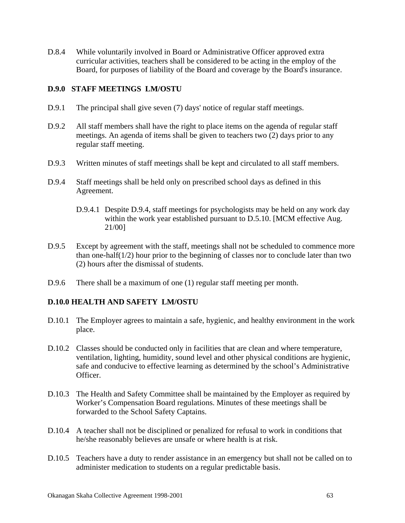D.8.4 While voluntarily involved in Board or Administrative Officer approved extra curricular activities, teachers shall be considered to be acting in the employ of the Board, for purposes of liability of the Board and coverage by the Board's insurance.

#### **D.9.0 STAFF MEETINGS LM/OSTU**

- D.9.1 The principal shall give seven (7) days' notice of regular staff meetings.
- D.9.2 All staff members shall have the right to place items on the agenda of regular staff meetings. An agenda of items shall be given to teachers two (2) days prior to any regular staff meeting.
- D.9.3 Written minutes of staff meetings shall be kept and circulated to all staff members.
- D.9.4 Staff meetings shall be held only on prescribed school days as defined in this Agreement.
	- D.9.4.1 Despite D.9.4, staff meetings for psychologists may be held on any work day within the work year established pursuant to D.5.10. [MCM effective Aug. 21/00]
- D.9.5 Except by agreement with the staff, meetings shall not be scheduled to commence more than one-half(1/2) hour prior to the beginning of classes nor to conclude later than two (2) hours after the dismissal of students.
- D.9.6 There shall be a maximum of one (1) regular staff meeting per month.

### **D.10.0 HEALTH AND SAFETY LM/OSTU**

- D.10.1 The Employer agrees to maintain a safe, hygienic, and healthy environment in the work place.
- D.10.2 Classes should be conducted only in facilities that are clean and where temperature, ventilation, lighting, humidity, sound level and other physical conditions are hygienic, safe and conducive to effective learning as determined by the school's Administrative Officer.
- D.10.3 The Health and Safety Committee shall be maintained by the Employer as required by Worker's Compensation Board regulations. Minutes of these meetings shall be forwarded to the School Safety Captains.
- D.10.4 A teacher shall not be disciplined or penalized for refusal to work in conditions that he/she reasonably believes are unsafe or where health is at risk.
- D.10.5 Teachers have a duty to render assistance in an emergency but shall not be called on to administer medication to students on a regular predictable basis.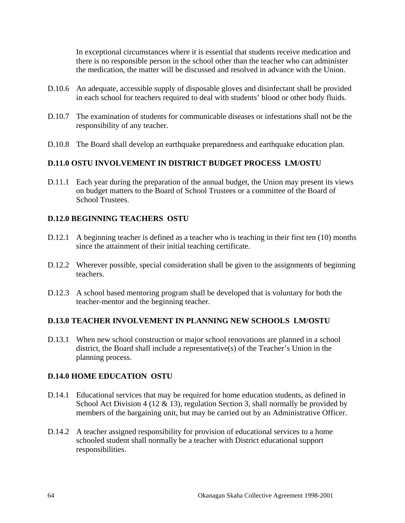In exceptional circumstances where it is essential that students receive medication and there is no responsible person in the school other than the teacher who can administer the medication, the matter will be discussed and resolved in advance with the Union.

- D.10.6 An adequate, accessible supply of disposable gloves and disinfectant shall be provided in each school for teachers required to deal with students' blood or other body fluids.
- D.10.7 The examination of students for communicable diseases or infestations shall not be the responsibility of any teacher.
- D.10.8 The Board shall develop an earthquake preparedness and earthquake education plan.

### **D.11.0 OSTU INVOLVEMENT IN DISTRICT BUDGET PROCESS LM/OSTU**

D.11.1 Each year during the preparation of the annual budget, the Union may present its views on budget matters to the Board of School Trustees or a committee of the Board of School Trustees.

### **D.12.0 BEGINNING TEACHERS OSTU**

- D.12.1 A beginning teacher is defined as a teacher who is teaching in their first ten (10) months since the attainment of their initial teaching certificate.
- D.12.2 Wherever possible, special consideration shall be given to the assignments of beginning teachers.
- D.12.3 A school based mentoring program shall be developed that is voluntary for both the teacher-mentor and the beginning teacher.

#### **D.13.0 TEACHER INVOLVEMENT IN PLANNING NEW SCHOOLS LM/OSTU**

D.13.1 When new school construction or major school renovations are planned in a school district, the Board shall include a representative(s) of the Teacher's Union in the planning process.

#### **D.14.0 HOME EDUCATION OSTU**

- D.14.1 Educational services that may be required for home education students, as defined in School Act Division 4 (12 & 13), regulation Section 3, shall normally be provided by members of the bargaining unit, but may be carried out by an Administrative Officer.
- D.14.2 A teacher assigned responsibility for provision of educational services to a home schooled student shall normally be a teacher with District educational support responsibilities.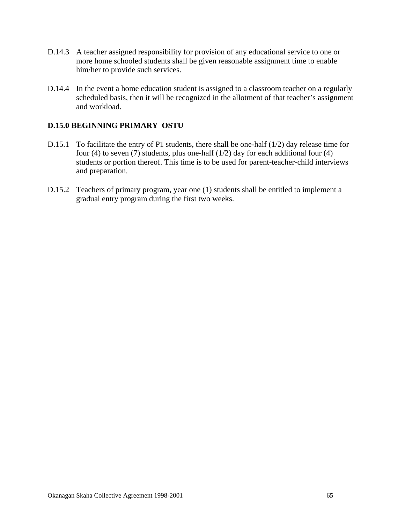- D.14.3 A teacher assigned responsibility for provision of any educational service to one or more home schooled students shall be given reasonable assignment time to enable him/her to provide such services.
- D.14.4 In the event a home education student is assigned to a classroom teacher on a regularly scheduled basis, then it will be recognized in the allotment of that teacher's assignment and workload.

### **D.15.0 BEGINNING PRIMARY OSTU**

- D.15.1 To facilitate the entry of P1 students, there shall be one-half (1/2) day release time for four (4) to seven (7) students, plus one-half (1/2) day for each additional four (4) students or portion thereof. This time is to be used for parent-teacher-child interviews and preparation.
- D.15.2 Teachers of primary program, year one (1) students shall be entitled to implement a gradual entry program during the first two weeks.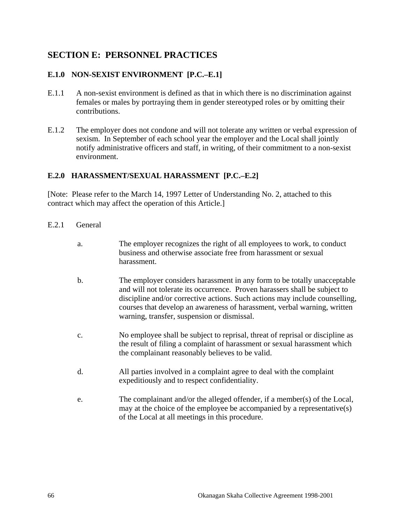# **SECTION E: PERSONNEL PRACTICES**

## **E.1.0 NON-SEXIST ENVIRONMENT [P.C.–E.1]**

- E.1.1 A non-sexist environment is defined as that in which there is no discrimination against females or males by portraying them in gender stereotyped roles or by omitting their contributions.
- E.1.2 The employer does not condone and will not tolerate any written or verbal expression of sexism. In September of each school year the employer and the Local shall jointly notify administrative officers and staff, in writing, of their commitment to a non-sexist environment.

### **E.2.0 HARASSMENT/SEXUAL HARASSMENT [P.C.–E.2]**

[Note: Please refer to the March 14, 1997 Letter of Understanding No. 2, attached to this contract which may affect the operation of this Article.]

- E.2.1 General
	- a. The employer recognizes the right of all employees to work, to conduct business and otherwise associate free from harassment or sexual harassment.
	- b. The employer considers harassment in any form to be totally unacceptable and will not tolerate its occurrence. Proven harassers shall be subject to discipline and/or corrective actions. Such actions may include counselling, courses that develop an awareness of harassment, verbal warning, written warning, transfer, suspension or dismissal.
	- c. No employee shall be subject to reprisal, threat of reprisal or discipline as the result of filing a complaint of harassment or sexual harassment which the complainant reasonably believes to be valid.
	- d. All parties involved in a complaint agree to deal with the complaint expeditiously and to respect confidentiality.
	- e. The complainant and/or the alleged offender, if a member(s) of the Local, may at the choice of the employee be accompanied by a representative(s) of the Local at all meetings in this procedure.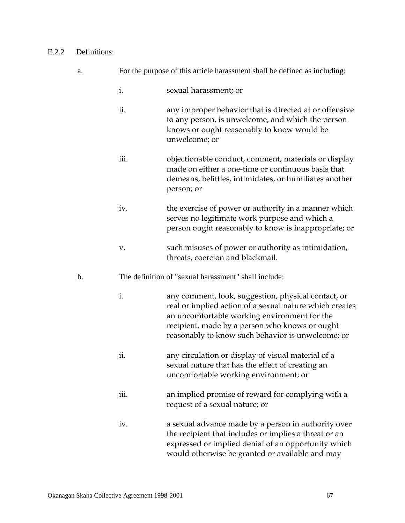#### E.2.2 Definitions:

- a. For the purpose of this article harassment shall be defined as including:
	- i. sexual harassment; or
	- ii. any improper behavior that is directed at or offensive to any person, is unwelcome, and which the person knows or ought reasonably to know would be unwelcome; or
	- iii. objectionable conduct, comment, materials or display made on either a one-time or continuous basis that demeans, belittles, intimidates, or humiliates another person; or
	- iv. the exercise of power or authority in a manner which serves no legitimate work purpose and which a person ought reasonably to know is inappropriate; or
	- v. such misuses of power or authority as intimidation, threats, coercion and blackmail.
- b. The definition of "sexual harassment" shall include:
	- i. any comment, look, suggestion, physical contact, or real or implied action of a sexual nature which creates an uncomfortable working environment for the recipient, made by a person who knows or ought reasonably to know such behavior is unwelcome; or
	- ii. any circulation or display of visual material of a sexual nature that has the effect of creating an uncomfortable working environment; or
	- iii. an implied promise of reward for complying with a request of a sexual nature; or
	- iv. a sexual advance made by a person in authority over the recipient that includes or implies a threat or an expressed or implied denial of an opportunity which would otherwise be granted or available and may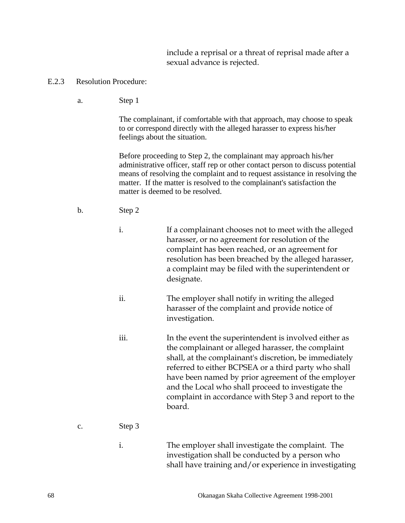include a reprisal or a threat of reprisal made after a sexual advance is rejected.

- E.2.3 Resolution Procedure:
	- a. Step 1

 The complainant, if comfortable with that approach, may choose to speak to or correspond directly with the alleged harasser to express his/her feelings about the situation.

 Before proceeding to Step 2, the complainant may approach his/her administrative officer, staff rep or other contact person to discuss potential means of resolving the complaint and to request assistance in resolving the matter. If the matter is resolved to the complainant's satisfaction the matter is deemed to be resolved.

- b. Step 2
	- i. If a complainant chooses not to meet with the alleged harasser, or no agreement for resolution of the complaint has been reached, or an agreement for resolution has been breached by the alleged harasser, a complaint may be filed with the superintendent or designate.
	- ii. The employer shall notify in writing the alleged harasser of the complaint and provide notice of investigation.
	- iii. In the event the superintendent is involved either as the complainant or alleged harasser, the complaint shall, at the complainant's discretion, be immediately referred to either BCPSEA or a third party who shall have been named by prior agreement of the employer and the Local who shall proceed to investigate the complaint in accordance with Step 3 and report to the board.

### c. Step 3

i. The employer shall investigate the complaint. The investigation shall be conducted by a person who shall have training and/or experience in investigating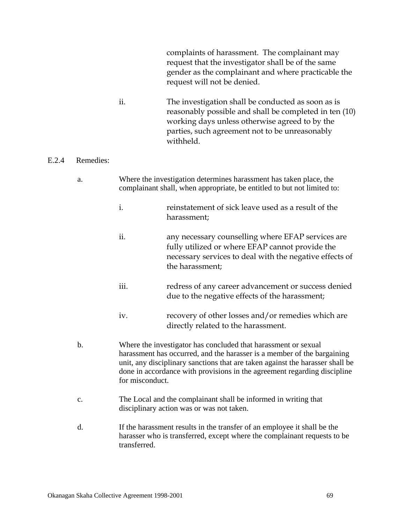complaints of harassment. The complainant may request that the investigator shall be of the same gender as the complainant and where practicable the request will not be denied.

ii. The investigation shall be conducted as soon as is reasonably possible and shall be completed in ten (10) working days unless otherwise agreed to by the parties, such agreement not to be unreasonably withheld.

### E.2.4 Remedies:

- a. Where the investigation determines harassment has taken place, the complainant shall, when appropriate, be entitled to but not limited to:
	- i. reinstatement of sick leave used as a result of the harassment;
	- ii. any necessary counselling where EFAP services are fully utilized or where EFAP cannot provide the necessary services to deal with the negative effects of the harassment;
	- iii. redress of any career advancement or success denied due to the negative effects of the harassment;
	- iv. recovery of other losses and/or remedies which are directly related to the harassment.
- b. Where the investigator has concluded that harassment or sexual harassment has occurred, and the harasser is a member of the bargaining unit, any disciplinary sanctions that are taken against the harasser shall be done in accordance with provisions in the agreement regarding discipline for misconduct.
- c. The Local and the complainant shall be informed in writing that disciplinary action was or was not taken.
- d. If the harassment results in the transfer of an employee it shall be the harasser who is transferred, except where the complainant requests to be transferred.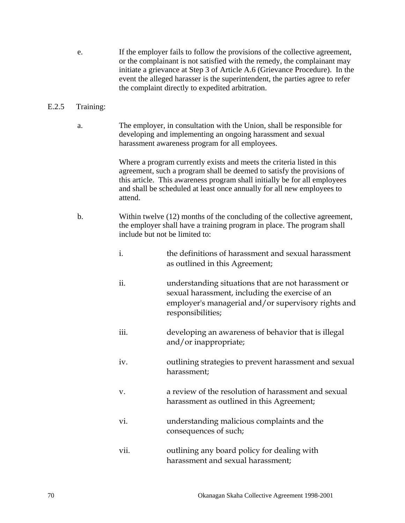e. If the employer fails to follow the provisions of the collective agreement, or the complainant is not satisfied with the remedy, the complainant may initiate a grievance at Step 3 of Article A.6 (Grievance Procedure). In the event the alleged harasser is the superintendent, the parties agree to refer the complaint directly to expedited arbitration.

#### E.2.5 Training:

a. The employer, in consultation with the Union, shall be responsible for developing and implementing an ongoing harassment and sexual harassment awareness program for all employees.

> Where a program currently exists and meets the criteria listed in this agreement, such a program shall be deemed to satisfy the provisions of this article. This awareness program shall initially be for all employees and shall be scheduled at least once annually for all new employees to attend.

- b. Within twelve (12) months of the concluding of the collective agreement, the employer shall have a training program in place. The program shall include but not be limited to:
	- i. the definitions of harassment and sexual harassment as outlined in this Agreement;
	- ii. understanding situations that are not harassment or sexual harassment, including the exercise of an employer's managerial and/or supervisory rights and responsibilities;
	- iii. developing an awareness of behavior that is illegal and/or inappropriate;
	- iv. outlining strategies to prevent harassment and sexual harassment;
	- v. a review of the resolution of harassment and sexual harassment as outlined in this Agreement;
	- vi. understanding malicious complaints and the consequences of such;
	- vii. outlining any board policy for dealing with harassment and sexual harassment;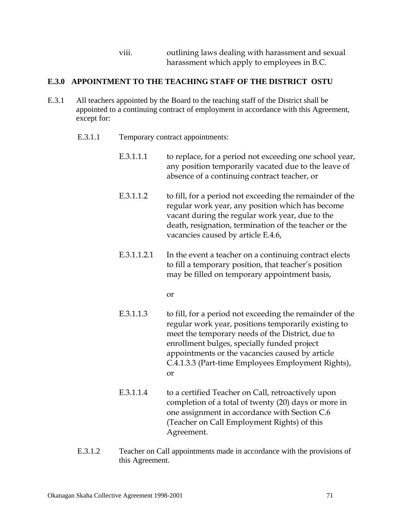### viii. outlining laws dealing with harassment and sexual harassment which apply to employees in B.C.

### **E.3.0 APPOINTMENT TO THE TEACHING STAFF OF THE DISTRICT OSTU**

- E.3.1 All teachers appointed by the Board to the teaching staff of the District shall be appointed to a continuing contract of employment in accordance with this Agreement, except for:
	- E.3.1.1 Temporary contract appointments:
		- E.3.1.1.1 to replace, for a period not exceeding one school year, any position temporarily vacated due to the leave of absence of a continuing contract teacher, or
		- E.3.1.1.2 to fill, for a period not exceeding the remainder of the regular work year, any position which has become vacant during the regular work year, due to the death, resignation, termination of the teacher or the vacancies caused by article E.4.6,
		- E.3.1.1.2.1 In the event a teacher on a continuing contract elects to fill a temporary position, that teacher's position may be filled on temporary appointment basis,

or

- E.3.1.1.3 to fill, for a period not exceeding the remainder of the regular work year, positions temporarily existing to meet the temporary needs of the District, due to enrollment bulges, specially funded project appointments or the vacancies caused by article C.4.1.3.3 (Part-time Employees Employment Rights), or
- E.3.1.1.4 to a certified Teacher on Call, retroactively upon completion of a total of twenty (20) days or more in one assignment in accordance with Section C.6 (Teacher on Call Employment Rights) of this Agreement.
- E.3.1.2 Teacher on Call appointments made in accordance with the provisions of this Agreement.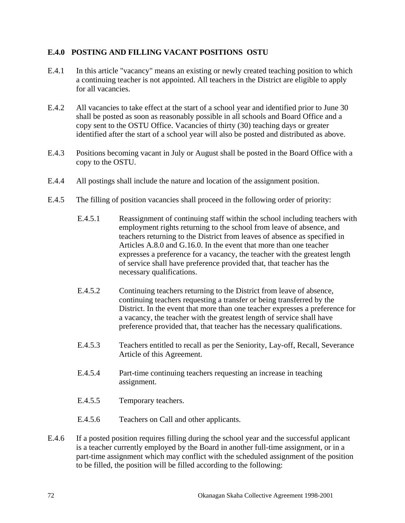### **E.4.0 POSTING AND FILLING VACANT POSITIONS OSTU**

- E.4.1 In this article "vacancy" means an existing or newly created teaching position to which a continuing teacher is not appointed. All teachers in the District are eligible to apply for all vacancies.
- E.4.2 All vacancies to take effect at the start of a school year and identified prior to June 30 shall be posted as soon as reasonably possible in all schools and Board Office and a copy sent to the OSTU Office. Vacancies of thirty (30) teaching days or greater identified after the start of a school year will also be posted and distributed as above.
- E.4.3 Positions becoming vacant in July or August shall be posted in the Board Office with a copy to the OSTU.
- E.4.4 All postings shall include the nature and location of the assignment position.
- E.4.5 The filling of position vacancies shall proceed in the following order of priority:
	- E.4.5.1 Reassignment of continuing staff within the school including teachers with employment rights returning to the school from leave of absence, and teachers returning to the District from leaves of absence as specified in Articles A.8.0 and G.16.0. In the event that more than one teacher expresses a preference for a vacancy, the teacher with the greatest length of service shall have preference provided that, that teacher has the necessary qualifications.
	- E.4.5.2 Continuing teachers returning to the District from leave of absence, continuing teachers requesting a transfer or being transferred by the District. In the event that more than one teacher expresses a preference for a vacancy, the teacher with the greatest length of service shall have preference provided that, that teacher has the necessary qualifications.
	- E.4.5.3 Teachers entitled to recall as per the Seniority, Lay-off, Recall, Severance Article of this Agreement.
	- E.4.5.4 Part-time continuing teachers requesting an increase in teaching assignment.
	- E.4.5.5 Temporary teachers.
	- E.4.5.6 Teachers on Call and other applicants.
- E.4.6 If a posted position requires filling during the school year and the successful applicant is a teacher currently employed by the Board in another full-time assignment, or in a part-time assignment which may conflict with the scheduled assignment of the position to be filled, the position will be filled according to the following: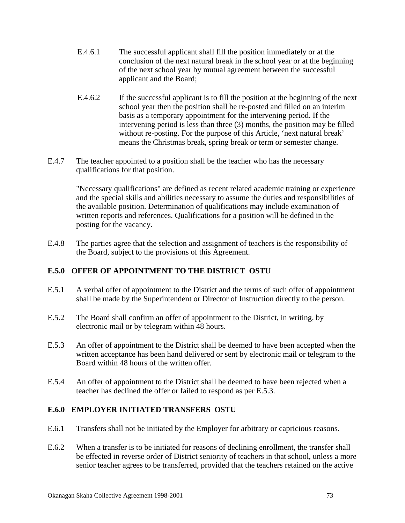- E.4.6.1 The successful applicant shall fill the position immediately or at the conclusion of the next natural break in the school year or at the beginning of the next school year by mutual agreement between the successful applicant and the Board;
- E.4.6.2 If the successful applicant is to fill the position at the beginning of the next school year then the position shall be re-posted and filled on an interim basis as a temporary appointment for the intervening period. If the intervening period is less than three (3) months, the position may be filled without re-posting. For the purpose of this Article, 'next natural break' means the Christmas break, spring break or term or semester change.
- E.4.7 The teacher appointed to a position shall be the teacher who has the necessary qualifications for that position.

 "Necessary qualifications" are defined as recent related academic training or experience and the special skills and abilities necessary to assume the duties and responsibilities of the available position. Determination of qualifications may include examination of written reports and references. Qualifications for a position will be defined in the posting for the vacancy.

E.4.8 The parties agree that the selection and assignment of teachers is the responsibility of the Board, subject to the provisions of this Agreement.

### **E.5.0 OFFER OF APPOINTMENT TO THE DISTRICT OSTU**

- E.5.1 A verbal offer of appointment to the District and the terms of such offer of appointment shall be made by the Superintendent or Director of Instruction directly to the person.
- E.5.2 The Board shall confirm an offer of appointment to the District, in writing, by electronic mail or by telegram within 48 hours.
- E.5.3 An offer of appointment to the District shall be deemed to have been accepted when the written acceptance has been hand delivered or sent by electronic mail or telegram to the Board within 48 hours of the written offer.
- E.5.4 An offer of appointment to the District shall be deemed to have been rejected when a teacher has declined the offer or failed to respond as per E.5.3.

#### **E.6.0 EMPLOYER INITIATED TRANSFERS OSTU**

- E.6.1 Transfers shall not be initiated by the Employer for arbitrary or capricious reasons.
- E.6.2 When a transfer is to be initiated for reasons of declining enrollment, the transfer shall be effected in reverse order of District seniority of teachers in that school, unless a more senior teacher agrees to be transferred, provided that the teachers retained on the active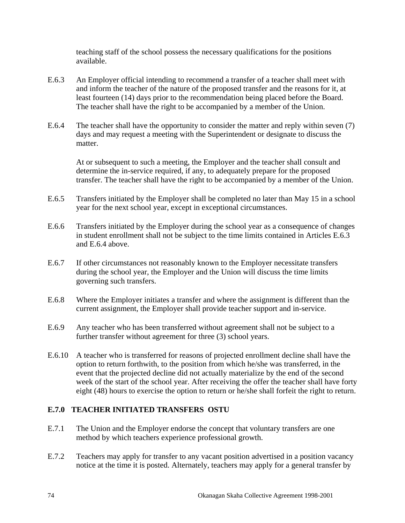teaching staff of the school possess the necessary qualifications for the positions available.

- E.6.3 An Employer official intending to recommend a transfer of a teacher shall meet with and inform the teacher of the nature of the proposed transfer and the reasons for it, at least fourteen (14) days prior to the recommendation being placed before the Board. The teacher shall have the right to be accompanied by a member of the Union.
- E.6.4 The teacher shall have the opportunity to consider the matter and reply within seven (7) days and may request a meeting with the Superintendent or designate to discuss the matter.

 At or subsequent to such a meeting, the Employer and the teacher shall consult and determine the in-service required, if any, to adequately prepare for the proposed transfer. The teacher shall have the right to be accompanied by a member of the Union.

- E.6.5 Transfers initiated by the Employer shall be completed no later than May 15 in a school year for the next school year, except in exceptional circumstances.
- E.6.6 Transfers initiated by the Employer during the school year as a consequence of changes in student enrollment shall not be subject to the time limits contained in Articles E.6.3 and E.6.4 above.
- E.6.7 If other circumstances not reasonably known to the Employer necessitate transfers during the school year, the Employer and the Union will discuss the time limits governing such transfers.
- E.6.8 Where the Employer initiates a transfer and where the assignment is different than the current assignment, the Employer shall provide teacher support and in-service.
- E.6.9 Any teacher who has been transferred without agreement shall not be subject to a further transfer without agreement for three (3) school years.
- E.6.10 A teacher who is transferred for reasons of projected enrollment decline shall have the option to return forthwith, to the position from which he/she was transferred, in the event that the projected decline did not actually materialize by the end of the second week of the start of the school year. After receiving the offer the teacher shall have forty eight (48) hours to exercise the option to return or he/she shall forfeit the right to return.

### **E.7.0 TEACHER INITIATED TRANSFERS OSTU**

- E.7.1 The Union and the Employer endorse the concept that voluntary transfers are one method by which teachers experience professional growth.
- E.7.2 Teachers may apply for transfer to any vacant position advertised in a position vacancy notice at the time it is posted. Alternately, teachers may apply for a general transfer by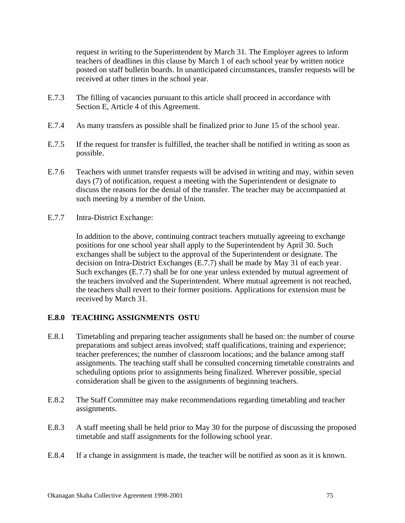request in writing to the Superintendent by March 31. The Employer agrees to inform teachers of deadlines in this clause by March 1 of each school year by written notice posted on staff bulletin boards. In unanticipated circumstances, transfer requests will be received at other times in the school year.

- E.7.3 The filling of vacancies pursuant to this article shall proceed in accordance with Section E, Article 4 of this Agreement.
- E.7.4 As many transfers as possible shall be finalized prior to June 15 of the school year.
- E.7.5 If the request for transfer is fulfilled, the teacher shall be notified in writing as soon as possible.
- E.7.6 Teachers with unmet transfer requests will be advised in writing and may, within seven days (7) of notification, request a meeting with the Superintendent or designate to discuss the reasons for the denial of the transfer. The teacher may be accompanied at such meeting by a member of the Union.
- E.7.7 Intra-District Exchange:

 In addition to the above, continuing contract teachers mutually agreeing to exchange positions for one school year shall apply to the Superintendent by April 30. Such exchanges shall be subject to the approval of the Superintendent or designate. The decision on Intra-District Exchanges (E.7.7) shall be made by May 31 of each year. Such exchanges (E.7.7) shall be for one year unless extended by mutual agreement of the teachers involved and the Superintendent. Where mutual agreement is not reached, the teachers shall revert to their former positions. Applications for extension must be received by March 31.

### **E.8.0 TEACHING ASSIGNMENTS OSTU**

- E.8.1 Timetabling and preparing teacher assignments shall be based on: the number of course preparations and subject areas involved; staff qualifications, training and experience; teacher preferences; the number of classroom locations; and the balance among staff assignments. The teaching staff shall be consulted concerning timetable constraints and scheduling options prior to assignments being finalized. Wherever possible, special consideration shall be given to the assignments of beginning teachers.
- E.8.2 The Staff Committee may make recommendations regarding timetabling and teacher assignments.
- E.8.3 A staff meeting shall be held prior to May 30 for the purpose of discussing the proposed timetable and staff assignments for the following school year.
- E.8.4 If a change in assignment is made, the teacher will be notified as soon as it is known.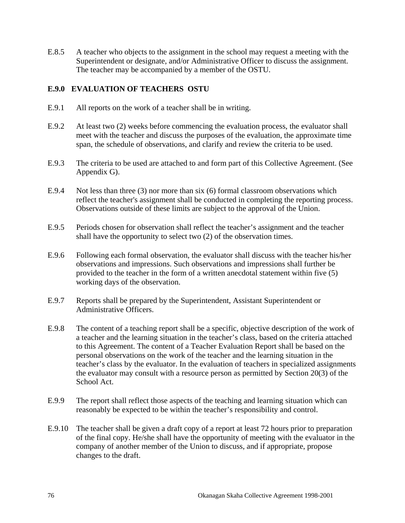E.8.5 A teacher who objects to the assignment in the school may request a meeting with the Superintendent or designate, and/or Administrative Officer to discuss the assignment. The teacher may be accompanied by a member of the OSTU.

### **E.9.0 EVALUATION OF TEACHERS OSTU**

- E.9.1 All reports on the work of a teacher shall be in writing.
- E.9.2 At least two (2) weeks before commencing the evaluation process, the evaluator shall meet with the teacher and discuss the purposes of the evaluation, the approximate time span, the schedule of observations, and clarify and review the criteria to be used.
- E.9.3 The criteria to be used are attached to and form part of this Collective Agreement. (See Appendix G).
- E.9.4 Not less than three (3) nor more than six (6) formal classroom observations which reflect the teacher's assignment shall be conducted in completing the reporting process. Observations outside of these limits are subject to the approval of the Union.
- E.9.5 Periods chosen for observation shall reflect the teacher's assignment and the teacher shall have the opportunity to select two (2) of the observation times.
- E.9.6 Following each formal observation, the evaluator shall discuss with the teacher his/her observations and impressions. Such observations and impressions shall further be provided to the teacher in the form of a written anecdotal statement within five (5) working days of the observation.
- E.9.7 Reports shall be prepared by the Superintendent, Assistant Superintendent or Administrative Officers.
- E.9.8 The content of a teaching report shall be a specific, objective description of the work of a teacher and the learning situation in the teacher's class, based on the criteria attached to this Agreement. The content of a Teacher Evaluation Report shall be based on the personal observations on the work of the teacher and the learning situation in the teacher's class by the evaluator. In the evaluation of teachers in specialized assignments the evaluator may consult with a resource person as permitted by Section 20(3) of the School Act.
- E.9.9 The report shall reflect those aspects of the teaching and learning situation which can reasonably be expected to be within the teacher's responsibility and control.
- E.9.10 The teacher shall be given a draft copy of a report at least 72 hours prior to preparation of the final copy. He/she shall have the opportunity of meeting with the evaluator in the company of another member of the Union to discuss, and if appropriate, propose changes to the draft.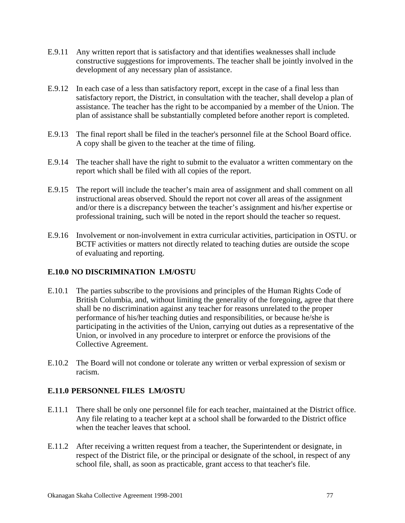- E.9.11 Any written report that is satisfactory and that identifies weaknesses shall include constructive suggestions for improvements. The teacher shall be jointly involved in the development of any necessary plan of assistance.
- E.9.12 In each case of a less than satisfactory report, except in the case of a final less than satisfactory report, the District, in consultation with the teacher, shall develop a plan of assistance. The teacher has the right to be accompanied by a member of the Union. The plan of assistance shall be substantially completed before another report is completed.
- E.9.13 The final report shall be filed in the teacher's personnel file at the School Board office. A copy shall be given to the teacher at the time of filing.
- E.9.14 The teacher shall have the right to submit to the evaluator a written commentary on the report which shall be filed with all copies of the report.
- E.9.15 The report will include the teacher's main area of assignment and shall comment on all instructional areas observed. Should the report not cover all areas of the assignment and/or there is a discrepancy between the teacher's assignment and his/her expertise or professional training, such will be noted in the report should the teacher so request.
- E.9.16 Involvement or non-involvement in extra curricular activities, participation in OSTU. or BCTF activities or matters not directly related to teaching duties are outside the scope of evaluating and reporting.

### **E.10.0 NO DISCRIMINATION LM/OSTU**

- E.10.1 The parties subscribe to the provisions and principles of the Human Rights Code of British Columbia, and, without limiting the generality of the foregoing, agree that there shall be no discrimination against any teacher for reasons unrelated to the proper performance of his/her teaching duties and responsibilities, or because he/she is participating in the activities of the Union, carrying out duties as a representative of the Union, or involved in any procedure to interpret or enforce the provisions of the Collective Agreement.
- E.10.2 The Board will not condone or tolerate any written or verbal expression of sexism or racism.

### **E.11.0 PERSONNEL FILES LM/OSTU**

- E.11.1 There shall be only one personnel file for each teacher, maintained at the District office. Any file relating to a teacher kept at a school shall be forwarded to the District office when the teacher leaves that school.
- E.11.2 After receiving a written request from a teacher, the Superintendent or designate, in respect of the District file, or the principal or designate of the school, in respect of any school file, shall, as soon as practicable, grant access to that teacher's file.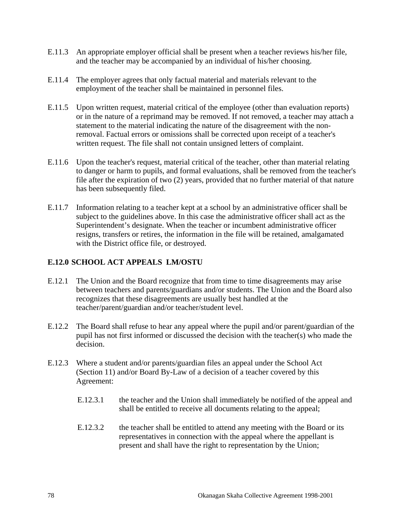- E.11.3 An appropriate employer official shall be present when a teacher reviews his/her file, and the teacher may be accompanied by an individual of his/her choosing.
- E.11.4 The employer agrees that only factual material and materials relevant to the employment of the teacher shall be maintained in personnel files.
- E.11.5 Upon written request, material critical of the employee (other than evaluation reports) or in the nature of a reprimand may be removed. If not removed, a teacher may attach a statement to the material indicating the nature of the disagreement with the nonremoval. Factual errors or omissions shall be corrected upon receipt of a teacher's written request. The file shall not contain unsigned letters of complaint.
- E.11.6 Upon the teacher's request, material critical of the teacher, other than material relating to danger or harm to pupils, and formal evaluations, shall be removed from the teacher's file after the expiration of two (2) years, provided that no further material of that nature has been subsequently filed.
- E.11.7 Information relating to a teacher kept at a school by an administrative officer shall be subject to the guidelines above. In this case the administrative officer shall act as the Superintendent's designate. When the teacher or incumbent administrative officer resigns, transfers or retires, the information in the file will be retained, amalgamated with the District office file, or destroyed.

### **E.12.0 SCHOOL ACT APPEALS LM/OSTU**

- E.12.1 The Union and the Board recognize that from time to time disagreements may arise between teachers and parents/guardians and/or students. The Union and the Board also recognizes that these disagreements are usually best handled at the teacher/parent/guardian and/or teacher/student level.
- E.12.2 The Board shall refuse to hear any appeal where the pupil and/or parent/guardian of the pupil has not first informed or discussed the decision with the teacher(s) who made the decision.
- E.12.3 Where a student and/or parents/guardian files an appeal under the School Act (Section 11) and/or Board By-Law of a decision of a teacher covered by this Agreement:
	- E.12.3.1 the teacher and the Union shall immediately be notified of the appeal and shall be entitled to receive all documents relating to the appeal;
	- E.12.3.2 the teacher shall be entitled to attend any meeting with the Board or its representatives in connection with the appeal where the appellant is present and shall have the right to representation by the Union;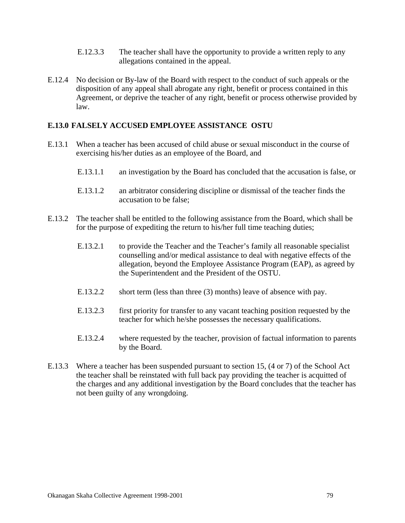- E.12.3.3 The teacher shall have the opportunity to provide a written reply to any allegations contained in the appeal.
- E.12.4 No decision or By-law of the Board with respect to the conduct of such appeals or the disposition of any appeal shall abrogate any right, benefit or process contained in this Agreement, or deprive the teacher of any right, benefit or process otherwise provided by law.

#### **E.13.0 FALSELY ACCUSED EMPLOYEE ASSISTANCE OSTU**

- E.13.1 When a teacher has been accused of child abuse or sexual misconduct in the course of exercising his/her duties as an employee of the Board, and
	- E.13.1.1 an investigation by the Board has concluded that the accusation is false, or
	- E.13.1.2 an arbitrator considering discipline or dismissal of the teacher finds the accusation to be false;
- E.13.2 The teacher shall be entitled to the following assistance from the Board, which shall be for the purpose of expediting the return to his/her full time teaching duties;
	- E.13.2.1 to provide the Teacher and the Teacher's family all reasonable specialist counselling and/or medical assistance to deal with negative effects of the allegation, beyond the Employee Assistance Program (EAP), as agreed by the Superintendent and the President of the OSTU.
	- E.13.2.2 short term (less than three (3) months) leave of absence with pay.
	- E.13.2.3 first priority for transfer to any vacant teaching position requested by the teacher for which he/she possesses the necessary qualifications.
	- E.13.2.4 where requested by the teacher, provision of factual information to parents by the Board.
- E.13.3 Where a teacher has been suspended pursuant to section 15, (4 or 7) of the School Act the teacher shall be reinstated with full back pay providing the teacher is acquitted of the charges and any additional investigation by the Board concludes that the teacher has not been guilty of any wrongdoing.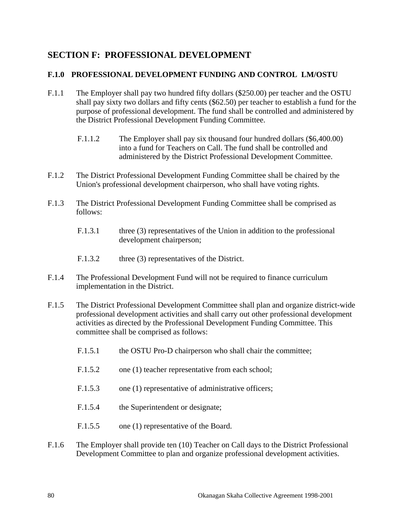## **SECTION F: PROFESSIONAL DEVELOPMENT**

#### **F.1.0 PROFESSIONAL DEVELOPMENT FUNDING AND CONTROL LM/OSTU**

- F.1.1 The Employer shall pay two hundred fifty dollars (\$250.00) per teacher and the OSTU shall pay sixty two dollars and fifty cents (\$62.50) per teacher to establish a fund for the purpose of professional development. The fund shall be controlled and administered by the District Professional Development Funding Committee.
	- F.1.1.2 The Employer shall pay six thousand four hundred dollars (\$6,400.00) into a fund for Teachers on Call. The fund shall be controlled and administered by the District Professional Development Committee.
- F.1.2 The District Professional Development Funding Committee shall be chaired by the Union's professional development chairperson, who shall have voting rights.
- F.1.3 The District Professional Development Funding Committee shall be comprised as follows:
	- F.1.3.1 three (3) representatives of the Union in addition to the professional development chairperson;
	- F.1.3.2 three (3) representatives of the District.
- F.1.4 The Professional Development Fund will not be required to finance curriculum implementation in the District.
- F.1.5 The District Professional Development Committee shall plan and organize district-wide professional development activities and shall carry out other professional development activities as directed by the Professional Development Funding Committee. This committee shall be comprised as follows:
	- F.1.5.1 the OSTU Pro-D chairperson who shall chair the committee;
	- F.1.5.2 one (1) teacher representative from each school;
	- F.1.5.3 one (1) representative of administrative officers;
	- F.1.5.4 the Superintendent or designate;
	- F.1.5.5 one (1) representative of the Board.
- F.1.6 The Employer shall provide ten (10) Teacher on Call days to the District Professional Development Committee to plan and organize professional development activities.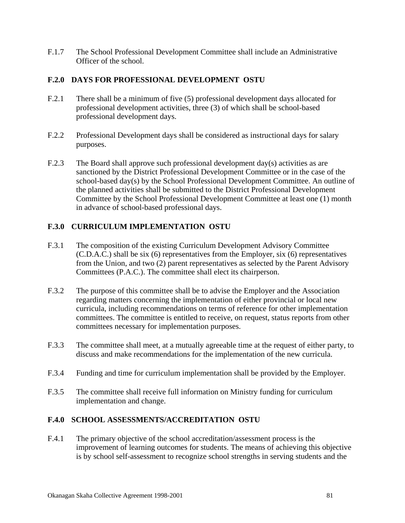F.1.7 The School Professional Development Committee shall include an Administrative Officer of the school.

### **F.2.0 DAYS FOR PROFESSIONAL DEVELOPMENT OSTU**

- F.2.1 There shall be a minimum of five (5) professional development days allocated for professional development activities, three (3) of which shall be school-based professional development days.
- F.2.2 Professional Development days shall be considered as instructional days for salary purposes.
- F.2.3 The Board shall approve such professional development day(s) activities as are sanctioned by the District Professional Development Committee or in the case of the school-based day(s) by the School Professional Development Committee. An outline of the planned activities shall be submitted to the District Professional Development Committee by the School Professional Development Committee at least one (1) month in advance of school-based professional days.

## **F.3.0 CURRICULUM IMPLEMENTATION OSTU**

- F.3.1 The composition of the existing Curriculum Development Advisory Committee (C.D.A.C.) shall be six (6) representatives from the Employer, six (6) representatives from the Union, and two (2) parent representatives as selected by the Parent Advisory Committees (P.A.C.). The committee shall elect its chairperson.
- F.3.2 The purpose of this committee shall be to advise the Employer and the Association regarding matters concerning the implementation of either provincial or local new curricula, including recommendations on terms of reference for other implementation committees. The committee is entitled to receive, on request, status reports from other committees necessary for implementation purposes.
- F.3.3 The committee shall meet, at a mutually agreeable time at the request of either party, to discuss and make recommendations for the implementation of the new curricula.
- F.3.4 Funding and time for curriculum implementation shall be provided by the Employer.
- F.3.5 The committee shall receive full information on Ministry funding for curriculum implementation and change.

### **F.4.0 SCHOOL ASSESSMENTS/ACCREDITATION OSTU**

F.4.1 The primary objective of the school accreditation/assessment process is the improvement of learning outcomes for students. The means of achieving this objective is by school self-assessment to recognize school strengths in serving students and the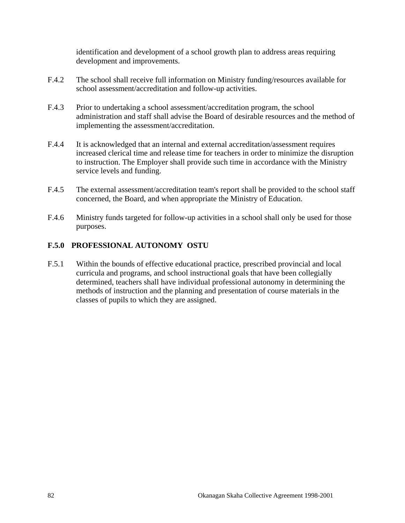identification and development of a school growth plan to address areas requiring development and improvements.

- F.4.2 The school shall receive full information on Ministry funding/resources available for school assessment/accreditation and follow-up activities.
- F.4.3 Prior to undertaking a school assessment/accreditation program, the school administration and staff shall advise the Board of desirable resources and the method of implementing the assessment/accreditation.
- F.4.4 It is acknowledged that an internal and external accreditation/assessment requires increased clerical time and release time for teachers in order to minimize the disruption to instruction. The Employer shall provide such time in accordance with the Ministry service levels and funding.
- F.4.5 The external assessment/accreditation team's report shall be provided to the school staff concerned, the Board, and when appropriate the Ministry of Education.
- F.4.6 Ministry funds targeted for follow-up activities in a school shall only be used for those purposes.

### **F.5.0 PROFESSIONAL AUTONOMY OSTU**

F.5.1 Within the bounds of effective educational practice, prescribed provincial and local curricula and programs, and school instructional goals that have been collegially determined, teachers shall have individual professional autonomy in determining the methods of instruction and the planning and presentation of course materials in the classes of pupils to which they are assigned.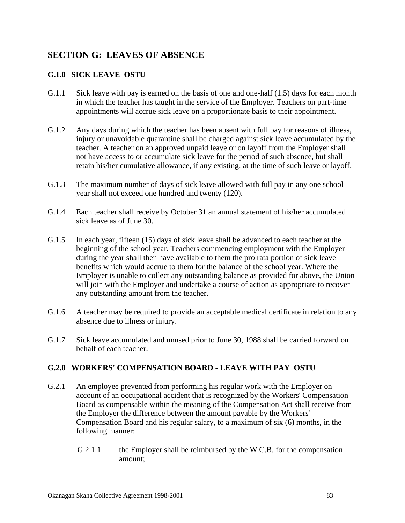# **SECTION G: LEAVES OF ABSENCE**

## **G.1.0 SICK LEAVE OSTU**

- G.1.1 Sick leave with pay is earned on the basis of one and one-half (1.5) days for each month in which the teacher has taught in the service of the Employer. Teachers on part-time appointments will accrue sick leave on a proportionate basis to their appointment.
- G.1.2 Any days during which the teacher has been absent with full pay for reasons of illness, injury or unavoidable quarantine shall be charged against sick leave accumulated by the teacher. A teacher on an approved unpaid leave or on layoff from the Employer shall not have access to or accumulate sick leave for the period of such absence, but shall retain his/her cumulative allowance, if any existing, at the time of such leave or layoff.
- G.1.3 The maximum number of days of sick leave allowed with full pay in any one school year shall not exceed one hundred and twenty (120).
- G.1.4 Each teacher shall receive by October 31 an annual statement of his/her accumulated sick leave as of June 30.
- G.1.5 In each year, fifteen (15) days of sick leave shall be advanced to each teacher at the beginning of the school year. Teachers commencing employment with the Employer during the year shall then have available to them the pro rata portion of sick leave benefits which would accrue to them for the balance of the school year. Where the Employer is unable to collect any outstanding balance as provided for above, the Union will join with the Employer and undertake a course of action as appropriate to recover any outstanding amount from the teacher.
- G.1.6 A teacher may be required to provide an acceptable medical certificate in relation to any absence due to illness or injury.
- G.1.7 Sick leave accumulated and unused prior to June 30, 1988 shall be carried forward on behalf of each teacher.

### **G.2.0 WORKERS' COMPENSATION BOARD - LEAVE WITH PAY OSTU**

- G.2.1 An employee prevented from performing his regular work with the Employer on account of an occupational accident that is recognized by the Workers' Compensation Board as compensable within the meaning of the Compensation Act shall receive from the Employer the difference between the amount payable by the Workers' Compensation Board and his regular salary, to a maximum of six (6) months, in the following manner:
	- G.2.1.1 the Employer shall be reimbursed by the W.C.B. for the compensation amount;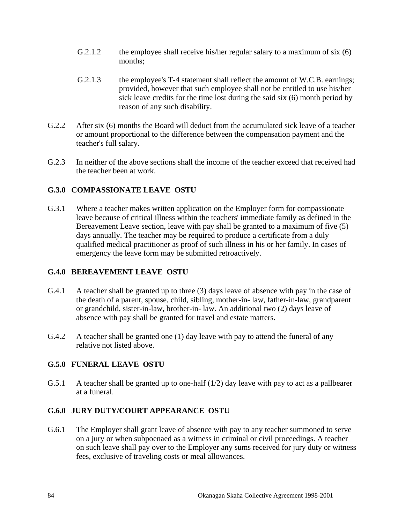- G.2.1.2 the employee shall receive his/her regular salary to a maximum of six (6) months;
- G.2.1.3 the employee's T-4 statement shall reflect the amount of W.C.B. earnings; provided, however that such employee shall not be entitled to use his/her sick leave credits for the time lost during the said six (6) month period by reason of any such disability.
- G.2.2 After six (6) months the Board will deduct from the accumulated sick leave of a teacher or amount proportional to the difference between the compensation payment and the teacher's full salary.
- G.2.3 In neither of the above sections shall the income of the teacher exceed that received had the teacher been at work.

### **G.3.0 COMPASSIONATE LEAVE OSTU**

G.3.1 Where a teacher makes written application on the Employer form for compassionate leave because of critical illness within the teachers' immediate family as defined in the Bereavement Leave section, leave with pay shall be granted to a maximum of five (5) days annually. The teacher may be required to produce a certificate from a duly qualified medical practitioner as proof of such illness in his or her family. In cases of emergency the leave form may be submitted retroactively.

### **G.4.0 BEREAVEMENT LEAVE OSTU**

- G.4.1 A teacher shall be granted up to three (3) days leave of absence with pay in the case of the death of a parent, spouse, child, sibling, mother-in- law, father-in-law, grandparent or grandchild, sister-in-law, brother-in- law. An additional two (2) days leave of absence with pay shall be granted for travel and estate matters.
- G.4.2 A teacher shall be granted one (1) day leave with pay to attend the funeral of any relative not listed above.

## **G.5.0 FUNERAL LEAVE OSTU**

G.5.1 A teacher shall be granted up to one-half (1/2) day leave with pay to act as a pallbearer at a funeral.

## **G.6.0 JURY DUTY/COURT APPEARANCE OSTU**

G.6.1 The Employer shall grant leave of absence with pay to any teacher summoned to serve on a jury or when subpoenaed as a witness in criminal or civil proceedings. A teacher on such leave shall pay over to the Employer any sums received for jury duty or witness fees, exclusive of traveling costs or meal allowances.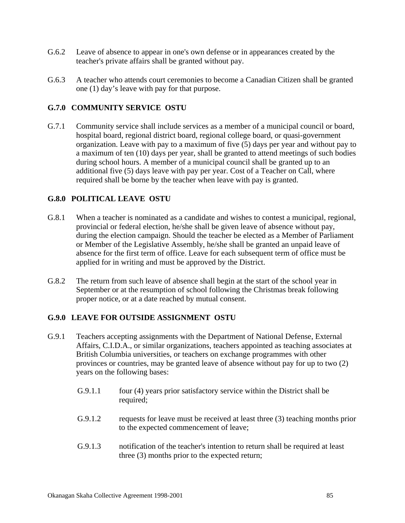- G.6.2 Leave of absence to appear in one's own defense or in appearances created by the teacher's private affairs shall be granted without pay.
- G.6.3 A teacher who attends court ceremonies to become a Canadian Citizen shall be granted one (1) day's leave with pay for that purpose.

### **G.7.0 COMMUNITY SERVICE OSTU**

G.7.1 Community service shall include services as a member of a municipal council or board, hospital board, regional district board, regional college board, or quasi-government organization. Leave with pay to a maximum of five (5) days per year and without pay to a maximum of ten (10) days per year, shall be granted to attend meetings of such bodies during school hours. A member of a municipal council shall be granted up to an additional five (5) days leave with pay per year. Cost of a Teacher on Call, where required shall be borne by the teacher when leave with pay is granted.

#### **G.8.0 POLITICAL LEAVE OSTU**

- G.8.1 When a teacher is nominated as a candidate and wishes to contest a municipal, regional, provincial or federal election, he/she shall be given leave of absence without pay, during the election campaign. Should the teacher be elected as a Member of Parliament or Member of the Legislative Assembly, he/she shall be granted an unpaid leave of absence for the first term of office. Leave for each subsequent term of office must be applied for in writing and must be approved by the District.
- G.8.2 The return from such leave of absence shall begin at the start of the school year in September or at the resumption of school following the Christmas break following proper notice, or at a date reached by mutual consent.

### **G.9.0 LEAVE FOR OUTSIDE ASSIGNMENT OSTU**

- G.9.1 Teachers accepting assignments with the Department of National Defense, External Affairs, C.I.D.A., or similar organizations, teachers appointed as teaching associates at British Columbia universities, or teachers on exchange programmes with other provinces or countries, may be granted leave of absence without pay for up to two (2) years on the following bases:
	- G.9.1.1 four (4) years prior satisfactory service within the District shall be required;
	- G.9.1.2 requests for leave must be received at least three (3) teaching months prior to the expected commencement of leave;
	- G.9.1.3 notification of the teacher's intention to return shall be required at least three (3) months prior to the expected return;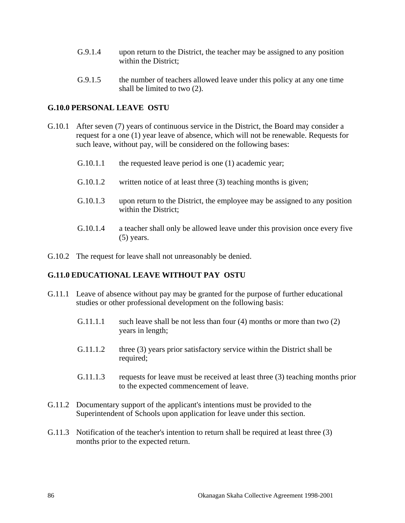- G.9.1.4 upon return to the District, the teacher may be assigned to any position within the District;
- G.9.1.5 the number of teachers allowed leave under this policy at any one time shall be limited to two (2).

#### **G.10.0 PERSONAL LEAVE OSTU**

- G.10.1 After seven (7) years of continuous service in the District, the Board may consider a request for a one (1) year leave of absence, which will not be renewable. Requests for such leave, without pay, will be considered on the following bases:
	- G.10.1.1 the requested leave period is one (1) academic year;
	- G.10.1.2 written notice of at least three (3) teaching months is given;
	- G.10.1.3 upon return to the District, the employee may be assigned to any position within the District;
	- G.10.1.4 a teacher shall only be allowed leave under this provision once every five (5) years.
- G.10.2 The request for leave shall not unreasonably be denied.

#### **G.11.0 EDUCATIONAL LEAVE WITHOUT PAY OSTU**

- G.11.1 Leave of absence without pay may be granted for the purpose of further educational studies or other professional development on the following basis:
	- G.11.1.1 such leave shall be not less than four (4) months or more than two (2) years in length;
	- G.11.1.2 three (3) years prior satisfactory service within the District shall be required;
	- G.11.1.3 requests for leave must be received at least three (3) teaching months prior to the expected commencement of leave.
- G.11.2 Documentary support of the applicant's intentions must be provided to the Superintendent of Schools upon application for leave under this section.
- G.11.3 Notification of the teacher's intention to return shall be required at least three (3) months prior to the expected return.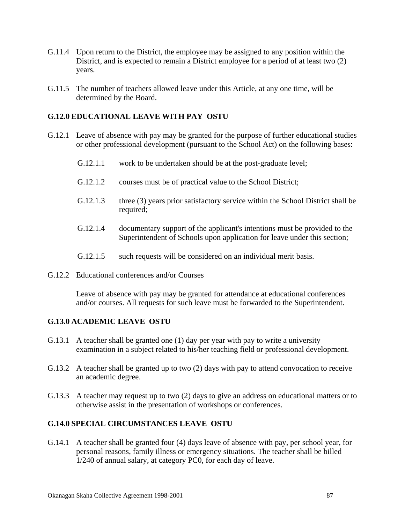- G.11.4 Upon return to the District, the employee may be assigned to any position within the District, and is expected to remain a District employee for a period of at least two (2) years.
- G.11.5 The number of teachers allowed leave under this Article, at any one time, will be determined by the Board.

### **G.12.0 EDUCATIONAL LEAVE WITH PAY OSTU**

- G.12.1 Leave of absence with pay may be granted for the purpose of further educational studies or other professional development (pursuant to the School Act) on the following bases:
	- G.12.1.1 work to be undertaken should be at the post-graduate level;
	- G.12.1.2 courses must be of practical value to the School District;
	- G.12.1.3 three (3) years prior satisfactory service within the School District shall be required;
	- G.12.1.4 documentary support of the applicant's intentions must be provided to the Superintendent of Schools upon application for leave under this section;
	- G.12.1.5 such requests will be considered on an individual merit basis.
- G.12.2 Educational conferences and/or Courses

 Leave of absence with pay may be granted for attendance at educational conferences and/or courses. All requests for such leave must be forwarded to the Superintendent.

### **G.13.0 ACADEMIC LEAVE OSTU**

- G.13.1 A teacher shall be granted one (1) day per year with pay to write a university examination in a subject related to his/her teaching field or professional development.
- G.13.2 A teacher shall be granted up to two (2) days with pay to attend convocation to receive an academic degree.
- G.13.3 A teacher may request up to two (2) days to give an address on educational matters or to otherwise assist in the presentation of workshops or conferences.

### **G.14.0 SPECIAL CIRCUMSTANCES LEAVE OSTU**

G.14.1 A teacher shall be granted four (4) days leave of absence with pay, per school year, for personal reasons, family illness or emergency situations. The teacher shall be billed 1/240 of annual salary, at category PC0, for each day of leave.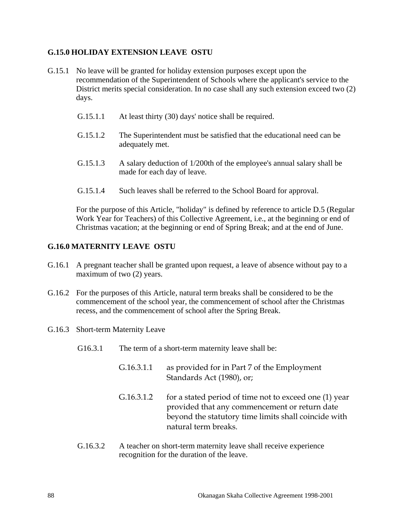### **G.15.0 HOLIDAY EXTENSION LEAVE OSTU**

- G.15.1 No leave will be granted for holiday extension purposes except upon the recommendation of the Superintendent of Schools where the applicant's service to the District merits special consideration. In no case shall any such extension exceed two (2) days.
	- G.15.1.1 At least thirty (30) days' notice shall be required.
	- G.15.1.2 The Superintendent must be satisfied that the educational need can be adequately met.
	- G.15.1.3 A salary deduction of 1/200th of the employee's annual salary shall be made for each day of leave.
	- G.15.1.4 Such leaves shall be referred to the School Board for approval.

 For the purpose of this Article, "holiday" is defined by reference to article D.5 (Regular Work Year for Teachers) of this Collective Agreement, i.e., at the beginning or end of Christmas vacation; at the beginning or end of Spring Break; and at the end of June.

#### **G.16.0 MATERNITY LEAVE OSTU**

- G.16.1 A pregnant teacher shall be granted upon request, a leave of absence without pay to a maximum of two  $(2)$  years.
- G.16.2 For the purposes of this Article, natural term breaks shall be considered to be the commencement of the school year, the commencement of school after the Christmas recess, and the commencement of school after the Spring Break.
- G.16.3 Short-term Maternity Leave
	- G16.3.1 The term of a short-term maternity leave shall be:
		- G.16.3.1.1 as provided for in Part 7 of the Employment Standards Act (1980), or;
		- G.16.3.1.2 for a stated period of time not to exceed one (1) year provided that any commencement or return date beyond the statutory time limits shall coincide with natural term breaks.
	- G.16.3.2 A teacher on short-term maternity leave shall receive experience recognition for the duration of the leave.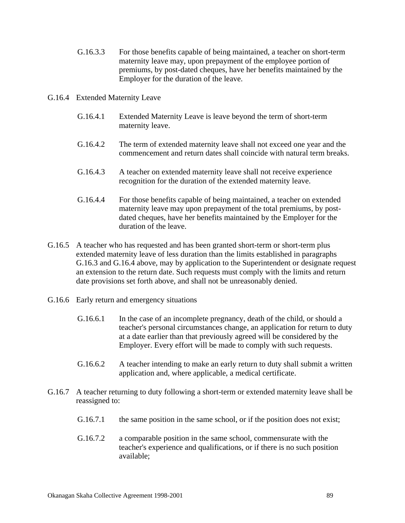- G.16.3.3 For those benefits capable of being maintained, a teacher on short-term maternity leave may, upon prepayment of the employee portion of premiums, by post-dated cheques, have her benefits maintained by the Employer for the duration of the leave.
- G.16.4 Extended Maternity Leave
	- G.16.4.1 Extended Maternity Leave is leave beyond the term of short-term maternity leave.
	- G.16.4.2 The term of extended maternity leave shall not exceed one year and the commencement and return dates shall coincide with natural term breaks.
	- G.16.4.3 A teacher on extended maternity leave shall not receive experience recognition for the duration of the extended maternity leave.
	- G.16.4.4 For those benefits capable of being maintained, a teacher on extended maternity leave may upon prepayment of the total premiums, by postdated cheques, have her benefits maintained by the Employer for the duration of the leave.
- G.16.5 A teacher who has requested and has been granted short-term or short-term plus extended maternity leave of less duration than the limits established in paragraphs G.16.3 and G.16.4 above, may by application to the Superintendent or designate request an extension to the return date. Such requests must comply with the limits and return date provisions set forth above, and shall not be unreasonably denied.
- G.16.6 Early return and emergency situations
	- G.16.6.1 In the case of an incomplete pregnancy, death of the child, or should a teacher's personal circumstances change, an application for return to duty at a date earlier than that previously agreed will be considered by the Employer. Every effort will be made to comply with such requests.
	- G.16.6.2 A teacher intending to make an early return to duty shall submit a written application and, where applicable, a medical certificate.
- G.16.7 A teacher returning to duty following a short-term or extended maternity leave shall be reassigned to:
	- G.16.7.1 the same position in the same school, or if the position does not exist;
	- G.16.7.2 a comparable position in the same school, commensurate with the teacher's experience and qualifications, or if there is no such position available;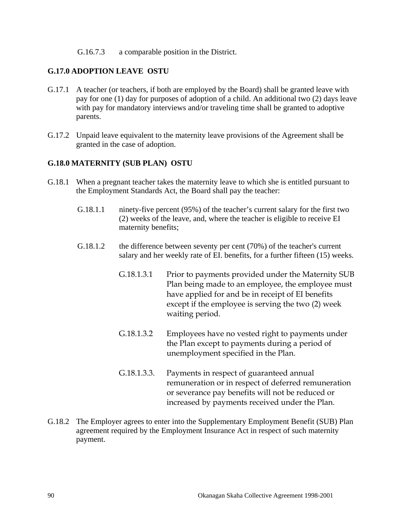#### G.16.7.3 a comparable position in the District.

#### **G.17.0 ADOPTION LEAVE OSTU**

- G.17.1 A teacher (or teachers, if both are employed by the Board) shall be granted leave with pay for one (1) day for purposes of adoption of a child. An additional two (2) days leave with pay for mandatory interviews and/or traveling time shall be granted to adoptive parents.
- G.17.2 Unpaid leave equivalent to the maternity leave provisions of the Agreement shall be granted in the case of adoption.

#### **G.18.0 MATERNITY (SUB PLAN) OSTU**

- G.18.1 When a pregnant teacher takes the maternity leave to which she is entitled pursuant to the Employment Standards Act, the Board shall pay the teacher:
	- G.18.1.1 ninety-five percent (95%) of the teacher's current salary for the first two (2) weeks of the leave, and, where the teacher is eligible to receive EI maternity benefits;
	- G.18.1.2 the difference between seventy per cent (70%) of the teacher's current salary and her weekly rate of EI. benefits, for a further fifteen (15) weeks.
		- G.18.1.3.1 Prior to payments provided under the Maternity SUB Plan being made to an employee, the employee must have applied for and be in receipt of EI benefits except if the employee is serving the two (2) week waiting period.
		- G.18.1.3.2 Employees have no vested right to payments under the Plan except to payments during a period of unemployment specified in the Plan.
		- G.18.1.3.3. Payments in respect of guaranteed annual remuneration or in respect of deferred remuneration or severance pay benefits will not be reduced or increased by payments received under the Plan.
- G.18.2 The Employer agrees to enter into the Supplementary Employment Benefit (SUB) Plan agreement required by the Employment Insurance Act in respect of such maternity payment.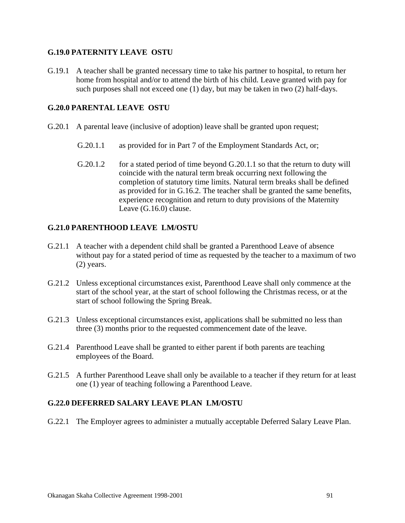#### **G.19.0 PATERNITY LEAVE OSTU**

G.19.1 A teacher shall be granted necessary time to take his partner to hospital, to return her home from hospital and/or to attend the birth of his child. Leave granted with pay for such purposes shall not exceed one (1) day, but may be taken in two (2) half-days.

#### **G.20.0 PARENTAL LEAVE OSTU**

- G.20.1 A parental leave (inclusive of adoption) leave shall be granted upon request;
	- G.20.1.1 as provided for in Part 7 of the Employment Standards Act, or;
	- G.20.1.2 for a stated period of time beyond G.20.1.1 so that the return to duty will coincide with the natural term break occurring next following the completion of statutory time limits. Natural term breaks shall be defined as provided for in G.16.2. The teacher shall be granted the same benefits, experience recognition and return to duty provisions of the Maternity Leave (G.16.0) clause.

#### **G.21.0 PARENTHOOD LEAVE LM/OSTU**

- G.21.1 A teacher with a dependent child shall be granted a Parenthood Leave of absence without pay for a stated period of time as requested by the teacher to a maximum of two (2) years.
- G.21.2 Unless exceptional circumstances exist, Parenthood Leave shall only commence at the start of the school year, at the start of school following the Christmas recess, or at the start of school following the Spring Break.
- G.21.3 Unless exceptional circumstances exist, applications shall be submitted no less than three (3) months prior to the requested commencement date of the leave.
- G.21.4 Parenthood Leave shall be granted to either parent if both parents are teaching employees of the Board.
- G.21.5 A further Parenthood Leave shall only be available to a teacher if they return for at least one (1) year of teaching following a Parenthood Leave.

#### **G.22.0 DEFERRED SALARY LEAVE PLAN LM/OSTU**

G.22.1 The Employer agrees to administer a mutually acceptable Deferred Salary Leave Plan.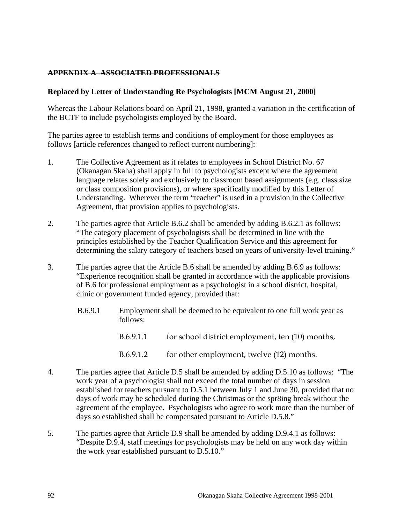### **APPENDIX A ASSOCIATED PROFESSIONALS**

#### **Replaced by Letter of Understanding Re Psychologists [MCM August 21, 2000]**

Whereas the Labour Relations board on April 21, 1998, granted a variation in the certification of the BCTF to include psychologists employed by the Board.

The parties agree to establish terms and conditions of employment for those employees as follows [article references changed to reflect current numbering]:

- 1. The Collective Agreement as it relates to employees in School District No. 67 (Okanagan Skaha) shall apply in full to psychologists except where the agreement language relates solely and exclusively to classroom based assignments (e.g. class size or class composition provisions), or where specifically modified by this Letter of Understanding. Wherever the term "teacher" is used in a provision in the Collective Agreement, that provision applies to psychologists.
- 2. The parties agree that Article B.6.2 shall be amended by adding B.6.2.1 as follows: "The category placement of psychologists shall be determined in line with the principles established by the Teacher Qualification Service and this agreement for determining the salary category of teachers based on years of university-level training."
- 3. The parties agree that the Article B.6 shall be amended by adding B.6.9 as follows: "Experience recognition shall be granted in accordance with the applicable provisions of B.6 for professional employment as a psychologist in a school district, hospital, clinic or government funded agency, provided that:
	- B.6.9.1 Employment shall be deemed to be equivalent to one full work year as follows:
		- B.6.9.1.1 for school district employment, ten (10) months,
		- B.6.9.1.2 for other employment, twelve (12) months.
- 4. The parties agree that Article D.5 shall be amended by adding D.5.10 as follows: "The work year of a psychologist shall not exceed the total number of days in session established for teachers pursuant to D.5.1 between July 1 and June 30, provided that no days of work may be scheduled during the Christmas or the spr8ing break without the agreement of the employee. Psychologists who agree to work more than the number of days so established shall be compensated pursuant to Article D.5.8."
- 5. The parties agree that Article D.9 shall be amended by adding D.9.4.1 as follows: "Despite D.9.4, staff meetings for psychologists may be held on any work day within the work year established pursuant to D.5.10."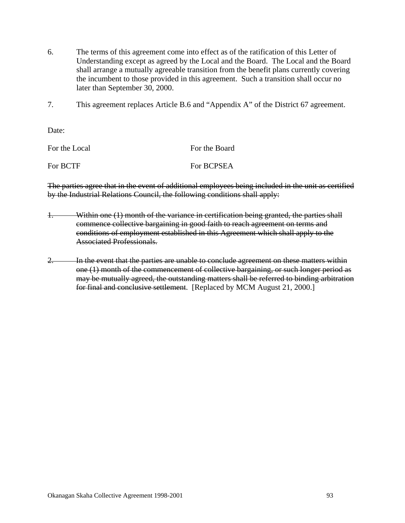- 6. The terms of this agreement come into effect as of the ratification of this Letter of Understanding except as agreed by the Local and the Board. The Local and the Board shall arrange a mutually agreeable transition from the benefit plans currently covering the incumbent to those provided in this agreement. Such a transition shall occur no later than September 30, 2000.
- 7. This agreement replaces Article B.6 and "Appendix A" of the District 67 agreement.

Date:

| For the Local | For the Board |
|---------------|---------------|
| For BCTF      | For BCPSEA    |

The parties agree that in the event of additional employees being included in the unit as certified by the Industrial Relations Council, the following conditions shall apply:

- 1. Within one (1) month of the variance in certification being granted, the parties shall commence collective bargaining in good faith to reach agreement on terms and conditions of employment established in this Agreement which shall apply to the Associated Professionals.
- 2. In the event that the parties are unable to conclude agreement on these matters within one (1) month of the commencement of collective bargaining, or such longer period as may be mutually agreed, the outstanding matters shall be referred to binding arbitration for final and conclusive settlement. [Replaced by MCM August 21, 2000.]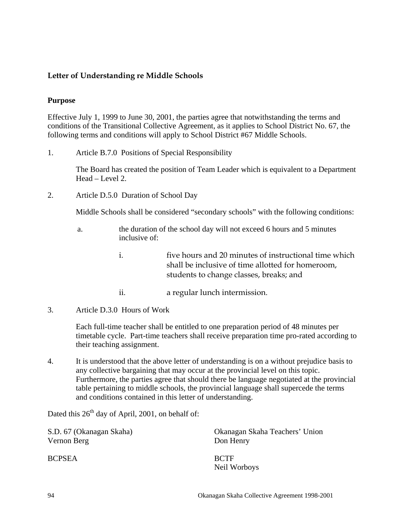### **Letter of Understanding re Middle Schools**

#### **Purpose**

Effective July 1, 1999 to June 30, 2001, the parties agree that notwithstanding the terms and conditions of the Transitional Collective Agreement, as it applies to School District No. 67, the following terms and conditions will apply to School District #67 Middle Schools.

1. Article B.7.0 Positions of Special Responsibility

The Board has created the position of Team Leader which is equivalent to a Department Head – Level 2.

2. Article D.5.0 Duration of School Day

Middle Schools shall be considered "secondary schools" with the following conditions:

- a. the duration of the school day will not exceed 6 hours and 5 minutes inclusive of:
	- i. five hours and 20 minutes of instructional time which shall be inclusive of time allotted for homeroom, students to change classes, breaks; and
	- ii. a regular lunch intermission.
- 3. Article D.3.0 Hours of Work

Each full-time teacher shall be entitled to one preparation period of 48 minutes per timetable cycle. Part-time teachers shall receive preparation time pro-rated according to their teaching assignment.

4. It is understood that the above letter of understanding is on a without prejudice basis to any collective bargaining that may occur at the provincial level on this topic. Furthermore, the parties agree that should there be language negotiated at the provincial table pertaining to middle schools, the provincial language shall supercede the terms and conditions contained in this letter of understanding.

Dated this  $26<sup>th</sup>$  day of April, 2001, on behalf of:

S.D. 67 (Okanagan Skaha) Okanagan Skaha Teachers' Union Vernon Berg Don Henry BCPSEA BCTF Neil Worboys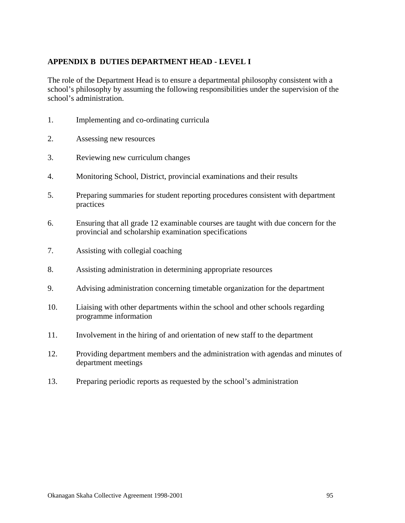### **APPENDIX B DUTIES DEPARTMENT HEAD - LEVEL I**

The role of the Department Head is to ensure a departmental philosophy consistent with a school's philosophy by assuming the following responsibilities under the supervision of the school's administration.

- 1. Implementing and co-ordinating curricula
- 2. Assessing new resources
- 3. Reviewing new curriculum changes
- 4. Monitoring School, District, provincial examinations and their results
- 5. Preparing summaries for student reporting procedures consistent with department practices
- 6. Ensuring that all grade 12 examinable courses are taught with due concern for the provincial and scholarship examination specifications
- 7. Assisting with collegial coaching
- 8. Assisting administration in determining appropriate resources
- 9. Advising administration concerning timetable organization for the department
- 10. Liaising with other departments within the school and other schools regarding programme information
- 11. Involvement in the hiring of and orientation of new staff to the department
- 12. Providing department members and the administration with agendas and minutes of department meetings
- 13. Preparing periodic reports as requested by the school's administration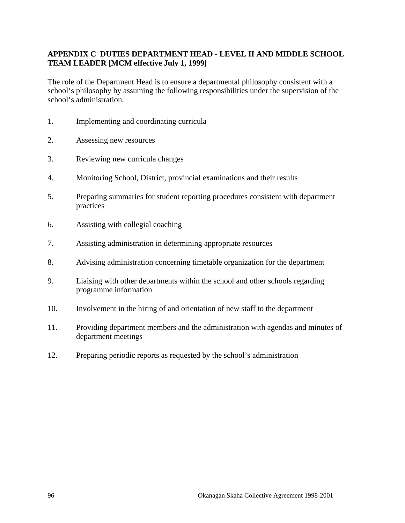### **APPENDIX C DUTIES DEPARTMENT HEAD - LEVEL II AND MIDDLE SCHOOL TEAM LEADER [MCM effective July 1, 1999]**

The role of the Department Head is to ensure a departmental philosophy consistent with a school's philosophy by assuming the following responsibilities under the supervision of the school's administration.

- 1. Implementing and coordinating curricula
- 2. Assessing new resources
- 3. Reviewing new curricula changes
- 4. Monitoring School, District, provincial examinations and their results
- 5. Preparing summaries for student reporting procedures consistent with department practices
- 6. Assisting with collegial coaching
- 7. Assisting administration in determining appropriate resources
- 8. Advising administration concerning timetable organization for the department
- 9. Liaising with other departments within the school and other schools regarding programme information
- 10. Involvement in the hiring of and orientation of new staff to the department
- 11. Providing department members and the administration with agendas and minutes of department meetings
- 12. Preparing periodic reports as requested by the school's administration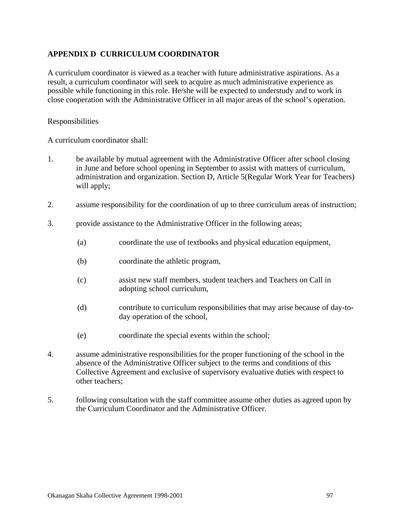### **APPENDIX D CURRICULUM COORDINATOR**

A curriculum coordinator is viewed as a teacher with future administrative aspirations. As a result, a curriculum coordinator will seek to acquire as much administrative experience as possible while functioning in this role. He/she will be expected to understudy and to work in close cooperation with the Administrative Officer in all major areas of the school's operation.

#### Responsibilities

A curriculum coordinator shall:

- 1. be available by mutual agreement with the Administrative Officer after school closing in June and before school opening in September to assist with matters of curriculum, administration and organization. Section D, Article 5(Regular Work Year for Teachers) will apply;
- 2. assume responsibility for the coordination of up to three curriculum areas of instruction;
- 3. provide assistance to the Administrative Officer in the following areas;
	- (a) coordinate the use of textbooks and physical education equipment,
	- (b) coordinate the athletic program,
	- (c) assist new staff members, student teachers and Teachers on Call in adopting school curriculum,
	- (d) contribute to curriculum responsibilities that may arise because of day-today operation of the school,
	- (e) coordinate the special events within the school;
- 4. assume administrative responsibilities for the proper functioning of the school in the absence of the Administrative Officer subject to the terms and conditions of this Collective Agreement and exclusive of supervisory evaluative duties with respect to other teachers;
- 5. following consultation with the staff committee assume other duties as agreed upon by the Curriculum Coordinator and the Administrative Officer.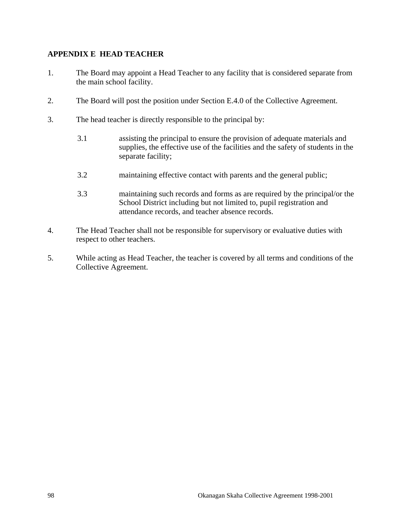### **APPENDIX E HEAD TEACHER**

- 1. The Board may appoint a Head Teacher to any facility that is considered separate from the main school facility.
- 2. The Board will post the position under Section E.4.0 of the Collective Agreement.
- 3. The head teacher is directly responsible to the principal by:
	- 3.1 assisting the principal to ensure the provision of adequate materials and supplies, the effective use of the facilities and the safety of students in the separate facility;
	- 3.2 maintaining effective contact with parents and the general public;
	- 3.3 maintaining such records and forms as are required by the principal/or the School District including but not limited to, pupil registration and attendance records, and teacher absence records.
- 4. The Head Teacher shall not be responsible for supervisory or evaluative duties with respect to other teachers.
- 5. While acting as Head Teacher, the teacher is covered by all terms and conditions of the Collective Agreement.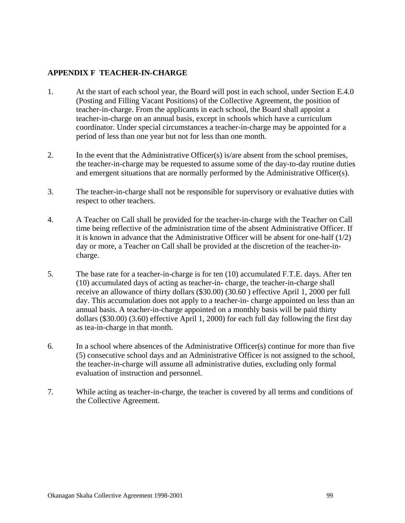### **APPENDIX F TEACHER-IN-CHARGE**

- 1. At the start of each school year, the Board will post in each school, under Section E.4.0 (Posting and Filling Vacant Positions) of the Collective Agreement, the position of teacher-in-charge. From the applicants in each school, the Board shall appoint a teacher-in-charge on an annual basis, except in schools which have a curriculum coordinator. Under special circumstances a teacher-in-charge may be appointed for a period of less than one year but not for less than one month.
- 2. In the event that the Administrative Officer(s) is/are absent from the school premises, the teacher-in-charge may be requested to assume some of the day-to-day routine duties and emergent situations that are normally performed by the Administrative Officer(s).
- 3. The teacher-in-charge shall not be responsible for supervisory or evaluative duties with respect to other teachers.
- 4. A Teacher on Call shall be provided for the teacher-in-charge with the Teacher on Call time being reflective of the administration time of the absent Administrative Officer. If it is known in advance that the Administrative Officer will be absent for one-half (1/2) day or more, a Teacher on Call shall be provided at the discretion of the teacher-incharge.
- 5. The base rate for a teacher-in-charge is for ten (10) accumulated F.T.E. days. After ten (10) accumulated days of acting as teacher-in- charge, the teacher-in-charge shall receive an allowance of thirty dollars (\$30.00) (30.60 ) effective April 1, 2000 per full day. This accumulation does not apply to a teacher-in- charge appointed on less than an annual basis. A teacher-in-charge appointed on a monthly basis will be paid thirty dollars (\$30.00) (3.60) effective April 1, 2000) for each full day following the first day as tea-in-charge in that month.
- 6. In a school where absences of the Administrative Officer(s) continue for more than five (5) consecutive school days and an Administrative Officer is not assigned to the school, the teacher-in-charge will assume all administrative duties, excluding only formal evaluation of instruction and personnel.
- 7. While acting as teacher-in-charge, the teacher is covered by all terms and conditions of the Collective Agreement.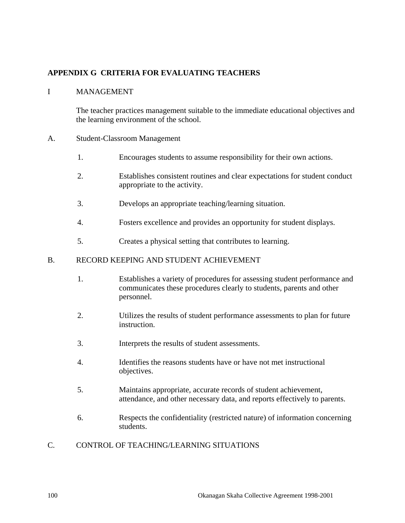## **APPENDIX G CRITERIA FOR EVALUATING TEACHERS**

#### I MANAGEMENT

 The teacher practices management suitable to the immediate educational objectives and the learning environment of the school.

#### A. Student-Classroom Management

- 1. Encourages students to assume responsibility for their own actions.
- 2. Establishes consistent routines and clear expectations for student conduct appropriate to the activity.
- 3. Develops an appropriate teaching/learning situation.
- 4. Fosters excellence and provides an opportunity for student displays.
- 5. Creates a physical setting that contributes to learning.

#### B. RECORD KEEPING AND STUDENT ACHIEVEMENT

- 1. Establishes a variety of procedures for assessing student performance and communicates these procedures clearly to students, parents and other personnel.
- 2. Utilizes the results of student performance assessments to plan for future instruction.
- 3. Interprets the results of student assessments.
- 4. Identifies the reasons students have or have not met instructional objectives.
- 5. Maintains appropriate, accurate records of student achievement, attendance, and other necessary data, and reports effectively to parents.
- 6. Respects the confidentiality (restricted nature) of information concerning students.

#### C. CONTROL OF TEACHING/LEARNING SITUATIONS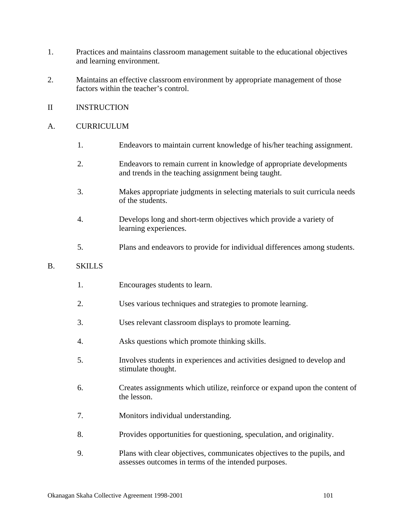- 1. Practices and maintains classroom management suitable to the educational objectives and learning environment.
- 2. Maintains an effective classroom environment by appropriate management of those factors within the teacher's control.
- II INSTRUCTION

#### A. CURRICULUM

- 1. Endeavors to maintain current knowledge of his/her teaching assignment.
- 2. Endeavors to remain current in knowledge of appropriate developments and trends in the teaching assignment being taught.
- 3. Makes appropriate judgments in selecting materials to suit curricula needs of the students.
- 4. Develops long and short-term objectives which provide a variety of learning experiences.
- 5. Plans and endeavors to provide for individual differences among students.

#### B. SKILLS

- 1. Encourages students to learn.
- 2. Uses various techniques and strategies to promote learning.
- 3. Uses relevant classroom displays to promote learning.
- 4. Asks questions which promote thinking skills.
- 5. Involves students in experiences and activities designed to develop and stimulate thought.
- 6. Creates assignments which utilize, reinforce or expand upon the content of the lesson.
- 7. Monitors individual understanding.
- 8. Provides opportunities for questioning, speculation, and originality.
- 9. Plans with clear objectives, communicates objectives to the pupils, and assesses outcomes in terms of the intended purposes.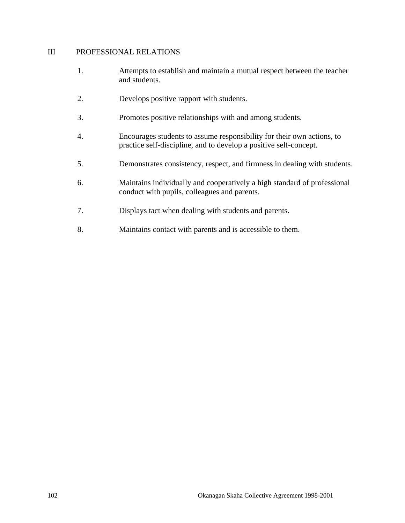#### III PROFESSIONAL RELATIONS

- 1. Attempts to establish and maintain a mutual respect between the teacher and students.
- 2. Develops positive rapport with students.
- 3. Promotes positive relationships with and among students.
- 4. Encourages students to assume responsibility for their own actions, to practice self-discipline, and to develop a positive self-concept.
- 5. Demonstrates consistency, respect, and firmness in dealing with students.
- 6. Maintains individually and cooperatively a high standard of professional conduct with pupils, colleagues and parents.
- 7. Displays tact when dealing with students and parents.
- 8. Maintains contact with parents and is accessible to them.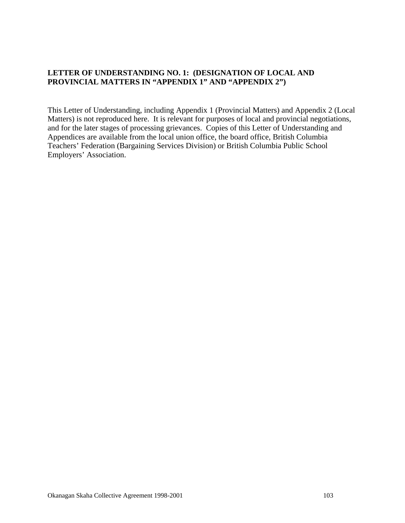### **LETTER OF UNDERSTANDING NO. 1: (DESIGNATION OF LOCAL AND PROVINCIAL MATTERS IN "APPENDIX 1" AND "APPENDIX 2")**

This Letter of Understanding, including Appendix 1 (Provincial Matters) and Appendix 2 (Local Matters) is not reproduced here. It is relevant for purposes of local and provincial negotiations, and for the later stages of processing grievances. Copies of this Letter of Understanding and Appendices are available from the local union office, the board office, British Columbia Teachers' Federation (Bargaining Services Division) or British Columbia Public School Employers' Association.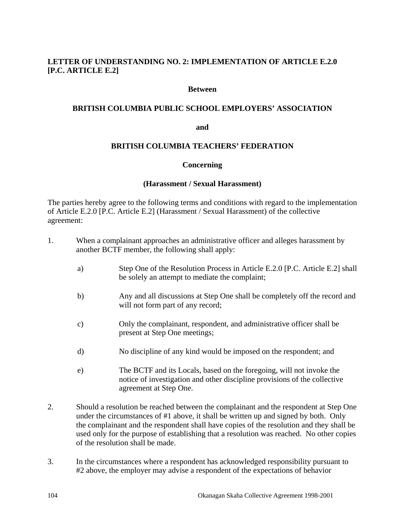### **LETTER OF UNDERSTANDING NO. 2: IMPLEMENTATION OF ARTICLE E.2.0 [P.C. ARTICLE E.2]**

#### **Between**

#### **BRITISH COLUMBIA PUBLIC SCHOOL EMPLOYERS' ASSOCIATION**

#### **and**

#### **BRITISH COLUMBIA TEACHERS' FEDERATION**

#### **Concerning**

#### **(Harassment / Sexual Harassment)**

The parties hereby agree to the following terms and conditions with regard to the implementation of Article E.2.0 [P.C. Article E.2] (Harassment / Sexual Harassment) of the collective agreement:

- 1. When a complainant approaches an administrative officer and alleges harassment by another BCTF member, the following shall apply:
	- a) Step One of the Resolution Process in Article E.2.0 [P.C. Article E.2] shall be solely an attempt to mediate the complaint;
	- b) Any and all discussions at Step One shall be completely off the record and will not form part of any record;
	- c) Only the complainant, respondent, and administrative officer shall be present at Step One meetings;
	- d) No discipline of any kind would be imposed on the respondent; and
	- e) The BCTF and its Locals, based on the foregoing, will not invoke the notice of investigation and other discipline provisions of the collective agreement at Step One.
- 2. Should a resolution be reached between the complainant and the respondent at Step One under the circumstances of #1 above, it shall be written up and signed by both. Only the complainant and the respondent shall have copies of the resolution and they shall be used only for the purpose of establishing that a resolution was reached. No other copies of the resolution shall be made.
- 3. In the circumstances where a respondent has acknowledged responsibility pursuant to #2 above, the employer may advise a respondent of the expectations of behavior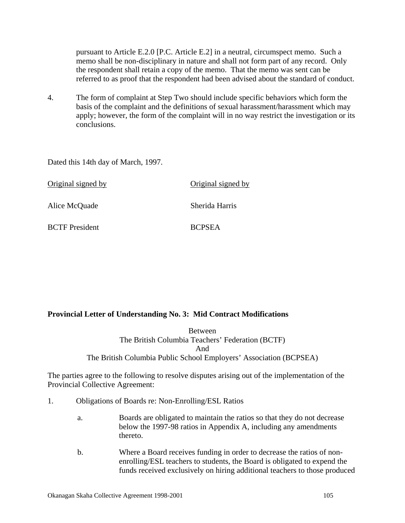pursuant to Article E.2.0 [P.C. Article E.2] in a neutral, circumspect memo. Such a memo shall be non-disciplinary in nature and shall not form part of any record. Only the respondent shall retain a copy of the memo. That the memo was sent can be referred to as proof that the respondent had been advised about the standard of conduct.

4. The form of complaint at Step Two should include specific behaviors which form the basis of the complaint and the definitions of sexual harassment/harassment which may apply; however, the form of the complaint will in no way restrict the investigation or its conclusions.

Dated this 14th day of March, 1997.

| Original signed by    | Original signed by |
|-----------------------|--------------------|
| Alice McQuade         | Sherida Harris     |
| <b>BCTF</b> President | <b>BCPSEA</b>      |

#### **Provincial Letter of Understanding No. 3: Mid Contract Modifications**

Between The British Columbia Teachers' Federation (BCTF) And The British Columbia Public School Employers' Association (BCPSEA)

The parties agree to the following to resolve disputes arising out of the implementation of the Provincial Collective Agreement:

- 1. Obligations of Boards re: Non-Enrolling/ESL Ratios
	- a. Boards are obligated to maintain the ratios so that they do not decrease below the 1997-98 ratios in Appendix A, including any amendments thereto.
	- b. Where a Board receives funding in order to decrease the ratios of nonenrolling/ESL teachers to students, the Board is obligated to expend the funds received exclusively on hiring additional teachers to those produced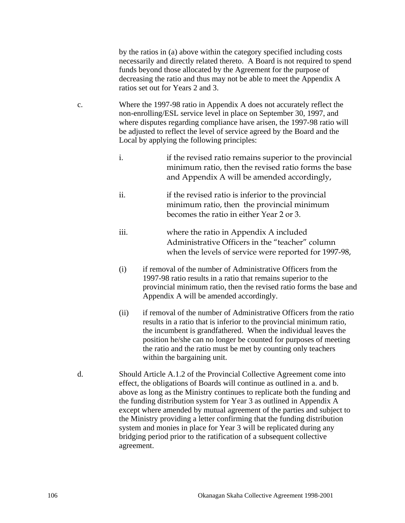by the ratios in (a) above within the category specified including costs necessarily and directly related thereto. A Board is not required to spend funds beyond those allocated by the Agreement for the purpose of decreasing the ratio and thus may not be able to meet the Appendix A ratios set out for Years 2 and 3.

- c. Where the 1997-98 ratio in Appendix A does not accurately reflect the non-enrolling/ESL service level in place on September 30, 1997, and where disputes regarding compliance have arisen, the 1997-98 ratio will be adjusted to reflect the level of service agreed by the Board and the Local by applying the following principles:
	- i. if the revised ratio remains superior to the provincial minimum ratio, then the revised ratio forms the base and Appendix A will be amended accordingly,
	- ii. if the revised ratio is inferior to the provincial minimum ratio, then the provincial minimum becomes the ratio in either Year 2 or 3.
	- iii. where the ratio in Appendix A included Administrative Officers in the "teacher" column when the levels of service were reported for 1997-98,
	- (i) if removal of the number of Administrative Officers from the 1997-98 ratio results in a ratio that remains superior to the provincial minimum ratio, then the revised ratio forms the base and Appendix A will be amended accordingly.
	- (ii) if removal of the number of Administrative Officers from the ratio results in a ratio that is inferior to the provincial minimum ratio, the incumbent is grandfathered. When the individual leaves the position he/she can no longer be counted for purposes of meeting the ratio and the ratio must be met by counting only teachers within the bargaining unit.
- d. Should Article A.1.2 of the Provincial Collective Agreement come into effect, the obligations of Boards will continue as outlined in a. and b. above as long as the Ministry continues to replicate both the funding and the funding distribution system for Year 3 as outlined in Appendix A except where amended by mutual agreement of the parties and subject to the Ministry providing a letter confirming that the funding distribution system and monies in place for Year 3 will be replicated during any bridging period prior to the ratification of a subsequent collective agreement.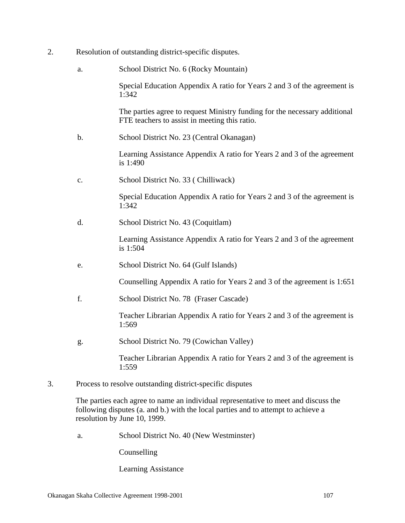- 2. Resolution of outstanding district-specific disputes.
	- a. School District No. 6 (Rocky Mountain)

 Special Education Appendix A ratio for Years 2 and 3 of the agreement is 1:342

 The parties agree to request Ministry funding for the necessary additional FTE teachers to assist in meeting this ratio.

b. School District No. 23 (Central Okanagan)

 Learning Assistance Appendix A ratio for Years 2 and 3 of the agreement is 1:490

c. School District No. 33 ( Chilliwack)

 Special Education Appendix A ratio for Years 2 and 3 of the agreement is 1:342

d. School District No. 43 (Coquitlam)

 Learning Assistance Appendix A ratio for Years 2 and 3 of the agreement is 1:504

e. School District No. 64 (Gulf Islands)

Counselling Appendix A ratio for Years 2 and 3 of the agreement is 1:651

f. School District No. 78 (Fraser Cascade)

 Teacher Librarian Appendix A ratio for Years 2 and 3 of the agreement is 1:569

g. School District No. 79 (Cowichan Valley)

 Teacher Librarian Appendix A ratio for Years 2 and 3 of the agreement is 1:559

3. Process to resolve outstanding district-specific disputes

The parties each agree to name an individual representative to meet and discuss the following disputes (a. and b.) with the local parties and to attempt to achieve a resolution by June 10, 1999.

a. School District No. 40 (New Westminster)

Counselling

Learning Assistance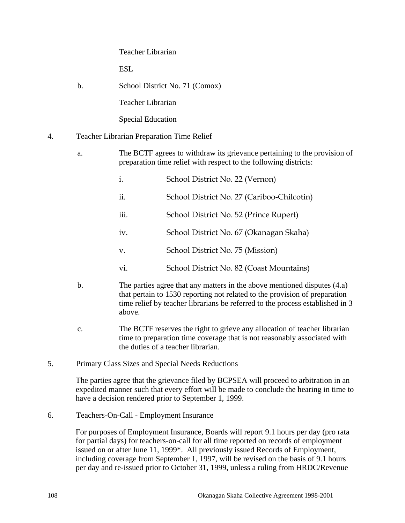#### Teacher Librarian

ESL.

b. School District No. 71 (Comox)

Teacher Librarian

Special Education

- 4. Teacher Librarian Preparation Time Relief
	- a. The BCTF agrees to withdraw its grievance pertaining to the provision of preparation time relief with respect to the following districts:
		- i. School District No. 22 (Vernon)
		- ii. School District No. 27 (Cariboo-Chilcotin)
		- iii. School District No. 52 (Prince Rupert)
		- iv. School District No. 67 (Okanagan Skaha)
		- v. School District No. 75 (Mission)
		- vi. School District No. 82 (Coast Mountains)
	- b. The parties agree that any matters in the above mentioned disputes (4.a) that pertain to 1530 reporting not related to the provision of preparation time relief by teacher librarians be referred to the process established in 3 above.
	- c. The BCTF reserves the right to grieve any allocation of teacher librarian time to preparation time coverage that is not reasonably associated with the duties of a teacher librarian.
- 5. Primary Class Sizes and Special Needs Reductions

The parties agree that the grievance filed by BCPSEA will proceed to arbitration in an expedited manner such that every effort will be made to conclude the hearing in time to have a decision rendered prior to September 1, 1999.

6. Teachers-On-Call - Employment Insurance

For purposes of Employment Insurance, Boards will report 9.1 hours per day (pro rata for partial days) for teachers-on-call for all time reported on records of employment issued on or after June 11, 1999\*. All previously issued Records of Employment, including coverage from September 1, 1997, will be revised on the basis of 9.1 hours per day and re-issued prior to October 31, 1999, unless a ruling from HRDC/Revenue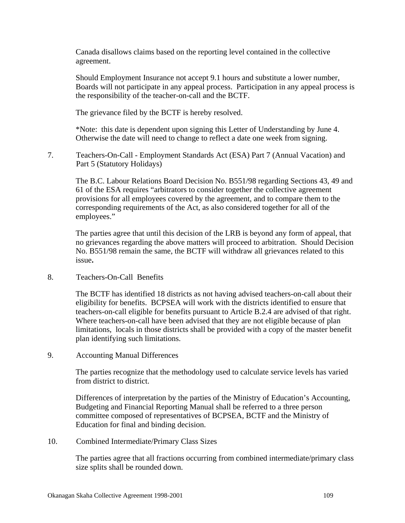Canada disallows claims based on the reporting level contained in the collective agreement.

Should Employment Insurance not accept 9.1 hours and substitute a lower number, Boards will not participate in any appeal process. Participation in any appeal process is the responsibility of the teacher-on-call and the BCTF.

The grievance filed by the BCTF is hereby resolved.

\*Note: this date is dependent upon signing this Letter of Understanding by June 4. Otherwise the date will need to change to reflect a date one week from signing.

7. Teachers-On-Call - Employment Standards Act (ESA) Part 7 (Annual Vacation) and Part 5 (Statutory Holidays)

The B.C. Labour Relations Board Decision No. B551/98 regarding Sections 43, 49 and 61 of the ESA requires "arbitrators to consider together the collective agreement provisions for all employees covered by the agreement, and to compare them to the corresponding requirements of the Act, as also considered together for all of the employees."

The parties agree that until this decision of the LRB is beyond any form of appeal, that no grievances regarding the above matters will proceed to arbitration. Should Decision No. B551/98 remain the same, the BCTF will withdraw all grievances related to this issue**.** 

8. Teachers-On-Call Benefits

The BCTF has identified 18 districts as not having advised teachers-on-call about their eligibility for benefits. BCPSEA will work with the districts identified to ensure that teachers-on-call eligible for benefits pursuant to Article B.2.4 are advised of that right. Where teachers-on-call have been advised that they are not eligible because of plan limitations, locals in those districts shall be provided with a copy of the master benefit plan identifying such limitations.

9. Accounting Manual Differences

The parties recognize that the methodology used to calculate service levels has varied from district to district.

Differences of interpretation by the parties of the Ministry of Education's Accounting, Budgeting and Financial Reporting Manual shall be referred to a three person committee composed of representatives of BCPSEA, BCTF and the Ministry of Education for final and binding decision.

10. Combined Intermediate/Primary Class Sizes

The parties agree that all fractions occurring from combined intermediate/primary class size splits shall be rounded down.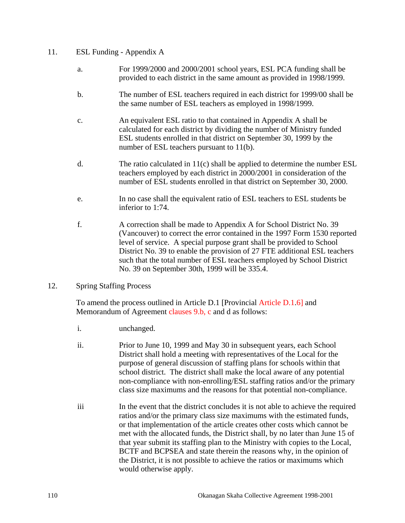# 11. ESL Funding - Appendix A

- a. For 1999/2000 and 2000/2001 school years, ESL PCA funding shall be provided to each district in the same amount as provided in 1998/1999.
- b. The number of ESL teachers required in each district for 1999/00 shall be the same number of ESL teachers as employed in 1998/1999.
- c. An equivalent ESL ratio to that contained in Appendix A shall be calculated for each district by dividing the number of Ministry funded ESL students enrolled in that district on September 30, 1999 by the number of ESL teachers pursuant to 11(b).
- d. The ratio calculated in  $11(c)$  shall be applied to determine the number  $\text{ESL}$ teachers employed by each district in 2000/2001 in consideration of the number of ESL students enrolled in that district on September 30, 2000.
- e. In no case shall the equivalent ratio of ESL teachers to ESL students be inferior to 1:74.
- f. A correction shall be made to Appendix A for School District No. 39 (Vancouver) to correct the error contained in the 1997 Form 1530 reported level of service. A special purpose grant shall be provided to School District No. 39 to enable the provision of 27 FTE additional ESL teachers such that the total number of ESL teachers employed by School District No. 39 on September 30th, 1999 will be 335.4.
- 12. Spring Staffing Process

 To amend the process outlined in Article D.1 [Provincial Article D.1.6] and Memorandum of Agreement clauses 9.b, c and d as follows:

- i. unchanged.
- ii. Prior to June 10, 1999 and May 30 in subsequent years, each School District shall hold a meeting with representatives of the Local for the purpose of general discussion of staffing plans for schools within that school district. The district shall make the local aware of any potential non-compliance with non-enrolling/ESL staffing ratios and/or the primary class size maximums and the reasons for that potential non-compliance.
- iii In the event that the district concludes it is not able to achieve the required ratios and/or the primary class size maximums with the estimated funds, or that implementation of the article creates other costs which cannot be met with the allocated funds, the District shall, by no later than June 15 of that year submit its staffing plan to the Ministry with copies to the Local, BCTF and BCPSEA and state therein the reasons why, in the opinion of the District, it is not possible to achieve the ratios or maximums which would otherwise apply.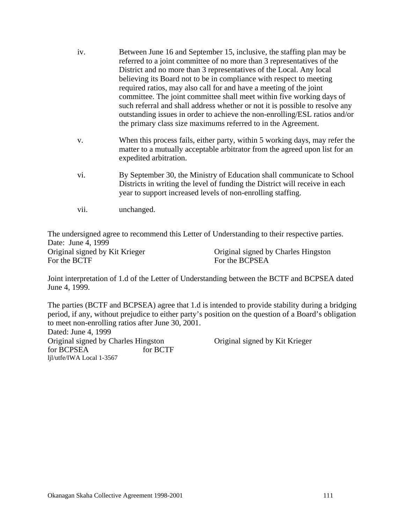- iv. Between June 16 and September 15, inclusive, the staffing plan may be referred to a joint committee of no more than 3 representatives of the District and no more than 3 representatives of the Local. Any local believing its Board not to be in compliance with respect to meeting required ratios, may also call for and have a meeting of the joint committee. The joint committee shall meet within five working days of such referral and shall address whether or not it is possible to resolve any outstanding issues in order to achieve the non-enrolling/ESL ratios and/or the primary class size maximums referred to in the Agreement.
- v. When this process fails, either party, within 5 working days, may refer the matter to a mutually acceptable arbitrator from the agreed upon list for an expedited arbitration.
- vi. By September 30, the Ministry of Education shall communicate to School Districts in writing the level of funding the District will receive in each year to support increased levels of non-enrolling staffing.
- vii. unchanged.

The undersigned agree to recommend this Letter of Understanding to their respective parties. Date: June 4, 1999 Original signed by Kit Krieger Original signed by Charles Hingston For the BCTF For the BCPSEA

Joint interpretation of 1.d of the Letter of Understanding between the BCTF and BCPSEA dated June 4, 1999.

The parties (BCTF and BCPSEA) agree that 1.d is intended to provide stability during a bridging period, if any, without prejudice to either party's position on the question of a Board's obligation to meet non-enrolling ratios after June 30, 2001.

Dated: June 4, 1999 Original signed by Charles Hingston Original signed by Kit Krieger for BCPSEA for BCTF ljl/utfe/IWA Local 1-3567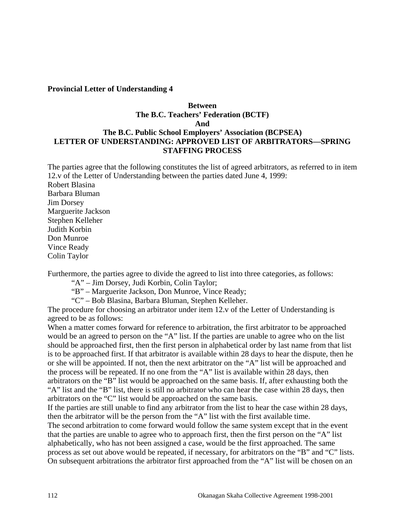#### **Provincial Letter of Understanding 4**

# **Between The B.C. Teachers' Federation (BCTF) And The B.C. Public School Employers' Association (BCPSEA) LETTER OF UNDERSTANDING: APPROVED LIST OF ARBITRATORS—SPRING STAFFING PROCESS**

The parties agree that the following constitutes the list of agreed arbitrators, as referred to in item 12.v of the Letter of Understanding between the parties dated June 4, 1999:

Robert Blasina Barbara Bluman Jim Dorsey Marguerite Jackson Stephen Kelleher Judith Korbin Don Munroe Vince Ready Colin Taylor

Furthermore, the parties agree to divide the agreed to list into three categories, as follows:

"A" – Jim Dorsey, Judi Korbin, Colin Taylor;

"B" – Marguerite Jackson, Don Munroe, Vince Ready;

"C" – Bob Blasina, Barbara Bluman, Stephen Kelleher.

The procedure for choosing an arbitrator under item 12.v of the Letter of Understanding is agreed to be as follows:

When a matter comes forward for reference to arbitration, the first arbitrator to be approached would be an agreed to person on the "A" list. If the parties are unable to agree who on the list should be approached first, then the first person in alphabetical order by last name from that list is to be approached first. If that arbitrator is available within 28 days to hear the dispute, then he or she will be appointed. If not, then the next arbitrator on the "A" list will be approached and the process will be repeated. If no one from the "A" list is available within 28 days, then arbitrators on the "B" list would be approached on the same basis. If, after exhausting both the "A" list and the "B" list, there is still no arbitrator who can hear the case within 28 days, then arbitrators on the "C" list would be approached on the same basis.

If the parties are still unable to find any arbitrator from the list to hear the case within 28 days, then the arbitrator will be the person from the "A" list with the first available time.

The second arbitration to come forward would follow the same system except that in the event that the parties are unable to agree who to approach first, then the first person on the "A" list alphabetically, who has not been assigned a case, would be the first approached. The same process as set out above would be repeated, if necessary, for arbitrators on the "B" and "C" lists. On subsequent arbitrations the arbitrator first approached from the "A" list will be chosen on an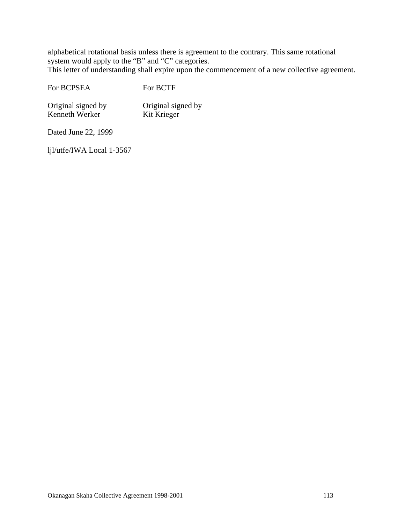alphabetical rotational basis unless there is agreement to the contrary. This same rotational system would apply to the "B" and "C" categories.

This letter of understanding shall expire upon the commencement of a new collective agreement.

For BCPSEA For BCTF

Original signed by Original signed by Kenneth Werker Kit Krieger

Dated June 22, 1999

ljl/utfe/IWA Local 1-3567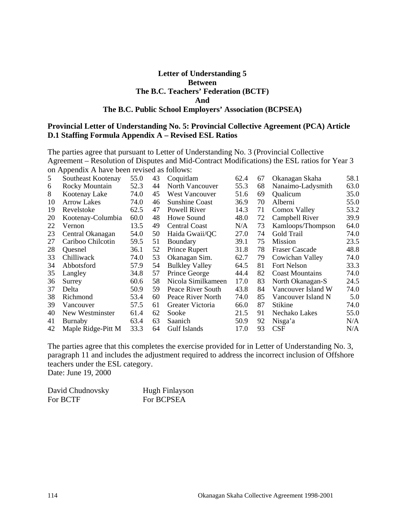### **Letter of Understanding 5 Between The B.C. Teachers' Federation (BCTF) And The B.C. Public School Employers' Association (BCPSEA)**

#### **Provincial Letter of Understanding No. 5: Provincial Collective Agreement (PCA) Article D.1 Staffing Formula Appendix A – Revised ESL Ratios**

The parties agree that pursuant to Letter of Understanding No. 3 (Provincial Collective Agreement – Resolution of Disputes and Mid-Contract Modifications) the ESL ratios for Year 3 on Appendix A have been revised as follows:

| 5  | Southeast Kootenay | 55.0 | 43 | Coquitlam             | 62.4 | 67 | Okanagan Skaha         | 58.1 |
|----|--------------------|------|----|-----------------------|------|----|------------------------|------|
| 6  | Rocky Mountain     | 52.3 | 44 | North Vancouver       | 55.3 | 68 | Nanaimo-Ladysmith      | 63.0 |
| 8  | Kootenay Lake      | 74.0 | 45 | <b>West Vancouver</b> | 51.6 | 69 | Qualicum               | 35.0 |
| 10 | <b>Arrow Lakes</b> | 74.0 | 46 | <b>Sunshine Coast</b> | 36.9 | 70 | Alberni                | 55.0 |
| 19 | Revelstoke         | 62.5 | 47 | Powell River          | 14.3 | 71 | Comox Valley           | 53.2 |
| 20 | Kootenay-Columbia  | 60.0 | 48 | Howe Sound            | 48.0 | 72 | Campbell River         | 39.9 |
| 22 | Vernon             | 13.5 | 49 | <b>Central Coast</b>  | N/A  | 73 | Kamloops/Thompson      | 64.0 |
| 23 | Central Okanagan   | 54.0 | 50 | Haida Gwaii/QC        | 27.0 | 74 | Gold Trail             | 74.0 |
| 27 | Cariboo Chilcotin  | 59.5 | 51 | Boundary              | 39.1 | 75 | Mission                | 23.5 |
| 28 | <b>Ouesnel</b>     | 36.1 | 52 | Prince Rupert         | 31.8 | 78 | <b>Fraser Cascade</b>  | 48.8 |
| 33 | Chilliwack         | 74.0 | 53 | Okanagan Sim.         | 62.7 | 79 | Cowichan Valley        | 74.0 |
| 34 | Abbotsford         | 57.9 | 54 | <b>Bulkley Valley</b> | 64.5 | 81 | Fort Nelson            | 33.3 |
| 35 | Langley            | 34.8 | 57 | Prince George         | 44.4 | 82 | <b>Coast Mountains</b> | 74.0 |
| 36 | Surrey             | 60.6 | 58 | Nicola Similkameen    | 17.0 | 83 | North Okanagan-S       | 24.5 |
| 37 | Delta              | 50.9 | 59 | Peace River South     | 43.8 | 84 | Vancouver Island W     | 74.0 |
| 38 | Richmond           | 53.4 | 60 | Peace River North     | 74.0 | 85 | Vancouver Island N     | 5.0  |
| 39 | Vancouver          | 57.5 | 61 | Greater Victoria      | 66.0 | 87 | <b>Stikine</b>         | 74.0 |
| 40 | New Westminster    | 61.4 | 62 | Sooke                 | 21.5 | 91 | Nechako Lakes          | 55.0 |
| 41 | Burnaby            | 63.4 | 63 | Saanich               | 50.9 | 92 | Nisga'a                | N/A  |
| 42 | Maple Ridge-Pitt M | 33.3 | 64 | <b>Gulf Islands</b>   | 17.0 | 93 | CSF                    | N/A  |

The parties agree that this completes the exercise provided for in Letter of Understanding No. 3, paragraph 11 and includes the adjustment required to address the incorrect inclusion of Offshore teachers under the ESL category.

Date: June 19, 2000

| David Chudnovsky | Hugh Finlayson |
|------------------|----------------|
| For BCTF         | For BCPSEA     |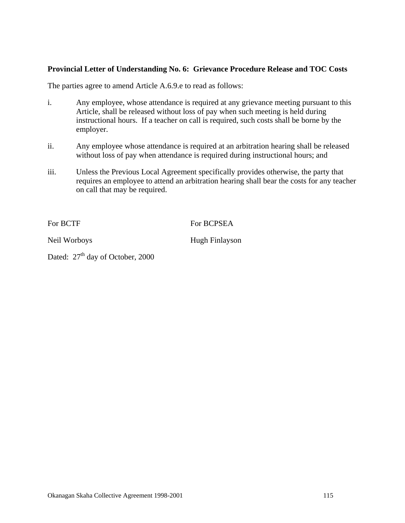## **Provincial Letter of Understanding No. 6: Grievance Procedure Release and TOC Costs**

The parties agree to amend Article A.6.9.e to read as follows:

- i. Any employee, whose attendance is required at any grievance meeting pursuant to this Article, shall be released without loss of pay when such meeting is held during instructional hours. If a teacher on call is required, such costs shall be borne by the employer.
- ii. Any employee whose attendance is required at an arbitration hearing shall be released without loss of pay when attendance is required during instructional hours; and
- iii. Unless the Previous Local Agreement specifically provides otherwise, the party that requires an employee to attend an arbitration hearing shall bear the costs for any teacher on call that may be required.

For BCTF For BCPSEA

Neil Worboys Hugh Finlayson

Dated:  $27<sup>th</sup>$  day of October, 2000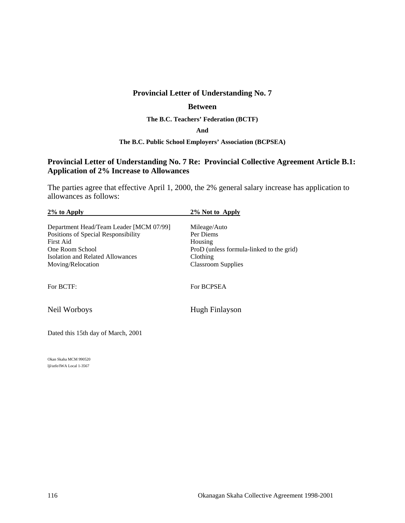# **Provincial Letter of Understanding No. 7**

#### **Between**

**The B.C. Teachers' Federation (BCTF)** 

#### **And**

#### **The B.C. Public School Employers' Association (BCPSEA)**

# **Provincial Letter of Understanding No. 7 Re: Provincial Collective Agreement Article B.1: Application of 2% Increase to Allowances**

The parties agree that effective April 1, 2000, the 2% general salary increase has application to allowances as follows:

| $2\%$ to Apply                          | 2% Not to Apply                          |
|-----------------------------------------|------------------------------------------|
| Department Head/Team Leader [MCM 07/99] | Mileage/Auto                             |
| Positions of Special Responsibility     | Per Diems                                |
| First Aid                               | Housing                                  |
| One Room School                         | ProD (unless formula-linked to the grid) |
| Isolation and Related Allowances        | Clothing                                 |
| Moving/Relocation                       | <b>Classroom Supplies</b>                |
| For BCTF:                               | For BCPSEA                               |
| Neil Worboys                            | Hugh Finlayson                           |
| Dated this 15th day of March, 2001      |                                          |
|                                         |                                          |

Okan Skaha MCM 990520 ljl/utfe/IWA Local 1-3567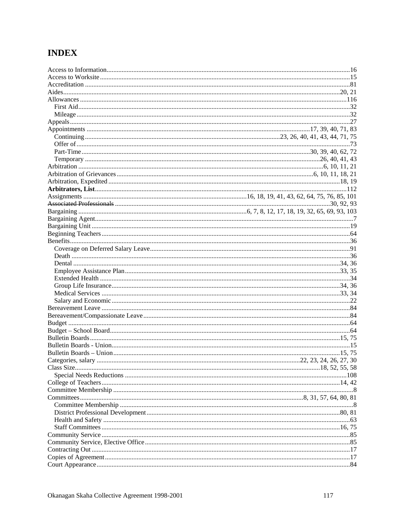# **INDEX**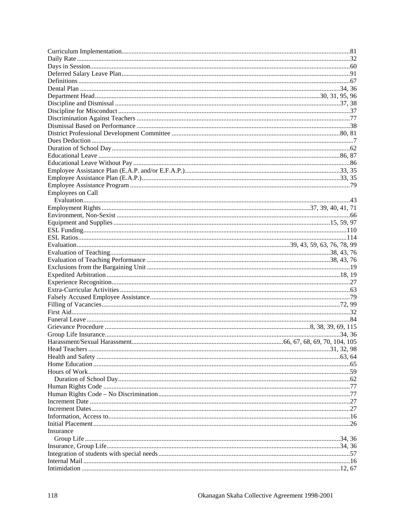| <b>Employees on Call</b> |  |
|--------------------------|--|
|                          |  |
|                          |  |
|                          |  |
|                          |  |
|                          |  |
|                          |  |
|                          |  |
|                          |  |
|                          |  |
|                          |  |
|                          |  |
|                          |  |
|                          |  |
|                          |  |
|                          |  |
|                          |  |
|                          |  |
|                          |  |
|                          |  |
|                          |  |
|                          |  |
|                          |  |
|                          |  |
|                          |  |
|                          |  |
|                          |  |
|                          |  |
|                          |  |
|                          |  |
|                          |  |
|                          |  |
| Insurance                |  |
|                          |  |
|                          |  |
|                          |  |
|                          |  |
|                          |  |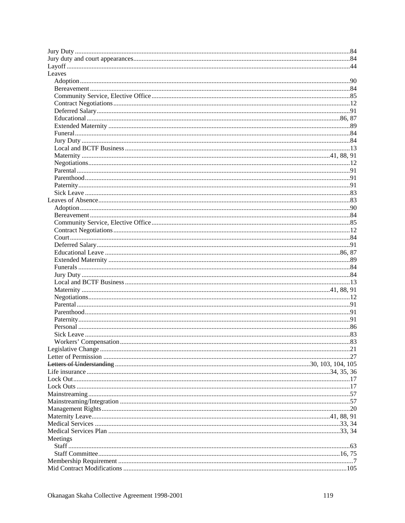| Leaves   |  |
|----------|--|
|          |  |
|          |  |
|          |  |
|          |  |
|          |  |
|          |  |
|          |  |
|          |  |
|          |  |
|          |  |
|          |  |
|          |  |
|          |  |
|          |  |
|          |  |
|          |  |
|          |  |
|          |  |
|          |  |
|          |  |
|          |  |
|          |  |
|          |  |
|          |  |
|          |  |
|          |  |
|          |  |
|          |  |
|          |  |
|          |  |
|          |  |
|          |  |
|          |  |
|          |  |
|          |  |
|          |  |
|          |  |
|          |  |
|          |  |
|          |  |
|          |  |
|          |  |
|          |  |
|          |  |
|          |  |
|          |  |
|          |  |
|          |  |
| Meetings |  |
|          |  |
|          |  |
|          |  |
|          |  |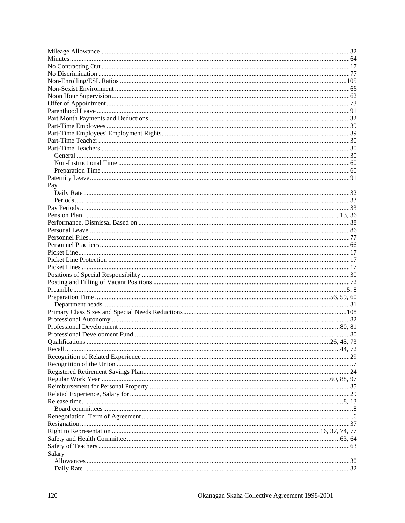| Pay    |  |
|--------|--|
|        |  |
|        |  |
|        |  |
|        |  |
|        |  |
|        |  |
|        |  |
|        |  |
|        |  |
|        |  |
|        |  |
|        |  |
|        |  |
|        |  |
|        |  |
|        |  |
|        |  |
|        |  |
|        |  |
|        |  |
|        |  |
|        |  |
|        |  |
|        |  |
|        |  |
|        |  |
|        |  |
|        |  |
|        |  |
|        |  |
|        |  |
|        |  |
|        |  |
|        |  |
|        |  |
| Salary |  |
|        |  |
|        |  |
|        |  |